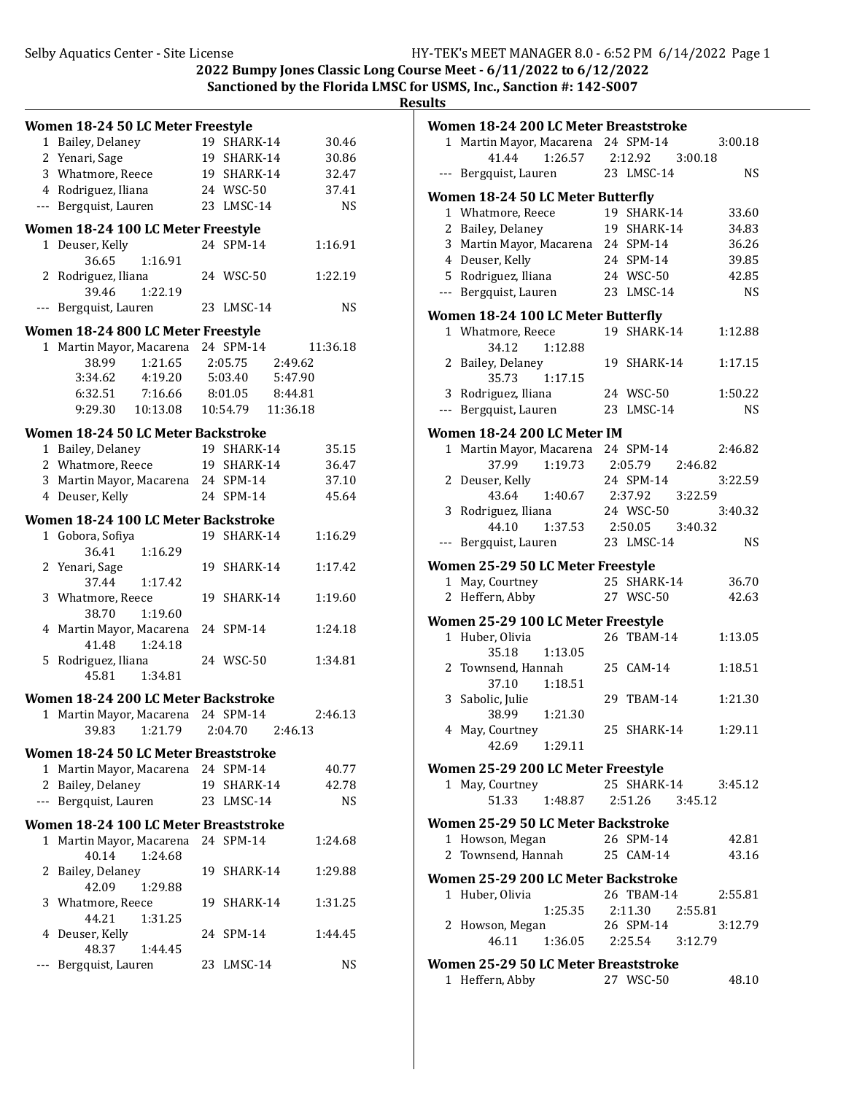| ٠<br>٠ | $\alpha$<br>. . | 31 H |  |  |
|--------|-----------------|------|--|--|
|        |                 |      |  |  |

|              | Women 18-24 50 LC Meter Freestyle                                          |                    |                    |
|--------------|----------------------------------------------------------------------------|--------------------|--------------------|
|              | 1 Bailey, Delaney                                                          | 19 SHARK-14        | 30.46              |
|              | 2 Yenari, Sage                                                             | 19 SHARK-14        | 30.86              |
|              | 3 Whatmore, Reece                                                          | 19 SHARK-14        | 32.47              |
|              | 4 Rodriguez, Iliana                                                        | 24 WSC-50          | 37.41              |
|              | --- Bergquist, Lauren                                                      | 23 LMSC-14         | <b>NS</b>          |
|              |                                                                            |                    |                    |
|              | Women 18-24 100 LC Meter Freestyle                                         |                    |                    |
| $\mathbf{1}$ | Deuser, Kelly<br>1:16.91<br>36.65                                          | 24 SPM-14          | 1:16.91            |
|              | 2 Rodriguez, Iliana                                                        | 24 WSC-50          | 1:22.19            |
|              | 39.46<br>1:22.19                                                           |                    |                    |
| $---$        | Bergquist, Lauren                                                          | 23 LMSC-14         | <b>NS</b>          |
|              |                                                                            |                    |                    |
|              | Women 18-24 800 LC Meter Freestyle                                         |                    |                    |
|              | 1 Martin Mayor, Macarena                                                   | 24 SPM-14          | 11:36.18           |
|              | 38.99<br>1:21.65<br>3:34.62<br>4:19.20                                     | 2:05.75<br>5:03.40 | 2:49.62<br>5:47.90 |
|              |                                                                            | 8:01.05            |                    |
|              | 6:32.51<br>7:16.66                                                         |                    | 8:44.81            |
|              | 9:29.30 10:13.08                                                           | 10:54.79  11:36.18 |                    |
|              | Women 18-24 50 LC Meter Backstroke                                         |                    |                    |
|              | 1 Bailey, Delaney                                                          | 19 SHARK-14        | 35.15              |
|              | 2 Whatmore, Reece                                                          | 19 SHARK-14        | 36.47              |
|              | 3 Martin Mayor, Macarena 24 SPM-14                                         |                    | 37.10              |
|              | 4 Deuser, Kelly                                                            | 24 SPM-14          | 45.64              |
|              | Women 18-24 100 LC Meter Backstroke                                        |                    |                    |
|              | 1 Gobora, Sofiya                                                           | 19 SHARK-14        | 1:16.29            |
|              | 36.41<br>1:16.29                                                           |                    |                    |
|              | 2 Yenari, Sage                                                             | 19 SHARK-14        | 1:17.42            |
|              | 37.44<br>1:17.42                                                           |                    |                    |
|              | 3 Whatmore, Reece                                                          | 19 SHARK-14        | 1:19.60            |
|              | 38.70<br>1:19.60                                                           |                    |                    |
|              | 4 Martin Mayor, Macarena                                                   | 24 SPM-14          | 1:24.18            |
|              | 1:24.18<br>41.48                                                           |                    |                    |
|              | 5 Rodriguez, Iliana                                                        | 24 WSC-50          | 1:34.81            |
|              | 45.81<br>1:34.81                                                           |                    |                    |
|              | Women 18-24 200 LC Meter Backstroke                                        |                    |                    |
|              | 1 Martin Mayor, Macarena 24 SPM-14                                         |                    | 2:46.13            |
|              | 39.83 1:21.79 2:04.70                                                      |                    | 2:46.13            |
|              |                                                                            |                    |                    |
|              | Women 18-24 50 LC Meter Breaststroke<br>1 Martin Mayor, Macarena 24 SPM-14 |                    | 40.77              |
|              |                                                                            | 19 SHARK-14        |                    |
|              | 2 Bailey, Delaney<br>--- Bergquist, Lauren                                 | 23 LMSC-14         | 42.78<br><b>NS</b> |
|              |                                                                            |                    |                    |
|              | Women 18-24 100 LC Meter Breaststroke                                      |                    |                    |
|              | 1 Martin Mayor, Macarena 24 SPM-14                                         |                    | 1:24.68            |
|              | 40.14<br>1:24.68                                                           |                    |                    |
|              | 2 Bailey, Delaney                                                          | 19 SHARK-14        | 1:29.88            |
|              | 42.09<br>1:29.88                                                           |                    |                    |
|              | 3 Whatmore, Reece                                                          | 19 SHARK-14        | 1:31.25            |
|              | 44.21<br>1:31.25                                                           |                    |                    |
|              | 4 Deuser, Kelly                                                            | 24 SPM-14          | 1:44.45            |
|              | 48.37<br>1:44.45                                                           |                    |                    |
| ---          | Bergquist, Lauren                                                          | 23 LMSC-14         | <b>NS</b>          |

| 1 Martin Mayor, Macarena 24 SPM-14<br>3:00.18<br>1:26.57 2:12.92<br>41.44<br>3:00.18<br>23 LMSC-14<br>NS<br>--- Bergquist, Lauren<br><b>Women 18-24 50 LC Meter Butterfly</b><br>19 SHARK-14<br>1 Whatmore, Reece<br>33.60<br>2 Bailey, Delaney<br>19 SHARK-14<br>34.83<br>3 Martin Mayor, Macarena 24 SPM-14<br>36.26<br>4 Deuser, Kelly<br>24 SPM-14<br>39.85<br>24 WSC-50<br>5 Rodriguez, Iliana<br>42.85<br>--- Bergquist, Lauren<br>23 LMSC-14<br>NS.<br>Women 18-24 100 LC Meter Butterfly<br>1 Whatmore, Reece<br>19 SHARK-14<br>1:12.88<br>34.12<br>1:12.88<br>2 Bailey, Delaney<br>19 SHARK-14<br>1:17.15<br>35.73 1:17.15<br>3 Rodriguez, Iliana<br>24 WSC-50<br>1:50.22<br>--- Bergquist, Lauren<br>23 LMSC-14<br><b>NS</b><br>Women 18-24 200 LC Meter IM<br>1 Martin Mayor, Macarena 24 SPM-14<br>2:46.82<br>37.99<br>1:19.73<br>2:05.79 2:46.82<br>2 Deuser, Kelly<br>24 SPM-14<br>3:22.59<br>43.64 1:40.67 2:37.92 3:22.59<br>3 Rodriguez, Iliana<br>24 WSC-50<br>3:40.32<br>44.10 1:37.53 2:50.05 3:40.32<br>23 LMSC-14<br><b>NS</b><br>Bergquist, Lauren<br>---<br>Women 25-29 50 LC Meter Freestyle<br>25 SHARK-14<br>1 May, Courtney<br>36.70<br>27 WSC-50<br>2 Heffern, Abby<br>42.63<br>Women 25-29 100 LC Meter Freestyle<br>26 TBAM-14<br>1:13.05<br>1 Huber, Olivia<br>35.18<br>1:13.05<br>2 Townsend, Hannah<br>25 CAM-14<br>1:18.51<br>37.10  1:18.51<br>3 Sabolic, Julie<br>29 TBAM-14<br>1:21.30<br>1:21.30<br>38.99<br>25 SHARK-14<br>4 May, Courtney<br>1:29.11<br>42.69 1:29.11<br>Women 25-29 200 LC Meter Freestyle<br>25 SHARK-14<br>1 May, Courtney<br>3:45.12<br>51.33 1:48.87<br>2:51.26 3:45.12<br>Women 25-29 50 LC Meter Backstroke<br>26 SPM-14<br>1 Howson, Megan<br>42.81 |
|----------------------------------------------------------------------------------------------------------------------------------------------------------------------------------------------------------------------------------------------------------------------------------------------------------------------------------------------------------------------------------------------------------------------------------------------------------------------------------------------------------------------------------------------------------------------------------------------------------------------------------------------------------------------------------------------------------------------------------------------------------------------------------------------------------------------------------------------------------------------------------------------------------------------------------------------------------------------------------------------------------------------------------------------------------------------------------------------------------------------------------------------------------------------------------------------------------------------------------------------------------------------------------------------------------------------------------------------------------------------------------------------------------------------------------------------------------------------------------------------------------------------------------------------------------------------------------------------------------------------------------------------------------------------------------------------------------------------|
|                                                                                                                                                                                                                                                                                                                                                                                                                                                                                                                                                                                                                                                                                                                                                                                                                                                                                                                                                                                                                                                                                                                                                                                                                                                                                                                                                                                                                                                                                                                                                                                                                                                                                                                      |
|                                                                                                                                                                                                                                                                                                                                                                                                                                                                                                                                                                                                                                                                                                                                                                                                                                                                                                                                                                                                                                                                                                                                                                                                                                                                                                                                                                                                                                                                                                                                                                                                                                                                                                                      |
|                                                                                                                                                                                                                                                                                                                                                                                                                                                                                                                                                                                                                                                                                                                                                                                                                                                                                                                                                                                                                                                                                                                                                                                                                                                                                                                                                                                                                                                                                                                                                                                                                                                                                                                      |
|                                                                                                                                                                                                                                                                                                                                                                                                                                                                                                                                                                                                                                                                                                                                                                                                                                                                                                                                                                                                                                                                                                                                                                                                                                                                                                                                                                                                                                                                                                                                                                                                                                                                                                                      |
|                                                                                                                                                                                                                                                                                                                                                                                                                                                                                                                                                                                                                                                                                                                                                                                                                                                                                                                                                                                                                                                                                                                                                                                                                                                                                                                                                                                                                                                                                                                                                                                                                                                                                                                      |
|                                                                                                                                                                                                                                                                                                                                                                                                                                                                                                                                                                                                                                                                                                                                                                                                                                                                                                                                                                                                                                                                                                                                                                                                                                                                                                                                                                                                                                                                                                                                                                                                                                                                                                                      |
|                                                                                                                                                                                                                                                                                                                                                                                                                                                                                                                                                                                                                                                                                                                                                                                                                                                                                                                                                                                                                                                                                                                                                                                                                                                                                                                                                                                                                                                                                                                                                                                                                                                                                                                      |
|                                                                                                                                                                                                                                                                                                                                                                                                                                                                                                                                                                                                                                                                                                                                                                                                                                                                                                                                                                                                                                                                                                                                                                                                                                                                                                                                                                                                                                                                                                                                                                                                                                                                                                                      |
|                                                                                                                                                                                                                                                                                                                                                                                                                                                                                                                                                                                                                                                                                                                                                                                                                                                                                                                                                                                                                                                                                                                                                                                                                                                                                                                                                                                                                                                                                                                                                                                                                                                                                                                      |
|                                                                                                                                                                                                                                                                                                                                                                                                                                                                                                                                                                                                                                                                                                                                                                                                                                                                                                                                                                                                                                                                                                                                                                                                                                                                                                                                                                                                                                                                                                                                                                                                                                                                                                                      |
|                                                                                                                                                                                                                                                                                                                                                                                                                                                                                                                                                                                                                                                                                                                                                                                                                                                                                                                                                                                                                                                                                                                                                                                                                                                                                                                                                                                                                                                                                                                                                                                                                                                                                                                      |
|                                                                                                                                                                                                                                                                                                                                                                                                                                                                                                                                                                                                                                                                                                                                                                                                                                                                                                                                                                                                                                                                                                                                                                                                                                                                                                                                                                                                                                                                                                                                                                                                                                                                                                                      |
|                                                                                                                                                                                                                                                                                                                                                                                                                                                                                                                                                                                                                                                                                                                                                                                                                                                                                                                                                                                                                                                                                                                                                                                                                                                                                                                                                                                                                                                                                                                                                                                                                                                                                                                      |
|                                                                                                                                                                                                                                                                                                                                                                                                                                                                                                                                                                                                                                                                                                                                                                                                                                                                                                                                                                                                                                                                                                                                                                                                                                                                                                                                                                                                                                                                                                                                                                                                                                                                                                                      |
|                                                                                                                                                                                                                                                                                                                                                                                                                                                                                                                                                                                                                                                                                                                                                                                                                                                                                                                                                                                                                                                                                                                                                                                                                                                                                                                                                                                                                                                                                                                                                                                                                                                                                                                      |
|                                                                                                                                                                                                                                                                                                                                                                                                                                                                                                                                                                                                                                                                                                                                                                                                                                                                                                                                                                                                                                                                                                                                                                                                                                                                                                                                                                                                                                                                                                                                                                                                                                                                                                                      |
|                                                                                                                                                                                                                                                                                                                                                                                                                                                                                                                                                                                                                                                                                                                                                                                                                                                                                                                                                                                                                                                                                                                                                                                                                                                                                                                                                                                                                                                                                                                                                                                                                                                                                                                      |
|                                                                                                                                                                                                                                                                                                                                                                                                                                                                                                                                                                                                                                                                                                                                                                                                                                                                                                                                                                                                                                                                                                                                                                                                                                                                                                                                                                                                                                                                                                                                                                                                                                                                                                                      |
|                                                                                                                                                                                                                                                                                                                                                                                                                                                                                                                                                                                                                                                                                                                                                                                                                                                                                                                                                                                                                                                                                                                                                                                                                                                                                                                                                                                                                                                                                                                                                                                                                                                                                                                      |
|                                                                                                                                                                                                                                                                                                                                                                                                                                                                                                                                                                                                                                                                                                                                                                                                                                                                                                                                                                                                                                                                                                                                                                                                                                                                                                                                                                                                                                                                                                                                                                                                                                                                                                                      |
|                                                                                                                                                                                                                                                                                                                                                                                                                                                                                                                                                                                                                                                                                                                                                                                                                                                                                                                                                                                                                                                                                                                                                                                                                                                                                                                                                                                                                                                                                                                                                                                                                                                                                                                      |
|                                                                                                                                                                                                                                                                                                                                                                                                                                                                                                                                                                                                                                                                                                                                                                                                                                                                                                                                                                                                                                                                                                                                                                                                                                                                                                                                                                                                                                                                                                                                                                                                                                                                                                                      |
|                                                                                                                                                                                                                                                                                                                                                                                                                                                                                                                                                                                                                                                                                                                                                                                                                                                                                                                                                                                                                                                                                                                                                                                                                                                                                                                                                                                                                                                                                                                                                                                                                                                                                                                      |
|                                                                                                                                                                                                                                                                                                                                                                                                                                                                                                                                                                                                                                                                                                                                                                                                                                                                                                                                                                                                                                                                                                                                                                                                                                                                                                                                                                                                                                                                                                                                                                                                                                                                                                                      |
|                                                                                                                                                                                                                                                                                                                                                                                                                                                                                                                                                                                                                                                                                                                                                                                                                                                                                                                                                                                                                                                                                                                                                                                                                                                                                                                                                                                                                                                                                                                                                                                                                                                                                                                      |
|                                                                                                                                                                                                                                                                                                                                                                                                                                                                                                                                                                                                                                                                                                                                                                                                                                                                                                                                                                                                                                                                                                                                                                                                                                                                                                                                                                                                                                                                                                                                                                                                                                                                                                                      |
|                                                                                                                                                                                                                                                                                                                                                                                                                                                                                                                                                                                                                                                                                                                                                                                                                                                                                                                                                                                                                                                                                                                                                                                                                                                                                                                                                                                                                                                                                                                                                                                                                                                                                                                      |
|                                                                                                                                                                                                                                                                                                                                                                                                                                                                                                                                                                                                                                                                                                                                                                                                                                                                                                                                                                                                                                                                                                                                                                                                                                                                                                                                                                                                                                                                                                                                                                                                                                                                                                                      |
|                                                                                                                                                                                                                                                                                                                                                                                                                                                                                                                                                                                                                                                                                                                                                                                                                                                                                                                                                                                                                                                                                                                                                                                                                                                                                                                                                                                                                                                                                                                                                                                                                                                                                                                      |
|                                                                                                                                                                                                                                                                                                                                                                                                                                                                                                                                                                                                                                                                                                                                                                                                                                                                                                                                                                                                                                                                                                                                                                                                                                                                                                                                                                                                                                                                                                                                                                                                                                                                                                                      |
|                                                                                                                                                                                                                                                                                                                                                                                                                                                                                                                                                                                                                                                                                                                                                                                                                                                                                                                                                                                                                                                                                                                                                                                                                                                                                                                                                                                                                                                                                                                                                                                                                                                                                                                      |
|                                                                                                                                                                                                                                                                                                                                                                                                                                                                                                                                                                                                                                                                                                                                                                                                                                                                                                                                                                                                                                                                                                                                                                                                                                                                                                                                                                                                                                                                                                                                                                                                                                                                                                                      |
|                                                                                                                                                                                                                                                                                                                                                                                                                                                                                                                                                                                                                                                                                                                                                                                                                                                                                                                                                                                                                                                                                                                                                                                                                                                                                                                                                                                                                                                                                                                                                                                                                                                                                                                      |
|                                                                                                                                                                                                                                                                                                                                                                                                                                                                                                                                                                                                                                                                                                                                                                                                                                                                                                                                                                                                                                                                                                                                                                                                                                                                                                                                                                                                                                                                                                                                                                                                                                                                                                                      |
|                                                                                                                                                                                                                                                                                                                                                                                                                                                                                                                                                                                                                                                                                                                                                                                                                                                                                                                                                                                                                                                                                                                                                                                                                                                                                                                                                                                                                                                                                                                                                                                                                                                                                                                      |
|                                                                                                                                                                                                                                                                                                                                                                                                                                                                                                                                                                                                                                                                                                                                                                                                                                                                                                                                                                                                                                                                                                                                                                                                                                                                                                                                                                                                                                                                                                                                                                                                                                                                                                                      |
|                                                                                                                                                                                                                                                                                                                                                                                                                                                                                                                                                                                                                                                                                                                                                                                                                                                                                                                                                                                                                                                                                                                                                                                                                                                                                                                                                                                                                                                                                                                                                                                                                                                                                                                      |
|                                                                                                                                                                                                                                                                                                                                                                                                                                                                                                                                                                                                                                                                                                                                                                                                                                                                                                                                                                                                                                                                                                                                                                                                                                                                                                                                                                                                                                                                                                                                                                                                                                                                                                                      |
|                                                                                                                                                                                                                                                                                                                                                                                                                                                                                                                                                                                                                                                                                                                                                                                                                                                                                                                                                                                                                                                                                                                                                                                                                                                                                                                                                                                                                                                                                                                                                                                                                                                                                                                      |
|                                                                                                                                                                                                                                                                                                                                                                                                                                                                                                                                                                                                                                                                                                                                                                                                                                                                                                                                                                                                                                                                                                                                                                                                                                                                                                                                                                                                                                                                                                                                                                                                                                                                                                                      |
|                                                                                                                                                                                                                                                                                                                                                                                                                                                                                                                                                                                                                                                                                                                                                                                                                                                                                                                                                                                                                                                                                                                                                                                                                                                                                                                                                                                                                                                                                                                                                                                                                                                                                                                      |
|                                                                                                                                                                                                                                                                                                                                                                                                                                                                                                                                                                                                                                                                                                                                                                                                                                                                                                                                                                                                                                                                                                                                                                                                                                                                                                                                                                                                                                                                                                                                                                                                                                                                                                                      |
|                                                                                                                                                                                                                                                                                                                                                                                                                                                                                                                                                                                                                                                                                                                                                                                                                                                                                                                                                                                                                                                                                                                                                                                                                                                                                                                                                                                                                                                                                                                                                                                                                                                                                                                      |
| 2 Townsend, Hannah 25 CAM-14<br>43.16                                                                                                                                                                                                                                                                                                                                                                                                                                                                                                                                                                                                                                                                                                                                                                                                                                                                                                                                                                                                                                                                                                                                                                                                                                                                                                                                                                                                                                                                                                                                                                                                                                                                                |
| Women 25-29 200 LC Meter Backstroke                                                                                                                                                                                                                                                                                                                                                                                                                                                                                                                                                                                                                                                                                                                                                                                                                                                                                                                                                                                                                                                                                                                                                                                                                                                                                                                                                                                                                                                                                                                                                                                                                                                                                  |
| 1 Huber, Olivia<br>26 TBAM-14 2:55.81                                                                                                                                                                                                                                                                                                                                                                                                                                                                                                                                                                                                                                                                                                                                                                                                                                                                                                                                                                                                                                                                                                                                                                                                                                                                                                                                                                                                                                                                                                                                                                                                                                                                                |
| $1:25.35$ $2:11.30$ $2:55.81$                                                                                                                                                                                                                                                                                                                                                                                                                                                                                                                                                                                                                                                                                                                                                                                                                                                                                                                                                                                                                                                                                                                                                                                                                                                                                                                                                                                                                                                                                                                                                                                                                                                                                        |
|                                                                                                                                                                                                                                                                                                                                                                                                                                                                                                                                                                                                                                                                                                                                                                                                                                                                                                                                                                                                                                                                                                                                                                                                                                                                                                                                                                                                                                                                                                                                                                                                                                                                                                                      |
| 26 SPM-14<br>3:12.79<br>2 Howson, Megan                                                                                                                                                                                                                                                                                                                                                                                                                                                                                                                                                                                                                                                                                                                                                                                                                                                                                                                                                                                                                                                                                                                                                                                                                                                                                                                                                                                                                                                                                                                                                                                                                                                                              |
| 46.11  1:36.05  2:25.54  3:12.79                                                                                                                                                                                                                                                                                                                                                                                                                                                                                                                                                                                                                                                                                                                                                                                                                                                                                                                                                                                                                                                                                                                                                                                                                                                                                                                                                                                                                                                                                                                                                                                                                                                                                     |
| Women 25-29 50 LC Meter Breaststroke                                                                                                                                                                                                                                                                                                                                                                                                                                                                                                                                                                                                                                                                                                                                                                                                                                                                                                                                                                                                                                                                                                                                                                                                                                                                                                                                                                                                                                                                                                                                                                                                                                                                                 |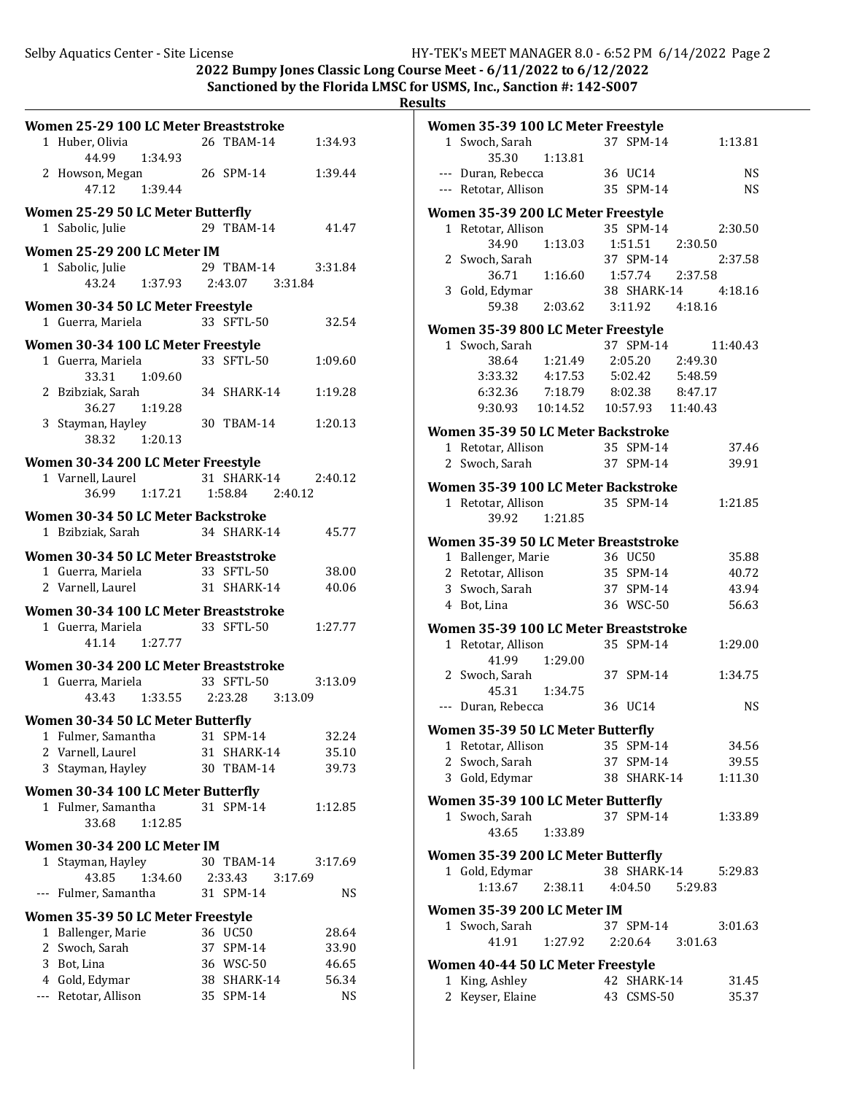**2022 Bumpy Jones Classic Long Course Meet - 6/11/2022 to 6/12/2022**

**Sanctioned by the Florida LMSC for USMS, Inc., Sanction #: 142-S007 Results**

|              | Women 25-29 100 LC Meter Breaststroke         |                               |                     |
|--------------|-----------------------------------------------|-------------------------------|---------------------|
|              | 1 Huber, Olivia<br>1:34.93<br>44.99           | 26 TBAM-14                    | 1:34.93             |
|              | 2 Howson, Megan<br>47.12  1:39.44             | 26 SPM-14                     | 1:39.44             |
|              | Women 25-29 50 LC Meter Butterfly             |                               |                     |
|              | 1 Sabolic, Julie                              | 29 TBAM-14                    | 41.47               |
|              | Women 25-29 200 LC Meter IM                   |                               |                     |
|              | 1 Sabolic, Julie<br>43.24 1:37.93             | 29 TBAM-14<br>2:43.07 3:31.84 | 3:31.84             |
|              | Women 30-34 50 LC Meter Freestyle             |                               |                     |
|              | 1 Guerra, Mariela                             | 33 SFTL-50                    | 32.54               |
|              | Women 30-34 100 LC Meter Freestyle            |                               |                     |
|              | 1 Guerra, Mariela<br>33.31 1:09.60            | 33 SFTL-50                    | 1:09.60             |
|              | 2 Bzibziak, Sarah<br>36.27 1:19.28            | 34 SHARK-14                   | 1:19.28             |
|              | 3 Stayman, Hayley<br>38.32 1:20.13            | 30 TBAM-14                    | 1:20.13             |
|              | Women 30-34 200 LC Meter Freestyle            |                               |                     |
|              | 1 Varnell, Laurel<br>36.99 1:17.21            | 1:58.84 2:40.12               | 31 SHARK-14 2:40.12 |
|              | Women 30-34 50 LC Meter Backstroke            |                               |                     |
|              | 1 Bzibziak, Sarah                             | 34 SHARK-14                   | 45.77               |
|              | Women 30-34 50 LC Meter Breaststroke          |                               |                     |
|              | 1 Guerra, Mariela                             | 33 SFTL-50                    | 38.00               |
|              | 2 Varnell, Laurel 31 SHARK-14                 |                               | 40.06               |
|              | Women 30-34 100 LC Meter Breaststroke         |                               |                     |
|              | 1 Guerra, Mariela 33 SFTL-50<br>41.14 1:27.77 |                               | 1:27.77             |
|              | Women 30-34 200 LC Meter Breaststroke         |                               |                     |
|              | 1 Guerra, Mariela                             | 33 SFTL-50                    | 3:13.09             |
|              | 1:33.55 2:23.28 3:13.09<br>43.43              |                               |                     |
|              | Women 30-34 50 LC Meter Butterfly             |                               |                     |
| $\mathbf{1}$ | Fulmer, Samantha                              | 31 SPM-14                     | 32.24               |
|              | 2 Varnell, Laurel<br>3 Stayman, Hayley        | 31 SHARK-14                   | 35.10               |
|              |                                               | 30 TBAM-14                    | 39.73               |
|              | Women 30-34 100 LC Meter Butterfly            |                               |                     |
|              | 1 Fulmer, Samantha<br>1:12.85<br>33.68        | 31 SPM-14                     | 1:12.85             |
|              | Women 30-34 200 LC Meter IM                   |                               |                     |
| 1            | Stayman, Hayley                               | 30 TBAM-14                    | 3:17.69             |
|              | 43.85<br>1:34.60<br>--- Fulmer, Samantha      | 2:33.43<br>31 SPM-14          | 3:17.69<br>NS       |
|              |                                               |                               |                     |
|              | Women 35-39 50 LC Meter Freestyle             |                               |                     |
|              | 1 Ballenger, Marie<br>2 Swoch, Sarah          | 36 UC50<br>37 SPM-14          | 28.64<br>33.90      |
|              | 3 Bot, Lina                                   | 36 WSC-50                     | 46.65               |
|              | 4 Gold, Edymar                                | 38 SHARK-14                   | 56.34               |
|              | --- Retotar, Allison                          | 35 SPM-14                     | <b>NS</b>           |
|              |                                               |                               |                     |
|              |                                               |                               |                     |
|              |                                               |                               |                     |

| Women 35-39 100 LC Meter Freestyle                      |                           |                        |                     |
|---------------------------------------------------------|---------------------------|------------------------|---------------------|
| 1 Swoch, Sarah                                          |                           | 37 SPM-14              | 1:13.81             |
| 35.30                                                   | 1:13.81                   |                        |                     |
| --- Duran, Rebecca                                      |                           | 36 UC14                | NS                  |
| --- Retotar, Allison                                    |                           | 35 SPM-14              | NS                  |
| Women 35-39 200 LC Meter Freestyle                      |                           |                        |                     |
| 1 Retotar, Allison                                      |                           | 35 SPM-14              | 2:30.50             |
| 34.90                                                   | 1:13.03                   | 1:51.51                | 2:30.50             |
| 2 Swoch, Sarah                                          |                           | 37 SPM-14              | 2:37.58             |
| 36.71                                                   | 1:16.60  1:57.74  2:37.58 |                        |                     |
| 3 Gold, Edymar                                          |                           |                        | 38 SHARK-14 4:18.16 |
| 59.38                                                   | 2:03.62 3:11.92 4:18.16   |                        |                     |
| Women 35-39 800 LC Meter Freestyle                      |                           |                        |                     |
| 1 Swoch, Sarah                                          |                           | 37 SPM-14              | 11:40.43            |
|                                                         | 38.64 1:21.49             | 2:05.20 2:49.30        |                     |
| 3:33.32  4:17.53  5:02.42  5:48.59                      |                           |                        |                     |
| 6:32.36 7:18.79 8:02.38 8:47.17                         |                           |                        |                     |
| 9:30.93  10:14.52  10:57.93  11:40.43                   |                           |                        |                     |
|                                                         |                           |                        |                     |
| Women 35-39 50 LC Meter Backstroke                      |                           |                        |                     |
| 1 Retotar, Allison                                      |                           | 35 SPM-14<br>37 SPM-14 | 37.46               |
| 2 Swoch, Sarah                                          |                           |                        | 39.91               |
| Women 35-39 100 LC Meter Backstroke                     |                           |                        |                     |
| 1 Retotar, Allison                                      |                           | 35 SPM-14              | 1:21.85             |
| 39.92 1:21.85                                           |                           |                        |                     |
| Women 35-39 50 LC Meter Breaststroke                    |                           |                        |                     |
| 1 Ballenger, Marie                                      |                           | 36 UC50                | 35.88               |
| 2 Retotar, Allison                                      |                           | 35 SPM-14              | 40.72               |
| 3 Swoch, Sarah                                          |                           | 37 SPM-14              | 43.94               |
| 4 Bot, Lina                                             |                           | 36 WSC-50              | 56.63               |
| Women 35-39 100 LC Meter Breaststroke                   |                           |                        |                     |
| 1 Retotar, Allison                                      |                           | 35 SPM-14              | 1:29.00             |
| 41.99                                                   | 1:29.00                   |                        |                     |
| 2 Swoch, Sarah                                          |                           | 37 SPM-14              | 1:34.75             |
| 45.31                                                   | 1:34.75                   |                        |                     |
| --- Duran, Rebecca                                      |                           | 36 UC14                | <b>NS</b>           |
|                                                         |                           |                        |                     |
| Women 35-39 50 LC Meter Butterfly<br>1 Retotar, Allison |                           | 35 SPM-14              | 34.56               |
| 2 Swoch, Sarah                                          |                           | 37 SPM-14              | 39.55               |
| 3 Gold, Edymar                                          |                           | 38 SHARK-14            | 1:11.30             |
|                                                         |                           |                        |                     |
| Women 35-39 100 LC Meter Butterfly                      |                           |                        |                     |
| 1 Swoch, Sarah                                          |                           | 37 SPM-14              | 1:33.89             |
| 43.65                                                   | 1:33.89                   |                        |                     |
| Women 35-39 200 LC Meter Butterfly                      |                           |                        |                     |
| 1 Gold, Edymar                                          |                           | 38 SHARK-14            | 5:29.83             |
| 1:13.67                                                 | 2:38.11                   | 4:04.50 5:29.83        |                     |
| Women 35-39 200 LC Meter IM                             |                           |                        |                     |
| 1 Swoch, Sarah                                          |                           | 37 SPM-14              | 3:01.63             |
| 41.91                                                   | 1:27.92                   | 2:20.64                | 3:01.63             |
|                                                         |                           |                        |                     |
| Women 40-44 50 LC Meter Freestyle                       |                           |                        |                     |
| 1 King, Ashley                                          |                           | 42 SHARK-14            | 31.45               |
| 2 Keyser, Elaine                                        |                           | 43 CSMS-50             | 35.37               |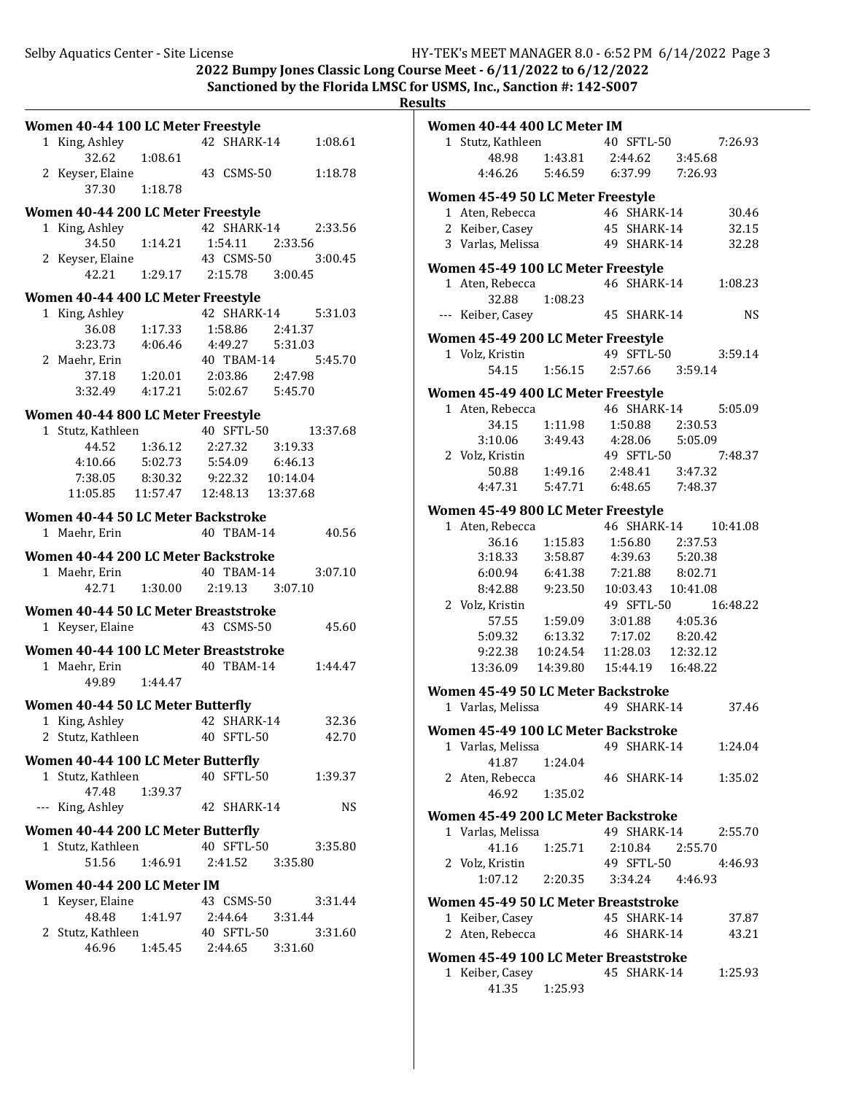**2022 Bumpy Jones Classic Long Course Meet - 6/11/2022 to 6/12/2022**

**Sanctioned by the Florida LMSC for USMS, Inc., Sanction #: 142-S007** 

| Results |  |
|---------|--|
|         |  |

| Women 40-44 100 LC Meter Freestyle     |                                        |                    |          |
|----------------------------------------|----------------------------------------|--------------------|----------|
| 1 King, Ashley                         |                                        | 42 SHARK-14        | 1:08.61  |
| 32.62                                  | 1:08.61                                |                    |          |
| 2 Keyser, Elaine                       |                                        | 43 CSMS-50         | 1:18.78  |
| 37.30                                  | 1:18.78                                |                    |          |
| Women 40-44 200 LC Meter Freestyle     |                                        |                    |          |
| 1 King, Ashley                         |                                        | 42 SHARK-14        | 2:33.56  |
| 34.50  1:14.21                         |                                        | 1:54.11 2:33.56    |          |
| 2 Keyser, Elaine                       |                                        | 43 CSMS-50         | 3:00.45  |
|                                        | 42.21 1:29.17                          | 2:15.78 3:00.45    |          |
| Women 40-44 400 LC Meter Freestyle     |                                        |                    |          |
| 1 King, Ashley                         |                                        | 42 SHARK-14        | 5:31.03  |
| 36.08 1:17.33                          |                                        | 1:58.86 2:41.37    |          |
| 3:23.73                                | 4:06.46  4:49.27  5:31.03              |                    |          |
| 2 Maehr, Erin                          |                                        | 40 TBAM-14         | 5:45.70  |
|                                        | 37.18    1:20.01    2:03.86    2:47.98 |                    |          |
| $3:32.49$ $4:17.21$                    |                                        | 5:02.67    5:45.70 |          |
| Women 40-44 800 LC Meter Freestyle     |                                        |                    |          |
| 1 Stutz, Kathleen                      |                                        | 40 SFTL-50         | 13:37.68 |
| 44.52                                  | 1:36.12 2:27.32 3:19.33                |                    |          |
| 4:10.66 5:02.73 5:54.09 6:46.13        |                                        |                    |          |
| 7:38.05  8:30.32  9:22.32  10:14.04    |                                        |                    |          |
| 11:05.85  11:57.47  12:48.13  13:37.68 |                                        |                    |          |
| Women 40-44 50 LC Meter Backstroke     |                                        |                    |          |
| 1 Maehr, Erin                          |                                        | 40 TBAM-14         | 40.56    |
|                                        |                                        |                    |          |
| Women 40-44 200 LC Meter Backstroke    |                                        |                    |          |
| 1 Maehr, Erin                          |                                        | 40 TBAM-14         | 3:07.10  |
|                                        | 42.71  1:30.00  2:19.13  3:07.10       |                    |          |
| Women 40-44 50 LC Meter Breaststroke   |                                        |                    |          |
| 1 Keyser, Elaine                       |                                        | 43 CSMS-50         | 45.60    |
| Women 40-44 100 LC Meter Breaststroke  |                                        |                    |          |
| 1 Maehr, Erin                          |                                        | 40 TBAM-14         | 1:44.47  |
| 49.89 1:44.47                          |                                        |                    |          |
| Women 40-44 50 LC Meter Butterfly      |                                        |                    |          |
| 1 King, Ashley                         |                                        | 42 SHARK-14        | 32.36    |
| 2 Stutz, Kathleen                      |                                        | 40 SFTL-50         | 42.70    |
|                                        |                                        |                    |          |
| Women 40-44 100 LC Meter Butterfly     |                                        | 40 SFTL-50         |          |
| 1 Stutz, Kathleen<br>47.48             | 1:39.37                                |                    | 1:39.37  |
| --- King, Ashley                       |                                        | 42 SHARK-14        | NS       |
|                                        |                                        |                    |          |
| Women 40-44 200 LC Meter Butterfly     |                                        |                    |          |
| 1 Stutz, Kathleen                      |                                        | 40 SFTL-50         | 3:35.80  |
|                                        | 51.56 1:46.91 2:41.52 3:35.80          |                    |          |
| Women 40-44 200 LC Meter IM            |                                        |                    |          |
| 1 Keyser, Elaine                       |                                        | 43 CSMS-50         | 3:31.44  |
| 48.48                                  | 1:41.97  2:44.64  3:31.44              |                    |          |
| 2 Stutz, Kathleen                      |                                        | 40 SFTL-50         | 3:31.60  |
| 46.96                                  | 1:45.45 2:44.65 3:31.60                |                    |          |
|                                        |                                        |                    |          |

| ື້ |                                                                                                                                                                  |                                                      |             |                 |                      |
|----|------------------------------------------------------------------------------------------------------------------------------------------------------------------|------------------------------------------------------|-------------|-----------------|----------------------|
|    | Women 40-44 400 LC Meter IM                                                                                                                                      |                                                      |             |                 |                      |
|    | 1 Stutz, Kathleen 40 SFTL-50 7:26.93                                                                                                                             |                                                      |             |                 |                      |
|    |                                                                                                                                                                  | 48.98  1:43.81  2:44.62  3:45.68                     |             |                 |                      |
|    | 4:46.26 5:46.59 6:37.99 7:26.93                                                                                                                                  |                                                      |             |                 |                      |
|    | Women 45-49 50 LC Meter Freestyle                                                                                                                                |                                                      |             |                 |                      |
|    | 1 Aten, Rebecca<br>2 Keiber, Casey<br>2 Keiber, Casey<br>2 Martin 10 2011 11:                                                                                    |                                                      |             |                 | 30.46                |
|    |                                                                                                                                                                  |                                                      |             |                 | 32.15                |
|    | 3 Varlas, Melissa                                                                                                                                                |                                                      | 49 SHARK-14 |                 | 32.28                |
|    | Women 45-49 100 LC Meter Freestyle                                                                                                                               |                                                      |             |                 |                      |
|    | 1 Aten, Rebecca                                                                                                                                                  |                                                      | 46 SHARK-14 |                 | 1:08.23              |
|    | 32.88                                                                                                                                                            | 1:08.23                                              |             |                 |                      |
|    | --- Keiber, Casey                                                                                                                                                |                                                      | 45 SHARK-14 |                 | <b>NS</b>            |
|    | Women 45-49 200 LC Meter Freestyle                                                                                                                               |                                                      |             |                 |                      |
|    | 1 Volz, Kristin 49 SFTL-50<br>54.15 1:56.15 2:57.66 3:59.14                                                                                                      |                                                      |             | 49 SFTL-50      | 3:59.14              |
|    |                                                                                                                                                                  |                                                      |             |                 |                      |
|    | Women 45-49 400 LC Meter Freestyle                                                                                                                               |                                                      |             |                 |                      |
|    | 1 Aten, Rebecca 46 SHARK-14 5:05.09                                                                                                                              |                                                      |             |                 |                      |
|    |                                                                                                                                                                  | 34.15  1:11.98  1:50.88  2:30.53                     |             |                 |                      |
|    | 3:10.06                                                                                                                                                          | 3:49.43 4:28.06 5:05.09                              |             |                 |                      |
|    | 2 Volz, Kristin 49 SFTL-50                                                                                                                                       |                                                      |             |                 | 7:48.37              |
|    |                                                                                                                                                                  | $50.88 \qquad 1:49.16 \qquad 2:48.41 \qquad 3:47.32$ |             |                 |                      |
|    | 4:47.31  5:47.71  6:48.65  7:48.37                                                                                                                               |                                                      |             |                 |                      |
|    | Women 45-49 800 LC Meter Freestyle                                                                                                                               |                                                      |             |                 |                      |
|    | 1 Aten, Rebecca                                                                                                                                                  |                                                      |             |                 | 46 SHARK-14 10:41.08 |
|    |                                                                                                                                                                  | 36.16 1:15.83 1:56.80 2:37.53                        |             |                 |                      |
|    | 3:18.33                                                                                                                                                          | 3:58.87  4:39.63  5:20.38                            |             |                 |                      |
|    | 6:00.94   6:41.38   7:21.88   8:02.71                                                                                                                            |                                                      |             |                 |                      |
|    | 8:42.88  9:23.50  10:03.43  10:41.08                                                                                                                             |                                                      |             |                 |                      |
|    | 2 Volz, Kristin                                                                                                                                                  |                                                      |             | 49 SFTL-50      | 16:48.22             |
|    |                                                                                                                                                                  | 57.55   1:59.09   3:01.88   4:05.36                  |             |                 |                      |
|    |                                                                                                                                                                  |                                                      |             |                 |                      |
|    | $\begin{array}{cccc} 5:09.32 & 6:13.32 & 7:17.02 & 8:20.42 \\ 9:22.38 & 10:24.54 & 11:28.03 & 12:32.12 \\ 13:36.09 & 14:39.80 & 15:44.19 & 16:48.22 \end{array}$ |                                                      |             |                 |                      |
|    |                                                                                                                                                                  |                                                      |             |                 |                      |
|    | Women 45-49 50 LC Meter Backstroke                                                                                                                               |                                                      |             |                 |                      |
|    | 1 Varlas, Melissa                                                                                                                                                |                                                      |             | 49 SHARK-14     | 37.46                |
|    | Women 45-49 100 LC Meter Backstroke                                                                                                                              |                                                      |             |                 |                      |
|    | 1 Varlas, Melissa                                                                                                                                                |                                                      | 49 SHARK-14 |                 | 1:24.04              |
|    | 41.87                                                                                                                                                            | 1:24.04                                              |             |                 |                      |
|    | 2 Aten, Rebecca                                                                                                                                                  |                                                      | 46 SHARK-14 |                 | 1:35.02              |
|    | 46.92                                                                                                                                                            | 1:35.02                                              |             |                 |                      |
|    | Women 45-49 200 LC Meter Backstroke                                                                                                                              |                                                      |             |                 |                      |
|    | 1 Varlas, Melissa                                                                                                                                                |                                                      | 49 SHARK-14 |                 | 2:55.70              |
|    | 41.16                                                                                                                                                            | 1:25.71                                              |             | 2:10.84 2:55.70 |                      |
|    | 2 Volz, Kristin                                                                                                                                                  |                                                      | 49 SFTL-50  |                 | 4:46.93              |
|    | 1:07.12                                                                                                                                                          | 2:20.35                                              |             | 3:34.24 4:46.93 |                      |
|    | Women 45-49 50 LC Meter Breaststroke                                                                                                                             |                                                      |             |                 |                      |
|    | 1 Keiber, Casey                                                                                                                                                  |                                                      | 45 SHARK-14 |                 | 37.87                |
|    | 2 Aten, Rebecca                                                                                                                                                  |                                                      | 46 SHARK-14 |                 | 43.21                |
|    | Women 45-49 100 LC Meter Breaststroke                                                                                                                            |                                                      |             |                 |                      |
|    | 1 Keiber, Casey                                                                                                                                                  |                                                      | 45 SHARK-14 |                 | 1:25.93              |
|    | 41.35                                                                                                                                                            | 1:25.93                                              |             |                 |                      |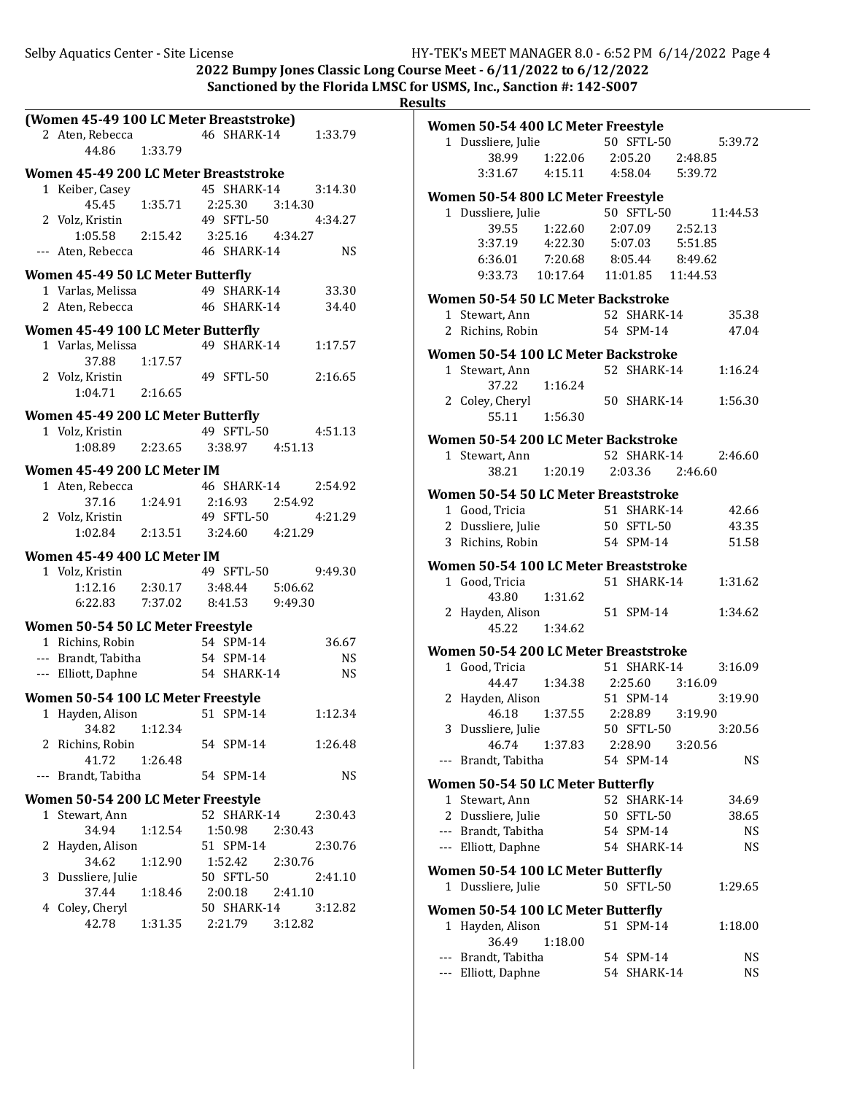2022 Bumpy Jones Classic Long Course Meet -  $6/11/2022$  to  $6/12/2022$ Sanctioned by the Florida LMSC for USMS, Inc., Sanction #: 142-S007

|     | (Women 45-49 100 LC Meter Breaststroke)  |         |                 |         |           |
|-----|------------------------------------------|---------|-----------------|---------|-----------|
|     | 2 Aten, Rebecca                          |         | 46 SHARK-14     |         | 1:33.79   |
|     | 44.86                                    | 1:33.79 |                 |         |           |
|     | Women 45-49 200 LC Meter Breaststroke    |         |                 |         |           |
|     | 1 Keiber, Casey                          |         | 45 SHARK-14     |         | 3:14.30   |
|     | 45.45 1:35.71                            |         | 2:25.30 3:14.30 |         |           |
|     | 2 Volz, Kristin                          |         | 49 SFTL-50      |         | 4:34.27   |
|     | $1:05.58$ $2:15.42$                      |         | 3:25.16 4:34.27 |         |           |
|     | --- Aten, Rebecca                        |         | 46 SHARK-14     |         | <b>NS</b> |
|     |                                          |         |                 |         |           |
|     | <b>Women 45-49 50 LC Meter Butterfly</b> |         |                 |         |           |
|     | 1 Varlas, Melissa                        |         | 49 SHARK-14     |         | 33.30     |
|     | 2 Aten, Rebecca                          |         | 46 SHARK-14     |         | 34.40     |
|     | Women 45-49 100 LC Meter Butterfly       |         |                 |         |           |
|     | 1 Varlas, Melissa                        |         | 49 SHARK-14     |         | 1:17.57   |
|     | 37.88                                    | 1:17.57 |                 |         |           |
|     | 2 Volz, Kristin                          |         | 49 SFTL-50      |         | 2:16.65   |
|     | 1:04.71 2:16.65                          |         |                 |         |           |
|     | Women 45-49 200 LC Meter Butterfly       |         |                 |         |           |
|     | 1 Volz, Kristin                          |         | 49 SFTL-50      |         | 4:51.13   |
|     | 1:08.89  2:23.65  3:38.97  4:51.13       |         |                 |         |           |
|     |                                          |         |                 |         |           |
|     | Women 45-49 200 LC Meter IM              |         |                 |         |           |
|     | 1 Aten, Rebecca                          |         | 46 SHARK-14     |         | 2:54.92   |
|     | 37.16 1:24.91                            |         | 2:16.93 2:54.92 |         |           |
|     | 2 Volz, Kristin                          |         | 49 SFTL-50      |         | 4:21.29   |
|     | 1:02.84  2:13.51  3:24.60  4:21.29       |         |                 |         |           |
|     | Women 45-49 400 LC Meter IM              |         |                 |         |           |
|     | 1 Volz, Kristin                          |         | 49 SFTL-50      |         | 9:49.30   |
|     | 1:12.16 2:30.17 3:48.44 5:06.62          |         |                 |         |           |
|     | 6:22.83 7:37.02 8:41.53 9:49.30          |         |                 |         |           |
|     |                                          |         |                 |         |           |
|     | Women 50-54 50 LC Meter Freestyle        |         |                 |         |           |
|     | 1 Richins, Robin                         |         | 54 SPM-14       |         | 36.67     |
|     | --- Brandt, Tabitha 54 SPM-14            |         |                 |         | <b>NS</b> |
|     | --- Elliott, Daphne                      |         | 54 SHARK-14     |         | NS.       |
|     | Women 50-54 100 LC Meter Freestyle       |         |                 |         |           |
|     | 1 Hayden, Alison                         |         | 51 SPM-14       |         | 1:12.34   |
|     | 34.82                                    | 1:12.34 |                 |         |           |
|     | 2 Richins, Robin                         |         | 54 SPM-14       |         | 1:26.48   |
|     | 41.72                                    | 1:26.48 |                 |         |           |
| --- | Brandt, Tabitha                          |         | 54 SPM-14       |         | <b>NS</b> |
|     |                                          |         |                 |         |           |
|     | Women 50-54 200 LC Meter Freestyle       |         | 52 SHARK-14     |         | 2:30.43   |
|     | 1 Stewart, Ann                           |         |                 |         |           |
|     | 34.94                                    | 1:12.54 | 1:50.98         | 2:30.43 |           |
| 2   | Hayden, Alison                           |         | 51 SPM-14       |         | 2:30.76   |
|     | 34.62                                    | 1:12.90 | 1:52.42         | 2:30.76 |           |
| 3   | Dussliere, Julie                         |         | 50 SFTL-50      |         | 2:41.10   |
|     | 37.44                                    | 1:18.46 | 2:00.18         | 2:41.10 |           |
|     | 4 Coley, Cheryl                          |         | 50 SHARK-14     |         | 3:12.82   |
|     | 42.78                                    | 1:31.35 | 2:21.79 3:12.82 |         |           |
|     |                                          |         |                 |         |           |

|     | Women 50-54 400 LC Meter Freestyle                    |                                         |    |                          |         |                 |
|-----|-------------------------------------------------------|-----------------------------------------|----|--------------------------|---------|-----------------|
|     | 1 Dussliere, Julie                                    |                                         |    | 50 SFTL-50               |         | 5:39.72         |
|     |                                                       | 38.99 1:22.06                           |    | 2:05.20 2:48.85          |         |                 |
|     |                                                       | 3:31.67  4:15.11  4:58.04  5:39.72      |    |                          |         |                 |
|     | Women 50-54 800 LC Meter Freestyle                    |                                         |    |                          |         |                 |
|     | 1 Dussliere, Julie                                    |                                         |    | 50 SFTL-50               |         | 11:44.53        |
|     | 39.55                                                 | 1:22.60 2:07.09 2:52.13                 |    |                          |         |                 |
|     |                                                       | 3:37.19  4:22.30  5:07.03  5:51.85      |    |                          |         |                 |
|     |                                                       | $6:36.01$ $7:20.68$ $8:05.44$ $8:49.62$ |    |                          |         |                 |
|     |                                                       | 9:33.73  10:17.64  11:01.85  11:44.53   |    |                          |         |                 |
|     | Women 50-54 50 LC Meter Backstroke                    |                                         |    |                          |         |                 |
|     | 1 Stewart, Ann                                        |                                         |    | 52 SHARK-14              |         | 35.38           |
|     | 2 Richins, Robin                                      | $54$ SPM-14                             |    |                          |         | 47.04           |
|     |                                                       |                                         |    |                          |         |                 |
|     | Women 50-54 100 LC Meter Backstroke<br>1 Stewart, Ann |                                         |    | 52 SHARK-14              |         | 1:16.24         |
|     | 37.22                                                 | 1:16.24                                 |    |                          |         |                 |
|     | 2 Coley, Cheryl                                       |                                         |    | 50 SHARK-14              |         | 1:56.30         |
|     | 55.11 1:56.30                                         |                                         |    |                          |         |                 |
|     |                                                       |                                         |    |                          |         |                 |
|     | Women 50-54 200 LC Meter Backstroke                   |                                         |    |                          |         |                 |
|     | 1 Stewart, Ann                                        |                                         |    | 52 SHARK-14              |         | 2:46.60         |
|     |                                                       | 38.21 1:20.19 2:03.36 2:46.60           |    |                          |         |                 |
|     | Women 50-54 50 LC Meter Breaststroke                  |                                         |    |                          |         |                 |
|     | 1 Good, Tricia                                        |                                         |    | 51 SHARK-14              |         | 42.66           |
|     | 2 Dussliere, Julie                                    | 50 SFTL-50                              |    |                          |         | 43.35           |
|     | 3 Richins, Robin                                      |                                         |    | 54 SPM-14                |         | 51.58           |
|     | Women 50-54 100 LC Meter Breaststroke                 |                                         |    |                          |         |                 |
|     | 1 Good, Tricia                                        |                                         |    | 51 SHARK-14              |         | 1:31.62         |
|     |                                                       | 43.80 1:31.62                           |    |                          |         |                 |
|     | 2 Hayden, Alison                                      |                                         |    | 51 SPM-14                |         | 1:34.62         |
|     | 45.22 1:34.62                                         |                                         |    |                          |         |                 |
|     | Women 50-54 200 LC Meter Breaststroke                 |                                         |    |                          |         |                 |
|     | 1 Good, Tricia                                        |                                         |    | 51 SHARK-14              |         | 3:16.09         |
|     | 44.47                                                 | $1:34.38$ $2:25.60$ $3:16.09$           |    |                          |         |                 |
|     | 2 Hayden, Alison                                      |                                         |    | 51 SPM-14                |         | 3:19.90         |
|     | 46.18                                                 | 1:37.55 2:28.89 3:19.90<br>50 SFTL-50   |    |                          |         |                 |
|     | 3 Dussliere, Julie                                    |                                         |    | 50 SFTL-50               |         | 3:20.56         |
|     | 46.74                                                 | 1:37.83                                 |    | 2:28.90                  | 3:20.56 |                 |
|     | --- Brandt, Tabitha                                   |                                         |    | 54 SPM-14                |         | NS              |
|     | Women 50-54 50 LC Meter Butterfly                     |                                         |    |                          |         |                 |
|     |                                                       |                                         |    |                          |         |                 |
|     |                                                       |                                         | 52 |                          |         |                 |
|     | 1 Stewart, Ann                                        |                                         |    | SHARK-14                 |         | 34.69           |
|     | 2 Dussliere, Julie                                    |                                         |    | 50 SFTL-50               |         | 38.65           |
|     | --- Brandt, Tabitha                                   |                                         |    | 54 SPM-14<br>54 SHARK-14 |         | <b>NS</b>       |
|     | --- Elliott, Daphne                                   |                                         |    |                          |         | NS              |
|     | Women 50-54 100 LC Meter Butterfly                    |                                         |    |                          |         |                 |
|     | 1 Dussliere, Julie                                    |                                         |    | 50 SFTL-50               |         | 1:29.65         |
|     | Women 50-54 100 LC Meter Butterfly                    |                                         |    |                          |         |                 |
|     | 1 Hayden, Alison                                      |                                         |    | 51 SPM-14                |         | 1:18.00         |
|     | 36.49                                                 | 1:18.00                                 |    |                          |         |                 |
| --- | Brandt, Tabitha<br>--- Elliott, Daphne                |                                         | 54 | 54 SPM-14<br>SHARK-14    |         | <b>NS</b><br>NS |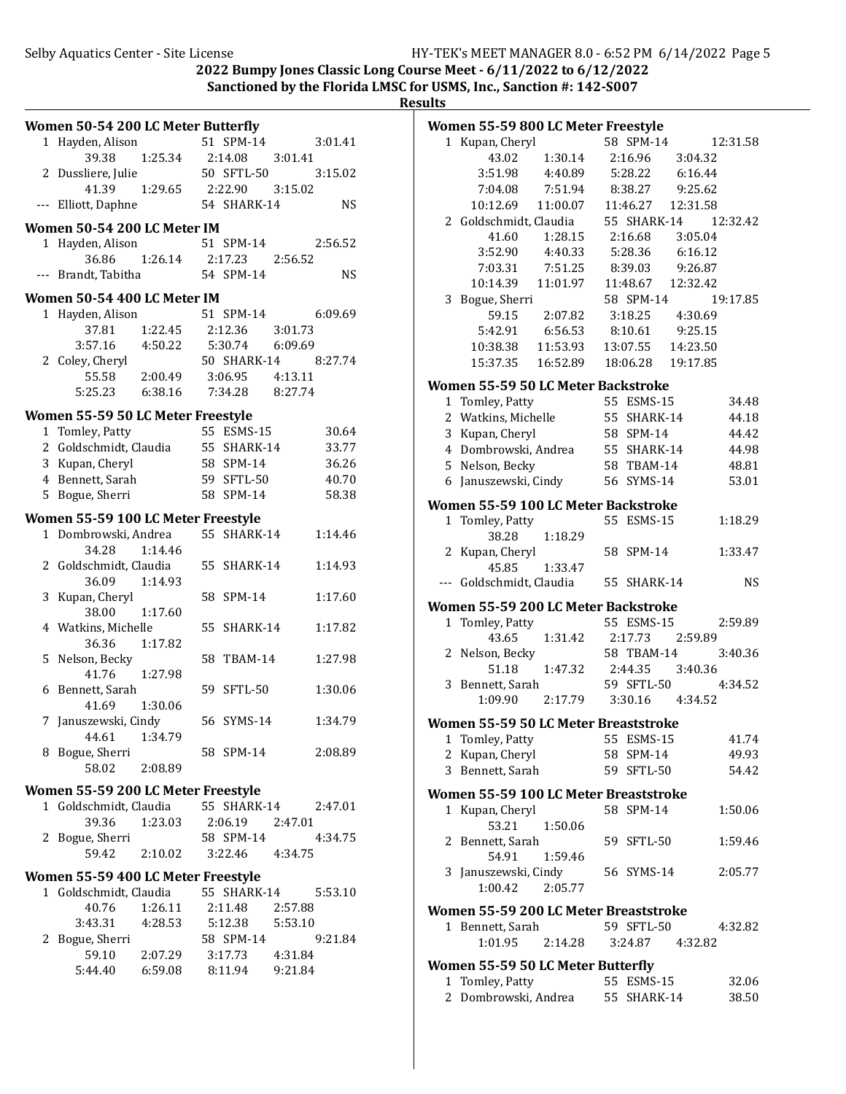2022 Bumpy Jones Classic Long Course Meet -  $6/11/2022$  to  $6/12/2022$ Sanctioned by the Florida LMSC for USMS, Inc., Sanction #: 142-S007

| Women 50-54 200 LC Meter Butterfly |                    |           | Women 55-59 800 LC Meter Freestyle    |                      |           |
|------------------------------------|--------------------|-----------|---------------------------------------|----------------------|-----------|
| 1 Hayden, Alison                   | 51 SPM-14          | 3:01.41   | 1 Kupan, Cheryl                       | 58 SPM-14            | 12:31.58  |
| 39.38<br>1:25.34                   | 2:14.08<br>3:01.41 |           | 43.02                                 | 1:30.14<br>2:16.96   | 3:04.32   |
| 2 Dussliere, Julie                 | 50 SFTL-50         | 3:15.02   | 3:51.98                               | 5:28.22<br>4:40.89   | 6:16.44   |
| 41.39<br>1:29.65                   | 2:22.90<br>3:15.02 |           | 7:04.08                               | 8:38.27<br>7:51.94   | 9:25.62   |
| --- Elliott, Daphne                | 54 SHARK-14        | <b>NS</b> | 10:12.69                              | 11:00.07<br>11:46.27 | 12:31.58  |
|                                    |                    |           | 2 Goldschmidt, Claudia                | 55 SHARK-14          | 12:32.42  |
| Women 50-54 200 LC Meter IM        |                    |           | 41.60                                 | 1:28.15<br>2:16.68   | 3:05.04   |
| 1 Hayden, Alison                   | 51 SPM-14          | 2:56.52   | 3:52.90                               | 5:28.36<br>4:40.33   | 6:16.12   |
| 36.86<br>1:26.14                   | 2:17.23<br>2:56.52 |           | 7:03.31                               | 7:51.25<br>8:39.03   | 9:26.87   |
| --- Brandt, Tabitha                | 54 SPM-14          | <b>NS</b> | 10:14.39                              | 11:01.97<br>11:48.67 | 12:32.42  |
| Women 50-54 400 LC Meter IM        |                    |           | 3 Bogue, Sherri                       | 58 SPM-14            | 19:17.85  |
| 1 Hayden, Alison                   | 51 SPM-14          | 6:09.69   | 59.15                                 | 2:07.82<br>3:18.25   | 4:30.69   |
| 37.81<br>1:22.45                   | 2:12.36<br>3:01.73 |           | 5:42.91                               | 6:56.53<br>8:10.61   | 9:25.15   |
| 3:57.16<br>4:50.22                 | 5:30.74<br>6:09.69 |           | 10:38.38                              | 11:53.93<br>13:07.55 | 14:23.50  |
| 2 Coley, Cheryl                    | 50 SHARK-14        | 8:27.74   | 15:37.35                              | 16:52.89<br>18:06.28 | 19:17.85  |
| 2:00.49<br>55.58                   | 4:13.11<br>3:06.95 |           |                                       |                      |           |
| 5:25.23<br>6:38.16                 | 7:34.28<br>8:27.74 |           | Women 55-59 50 LC Meter Backstroke    |                      |           |
|                                    |                    |           | 1 Tomley, Patty                       | 55 ESMS-15           | 34.48     |
| Women 55-59 50 LC Meter Freestyle  |                    |           | 2 Watkins, Michelle                   | 55 SHARK-14          | 44.18     |
| 1 Tomley, Patty                    | 55 ESMS-15         | 30.64     | 3 Kupan, Cheryl                       | 58 SPM-14            | 44.42     |
| 2 Goldschmidt, Claudia             | 55 SHARK-14        | 33.77     | 4 Dombrowski, Andrea                  | 55 SHARK-14          | 44.98     |
| 3 Kupan, Cheryl                    | 58 SPM-14          | 36.26     | 5 Nelson, Becky                       | 58 TBAM-14           | 48.81     |
| 4 Bennett, Sarah                   | 59 SFTL-50         | 40.70     | 6 Januszewski, Cindy                  | 56 SYMS-14           | 53.01     |
| 5 Bogue, Sherri                    | 58 SPM-14          | 58.38     | Women 55-59 100 LC Meter Backstroke   |                      |           |
| Women 55-59 100 LC Meter Freestyle |                    |           |                                       |                      |           |
| 1 Dombrowski, Andrea               | 55 SHARK-14        | 1:14.46   | 1 Tomley, Patty                       | 55 ESMS-15           | 1:18.29   |
| 34.28<br>1:14.46                   |                    |           | 38.28                                 | 1:18.29              |           |
| 2 Goldschmidt, Claudia             | 55 SHARK-14        | 1:14.93   | 2 Kupan, Cheryl                       | 58 SPM-14            | 1:33.47   |
| 36.09<br>1:14.93                   |                    |           | 45.85                                 | 1:33.47              |           |
| 3 Kupan, Cheryl                    | 58 SPM-14          | 1:17.60   | --- Goldschmidt, Claudia              | 55 SHARK-14          | <b>NS</b> |
| 38.00<br>1:17.60                   |                    |           | Women 55-59 200 LC Meter Backstroke   |                      |           |
| 4 Watkins, Michelle                | 55 SHARK-14        | 1:17.82   | 1 Tomley, Patty                       | 55 ESMS-15           | 2:59.89   |
| 36.36<br>1:17.82                   |                    |           | 43.65                                 | 1:31.42<br>2:17.73   | 2:59.89   |
| 5 Nelson, Becky                    | 58 TBAM-14         | 1:27.98   | 2 Nelson, Becky                       | 58 TBAM-14           | 3:40.36   |
| 1:27.98<br>41.76                   |                    |           | 51.18                                 | 1:47.32<br>2:44.35   | 3:40.36   |
| 6 Bennett, Sarah                   | 59 SFTL-50         | 1:30.06   | 3 Bennett, Sarah                      | 59 SFTL-50           | 4:34.52   |
| 41.69<br>1:30.06                   |                    |           | 1:09.90                               | 2:17.79<br>3:30.16   | 4:34.52   |
|                                    | 56 SYMS-14         |           |                                       |                      |           |
| 7 Januszewski, Cindy               |                    | 1:34.79   | Women 55-59 50 LC Meter Breaststroke  |                      |           |
| 44.61<br>1:34.79                   |                    |           | 1 Tomley, Patty                       | 55 ESMS-15           | 41.74     |
| 8 Bogue, Sherri                    | 58 SPM-14          | 2:08.89   | 2 Kupan, Cheryl                       | 58 SPM-14            | 49.93     |
| 2:08.89<br>58.02                   |                    |           | 3 Bennett, Sarah                      | 59 SFTL-50           | 54.42     |
| Women 55-59 200 LC Meter Freestyle |                    |           | Women 55-59 100 LC Meter Breaststroke |                      |           |
| 1 Goldschmidt, Claudia             | 55 SHARK-14        | 2:47.01   | 1 Kupan, Cheryl                       | 58 SPM-14            | 1:50.06   |
| 39.36<br>1:23.03                   | 2:06.19<br>2:47.01 |           | 53.21                                 | 1:50.06              |           |
| 2 Bogue, Sherri                    | 58 SPM-14          | 4:34.75   | 2 Bennett, Sarah                      | 59 SFTL-50           | 1:59.46   |
| 59.42<br>2:10.02                   | 3:22.46<br>4:34.75 |           | 54.91                                 | 1:59.46              |           |
|                                    |                    |           | 3 Januszewski, Cindy                  | 56 SYMS-14           | 2:05.77   |
| Women 55-59 400 LC Meter Freestyle |                    |           | 1:00.42                               | 2:05.77              |           |
| 1 Goldschmidt, Claudia             | 55 SHARK-14        | 5:53.10   |                                       |                      |           |
| 40.76<br>1:26.11                   | 2:11.48<br>2:57.88 |           | Women 55-59 200 LC Meter Breaststroke |                      |           |
| 3:43.31<br>4:28.53                 | 5:53.10<br>5:12.38 |           | 1 Bennett, Sarah                      | 59 SFTL-50           | 4:32.82   |
| 2 Bogue, Sherri                    | 58 SPM-14          | 9:21.84   | 1:01.95                               | 2:14.28<br>3:24.87   | 4:32.82   |
| 59.10<br>2:07.29                   | 3:17.73<br>4:31.84 |           |                                       |                      |           |
| 6:59.08<br>5:44.40                 | 9:21.84<br>8:11.94 |           | Women 55-59 50 LC Meter Butterfly     |                      |           |
|                                    |                    |           | 1 Tomley, Patty                       | 55 ESMS-15           | 32.06     |
|                                    |                    |           | 2 Dombrowski, Andrea                  | 55 SHARK-14          | 38.50     |
|                                    |                    |           |                                       |                      |           |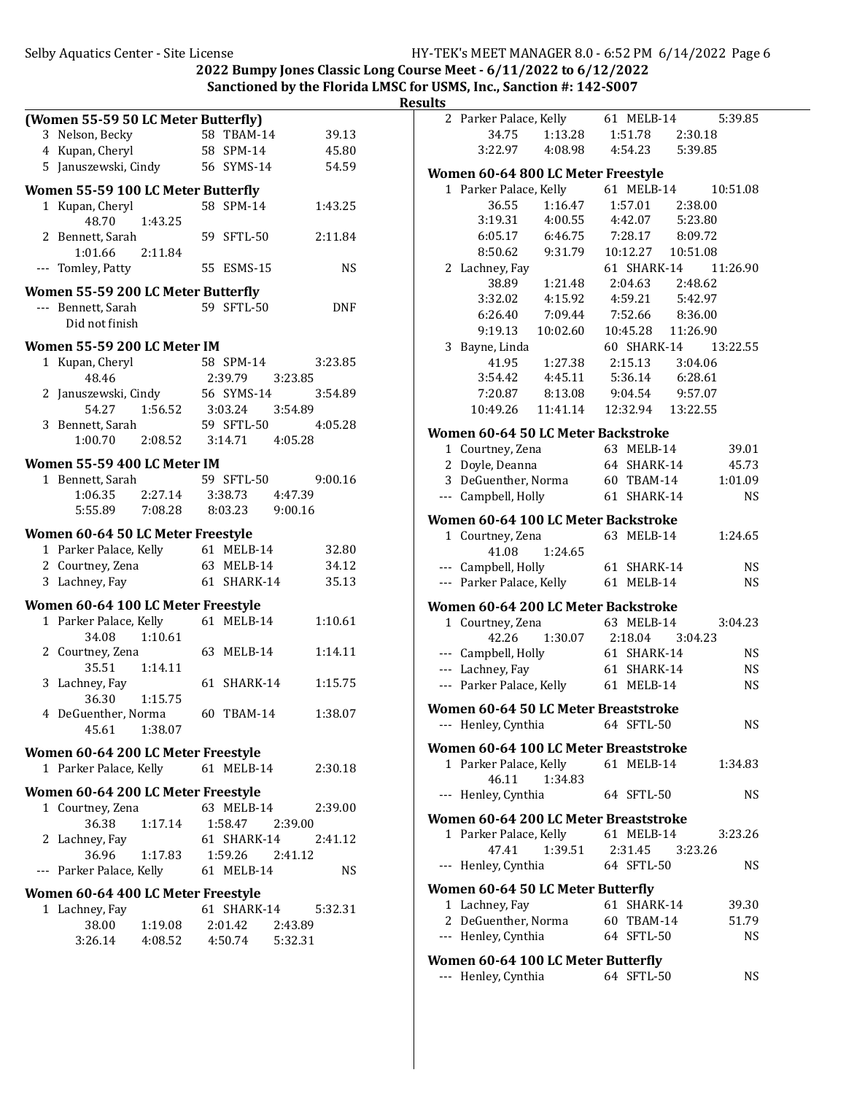|                                              |                    |            | <b>Results</b> |                                       |          |             |           |
|----------------------------------------------|--------------------|------------|----------------|---------------------------------------|----------|-------------|-----------|
| (Women 55-59 50 LC Meter Butterfly)          |                    |            |                | 2 Parker Palace, Kelly                |          | 61 MELB-14  | 5:39.85   |
| 3 Nelson, Becky                              | 58 TBAM-14         | 39.13      |                | 34.75                                 | 1:13.28  | 1:51.78     | 2:30.18   |
| 4 Kupan, Cheryl                              | 58 SPM-14          | 45.80      |                | 3:22.97                               | 4:08.98  | 4:54.23     | 5:39.85   |
| 5 Januszewski, Cindy                         | 56 SYMS-14         | 54.59      |                | Women 60-64 800 LC Meter Freestyle    |          |             |           |
| Women 55-59 100 LC Meter Butterfly           |                    |            |                | 1 Parker Palace, Kelly                |          | 61 MELB-14  | 10:51.08  |
| 1 Kupan, Cheryl                              | 58 SPM-14          | 1:43.25    |                | 36.55                                 | 1:16.47  | 1:57.01     | 2:38.00   |
| 1:43.25<br>48.70                             |                    |            |                | 3:19.31                               | 4:00.55  | 4:42.07     | 5:23.80   |
| 2 Bennett, Sarah                             | 59 SFTL-50         | 2:11.84    |                | 6:05.17                               | 6:46.75  | 7:28.17     | 8:09.72   |
| 2:11.84<br>1:01.66                           |                    |            |                | 8:50.62                               | 9:31.79  | 10:12.27    | 10:51.08  |
| --- Tomley, Patty                            | 55 ESMS-15         | <b>NS</b>  |                | 2 Lachney, Fay                        |          | 61 SHARK-14 | 11:26.90  |
|                                              |                    |            |                | 38.89                                 | 1:21.48  | 2:04.63     | 2:48.62   |
| Women 55-59 200 LC Meter Butterfly           |                    |            |                | 3:32.02                               | 4:15.92  | 4:59.21     | 5:42.97   |
| --- Bennett, Sarah                           | 59 SFTL-50         | <b>DNF</b> |                | 6:26.40                               | 7:09.44  | 7:52.66     | 8:36.00   |
| Did not finish                               |                    |            |                | 9:19.13                               | 10:02.60 | 10:45.28    | 11:26.90  |
| Women 55-59 200 LC Meter IM                  |                    |            |                | 3 Bayne, Linda                        |          | 60 SHARK-14 | 13:22.55  |
| 1 Kupan, Cheryl                              | 58 SPM-14          | 3:23.85    |                | 41.95                                 | 1:27.38  | 2:15.13     | 3:04.06   |
| 48.46                                        | 2:39.79<br>3:23.85 |            |                | 3:54.42                               | 4:45.11  | 5:36.14     | 6:28.61   |
| 2 Januszewski, Cindy                         | 56 SYMS-14         | 3:54.89    |                | 7:20.87                               | 8:13.08  | 9:04.54     | 9:57.07   |
| 54.27<br>1:56.52                             | 3:03.24<br>3:54.89 |            |                | 10:49.26                              | 11:41.14 | 12:32.94    | 13:22.55  |
| 3 Bennett, Sarah                             | 59 SFTL-50         | 4:05.28    |                | Women 60-64 50 LC Meter Backstroke    |          |             |           |
| 1:00.70<br>2:08.52                           | 3:14.71<br>4:05.28 |            |                | 1 Courtney, Zena                      |          | 63 MELB-14  | 39.01     |
| Women 55-59 400 LC Meter IM                  |                    |            |                | 2 Doyle, Deanna                       |          | 64 SHARK-14 | 45.73     |
| 1 Bennett, Sarah                             | 59 SFTL-50         | 9:00.16    |                | 3 DeGuenther, Norma                   |          | 60 TBAM-14  | 1:01.09   |
| 2:27.14<br>1:06.35                           | 3:38.73<br>4:47.39 |            |                | --- Campbell, Holly                   |          | 61 SHARK-14 | <b>NS</b> |
| 5:55.89<br>7:08.28                           | 8:03.23<br>9:00.16 |            |                |                                       |          |             |           |
|                                              |                    |            |                | Women 60-64 100 LC Meter Backstroke   |          |             |           |
| Women 60-64 50 LC Meter Freestyle            |                    |            |                | 1 Courtney, Zena                      |          | 63 MELB-14  | 1:24.65   |
| 1 Parker Palace, Kelly                       | 61 MELB-14         | 32.80      |                | 41.08                                 | 1:24.65  |             |           |
| 2 Courtney, Zena                             | 63 MELB-14         | 34.12      |                | --- Campbell, Holly                   |          | 61 SHARK-14 | <b>NS</b> |
| 3 Lachney, Fay                               | 61 SHARK-14        | 35.13      |                | --- Parker Palace, Kelly              |          | 61 MELB-14  | <b>NS</b> |
| Women 60-64 100 LC Meter Freestyle           |                    |            |                | Women 60-64 200 LC Meter Backstroke   |          |             |           |
| 1 Parker Palace, Kelly                       | 61 MELB-14         | 1:10.61    |                | 1 Courtney, Zena                      |          | 63 MELB-14  | 3:04.23   |
| 34.08<br>1:10.61                             |                    |            |                | 42.26                                 | 1:30.07  | 2:18.04     | 3:04.23   |
| 2 Courtney, Zena                             | 63 MELB-14         | 1:14.11    |                | --- Campbell, Holly                   |          | 61 SHARK-14 | <b>NS</b> |
| 1:14.11<br>35.51                             |                    |            |                | --- Lachney, Fay                      |          | 61 SHARK-14 | <b>NS</b> |
| 3 Lachney, Fay                               | 61 SHARK-14        | 1:15.75    |                | --- Parker Palace, Kelly              |          | 61 MELB-14  | <b>NS</b> |
| 36.30<br>1:15.75                             |                    |            |                | Women 60-64 50 LC Meter Breaststroke  |          |             |           |
| 4 DeGuenther, Norma                          | 60 TBAM-14         | 1:38.07    |                | --- Henley, Cynthia                   |          | 64 SFTL-50  |           |
| 45.61<br>1:38.07                             |                    |            |                |                                       |          |             | NS        |
| Women 60-64 200 LC Meter Freestyle           |                    |            |                | Women 60-64 100 LC Meter Breaststroke |          |             |           |
| 1 Parker Palace, Kelly                       | 61 MELB-14         | 2:30.18    |                | 1 Parker Palace, Kelly                |          | 61 MELB-14  | 1:34.83   |
|                                              |                    |            |                | 46.11                                 | 1:34.83  |             |           |
| Women 60-64 200 LC Meter Freestyle           |                    |            |                | --- Henley, Cynthia                   |          | 64 SFTL-50  | <b>NS</b> |
| 1 Courtney, Zena                             | 63 MELB-14         | 2:39.00    |                | Women 60-64 200 LC Meter Breaststroke |          |             |           |
| 36.38<br>1:17.14                             | 1:58.47<br>2:39.00 |            |                | 1 Parker Palace, Kelly                |          | 61 MELB-14  | 3:23.26   |
| 2 Lachney, Fay                               | 61 SHARK-14        | 2:41.12    |                | 47.41                                 | 1:39.51  | 2:31.45     | 3:23.26   |
| 36.96<br>1:17.83<br>--- Parker Palace, Kelly | 1:59.26<br>2:41.12 | <b>NS</b>  |                | --- Henley, Cynthia                   |          | 64 SFTL-50  | <b>NS</b> |
|                                              | 61 MELB-14         |            |                |                                       |          |             |           |
| Women 60-64 400 LC Meter Freestyle           |                    |            |                | Women 60-64 50 LC Meter Butterfly     |          |             |           |
| 1 Lachney, Fay                               | 61 SHARK-14        | 5:32.31    |                | 1 Lachney, Fay                        |          | 61 SHARK-14 | 39.30     |
| 38.00<br>1:19.08                             | 2:01.42<br>2:43.89 |            |                | 2 DeGuenther, Norma                   |          | 60 TBAM-14  | 51.79     |
| 3:26.14<br>4:08.52                           | 4:50.74<br>5:32.31 |            |                | --- Henley, Cynthia                   |          | 64 SFTL-50  | NS        |
|                                              |                    |            |                | Women 60-64 100 LC Meter Butterfly    |          |             |           |
|                                              |                    |            |                | --- Henley, Cynthia                   |          | 64 SFTL-50  | <b>NS</b> |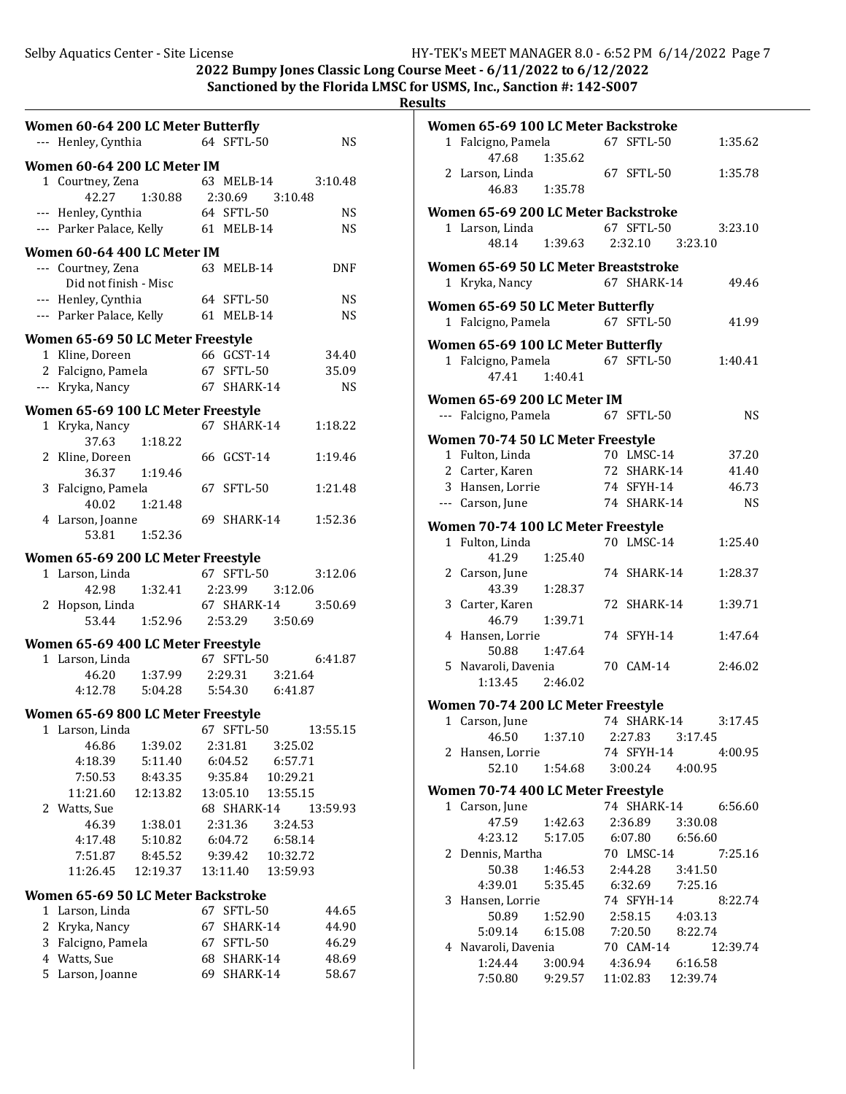**R** 

| ,<br>ı<br>υ<br>١ |  |
|------------------|--|
|                  |  |

|   | Women 60-64 200 LC Meter Butterfly    |                               |                 |            |
|---|---------------------------------------|-------------------------------|-----------------|------------|
|   | --- Henley, Cynthia                   |                               | 64 SFTL-50      | <b>NS</b>  |
|   | Women 60-64 200 LC Meter IM           |                               |                 |            |
|   | 1 Courtney, Zena                      |                               | 63 MELB-14      | 3:10.48    |
|   | 42.27                                 | 1:30.88 2:30.69 3:10.48       |                 |            |
|   | --- Henley, Cynthia                   |                               | 64 SFTL-50      | <b>NS</b>  |
|   | --- Parker Palace, Kelly 61 MELB-14   |                               |                 | NS.        |
|   | Women 60-64 400 LC Meter IM           |                               |                 |            |
|   | --- Courtney, Zena                    |                               | 63 MELB-14      | <b>DNF</b> |
|   | Did not finish - Misc                 |                               |                 |            |
|   | --- Henley, Cynthia                   |                               | 64 SFTL-50      | <b>NS</b>  |
|   | --- Parker Palace, Kelly              |                               | 61 MELB-14      | <b>NS</b>  |
|   | Women 65-69 50 LC Meter Freestyle     |                               |                 |            |
|   | 1 Kline, Doreen                       |                               | 66 GCST-14      | 34.40      |
|   | 2 Falcigno, Pamela 67 SFTL-50         |                               |                 | 35.09      |
|   | --- Kryka, Nancy                      |                               | 67 SHARK-14     | <b>NS</b>  |
|   |                                       |                               |                 |            |
|   | Women 65-69 100 LC Meter Freestyle    |                               | 67 SHARK-14     |            |
|   | 1 Kryka, Nancy<br>37.63               | 1:18.22                       |                 | 1:18.22    |
|   | 2 Kline, Doreen                       |                               | 66 GCST-14      | 1:19.46    |
|   | 36.37 1:19.46                         |                               |                 |            |
|   | 3 Falcigno, Pamela                    |                               | 67 SFTL-50      | 1:21.48    |
|   | 40.02                                 | 1:21.48                       |                 |            |
|   | 4 Larson, Joanne                      |                               | 69 SHARK-14     | 1:52.36    |
|   | 53.81 1:52.36                         |                               |                 |            |
|   | Women 65-69 200 LC Meter Freestyle    |                               |                 |            |
|   | 1 Larson, Linda                       |                               | 67 SFTL-50      | 3:12.06    |
|   | 42.98                                 | 1:32.41  2:23.99  3:12.06     |                 |            |
|   | 2 Hopson, Linda                       |                               | 67 SHARK-14     | 3:50.69    |
|   |                                       | 53.44 1:52.96 2:53.29 3:50.69 |                 |            |
|   | Women 65-69 400 LC Meter Freestyle    |                               |                 |            |
|   | 1 Larson, Linda                       |                               | 67 SFTL-50      | 6:41.87    |
|   | 46.20  1:37.99                        |                               | 2:29.31 3:21.64 |            |
|   | 4:12.78   5:04.28   5:54.30   6:41.87 |                               |                 |            |
|   | Women 65-69 800 LC Meter Freestyle    |                               |                 |            |
|   | 1 Larson, Linda 67 SFTL-50            |                               |                 | 13:55.15   |
|   | 46.86                                 | 1:39.02                       | 2:31.81         | 3:25.02    |
|   | 4:18.39                               | 5:11.40                       | 6:04.52         | 6:57.71    |
|   | 7:50.53                               | 8:43.35                       | 9:35.84         | 10:29.21   |
|   | 11:21.60                              | 12:13.82                      | 13:05.10        | 13:55.15   |
|   | 2 Watts, Sue                          |                               | 68 SHARK-14     | 13:59.93   |
|   | 46.39                                 | 1:38.01                       | 2:31.36         | 3:24.53    |
|   | 4:17.48                               | 5:10.82                       | 6:04.72         | 6:58.14    |
|   | 7:51.87                               | 8:45.52                       | 9:39.42         | 10:32.72   |
|   | 11:26.45                              | 12:19.37                      | 13:11.40        | 13:59.93   |
|   | Women 65-69 50 LC Meter Backstroke    |                               |                 |            |
|   | 1 Larson, Linda                       |                               | 67 SFTL-50      | 44.65      |
|   | 2 Kryka, Nancy                        |                               | 67 SHARK-14     | 44.90      |
| 3 | Falcigno, Pamela                      |                               | 67 SFTL-50      | 46.29      |
|   | 4 Watts, Sue                          |                               | 68 SHARK-14     | 48.69      |
|   | 5 Larson, Joanne                      |                               | 69 SHARK-14     | 58.67      |

| Women 65-69 100 LC Meter Backstroke    |                           |                               |         |           |
|----------------------------------------|---------------------------|-------------------------------|---------|-----------|
| 1 Falcigno, Pamela                     |                           | 67 SFTL-50                    |         | 1:35.62   |
| 47.68                                  | 1:35.62                   |                               |         |           |
| 2 Larson, Linda                        |                           | 67 SFTL-50                    |         | 1:35.78   |
| 46.83                                  | 1:35.78                   |                               |         |           |
| Women 65-69 200 LC Meter Backstroke    |                           |                               |         |           |
| 1 Larson, Linda<br>48.14    1:39.63    |                           | 67 SFTL-50                    |         | 3:23.10   |
|                                        |                           | 2:32.10 3:23.10               |         |           |
| Women 65-69 50 LC Meter Breaststroke   |                           |                               |         |           |
| 1 Kryka, Nancy                         |                           | 67 SHARK-14                   |         | 49.46     |
| Women 65-69 50 LC Meter Butterfly      |                           |                               |         |           |
| 1 Falcigno, Pamela                     |                           | 67 SFTL-50                    |         | 41.99     |
|                                        |                           |                               |         |           |
| Women 65-69 100 LC Meter Butterfly     |                           |                               |         |           |
| 1 Falcigno, Pamela                     |                           | 67 SFTL-50                    |         | 1:40.41   |
| 47.41                                  | 1:40.41                   |                               |         |           |
| Women 65-69 200 LC Meter IM            |                           |                               |         |           |
| --- Falcigno, Pamela                   |                           | 67 SFTL-50                    |         | <b>NS</b> |
| Women 70-74 50 LC Meter Freestyle      |                           |                               |         |           |
| 1 Fulton, Linda                        |                           | 70 LMSC-14                    |         | 37.20     |
| 2 Carter, Karen                        |                           | 72 SHARK-14                   |         | 41.40     |
| 3 Hansen, Lorrie                       |                           | 74 SFYH-14                    |         | 46.73     |
| --- Carson, June                       |                           | 74 SHARK-14                   |         | <b>NS</b> |
| Women 70-74 100 LC Meter Freestyle     |                           |                               |         |           |
| 1 Fulton, Linda                        |                           | 70 LMSC-14                    |         | 1:25.40   |
| 41.29                                  | 1:25.40                   |                               |         |           |
| 2 Carson, June                         |                           | 74 SHARK-14                   |         | 1:28.37   |
| 43.39                                  | 1:28.37                   |                               |         |           |
| 3 Carter, Karen                        |                           | 72 SHARK-14                   |         | 1:39.71   |
| 46.79                                  | 1:39.71                   |                               |         |           |
| 4 Hansen, Lorrie                       |                           | 74 SFYH-14                    |         | 1:47.64   |
| 50.88                                  | 1:47.64                   |                               |         |           |
| 5 Navaroli, Davenia<br>1:13.45 2:46.02 |                           | 70 CAM-14                     |         | 2:46.02   |
|                                        |                           |                               |         |           |
| Women 70-74 200 LC Meter Freestyle     |                           |                               |         |           |
| 1 Carson, June                         |                           | 74 SHARK-14                   |         | 3:17.45   |
| 46.50                                  | 1:37.10                   | 2:27.83                       | 3:17.45 |           |
| 2 Hansen, Lorrie<br>52.10              | 1:54.68                   | 74 SFYH-14<br>3:00.24         | 4:00.95 | 4:00.95   |
|                                        |                           |                               |         |           |
| Women 70-74 400 LC Meter Freestyle     |                           |                               |         |           |
| 1 Carson, June                         |                           | 74 SHARK-14 6:56.60           |         |           |
| 47.59                                  | 1:42.63                   | 2:36.89 3:30.08               |         |           |
| 4:23.12                                | 5:17.05                   | 6:07.80 6:56.60               |         |           |
| 2 Dennis, Martha<br>50.38              | 1:46.53                   | 70 LMSC-14<br>2:44.28 3:41.50 |         | 7:25.16   |
| 4:39.01                                | 5:35.45                   | 6:32.69 7:25.16               |         |           |
| 3 Hansen, Lorrie                       |                           | 74 SFYH-14                    |         | 8:22.74   |
| 50.89                                  | 1:52.90                   | 2:58.15 4:03.13               |         |           |
| 5:09.14 6:15.08                        |                           | 7:20.50 8:22.74               |         |           |
| 4 Navaroli, Davenia                    |                           | 70 CAM-14                     |         | 12:39.74  |
| 1:24.44                                | 3:00.94  4:36.94  6:16.58 |                               |         |           |
| 7:50.80                                | 9:29.57                   | 11:02.83  12:39.74            |         |           |
|                                        |                           |                               |         |           |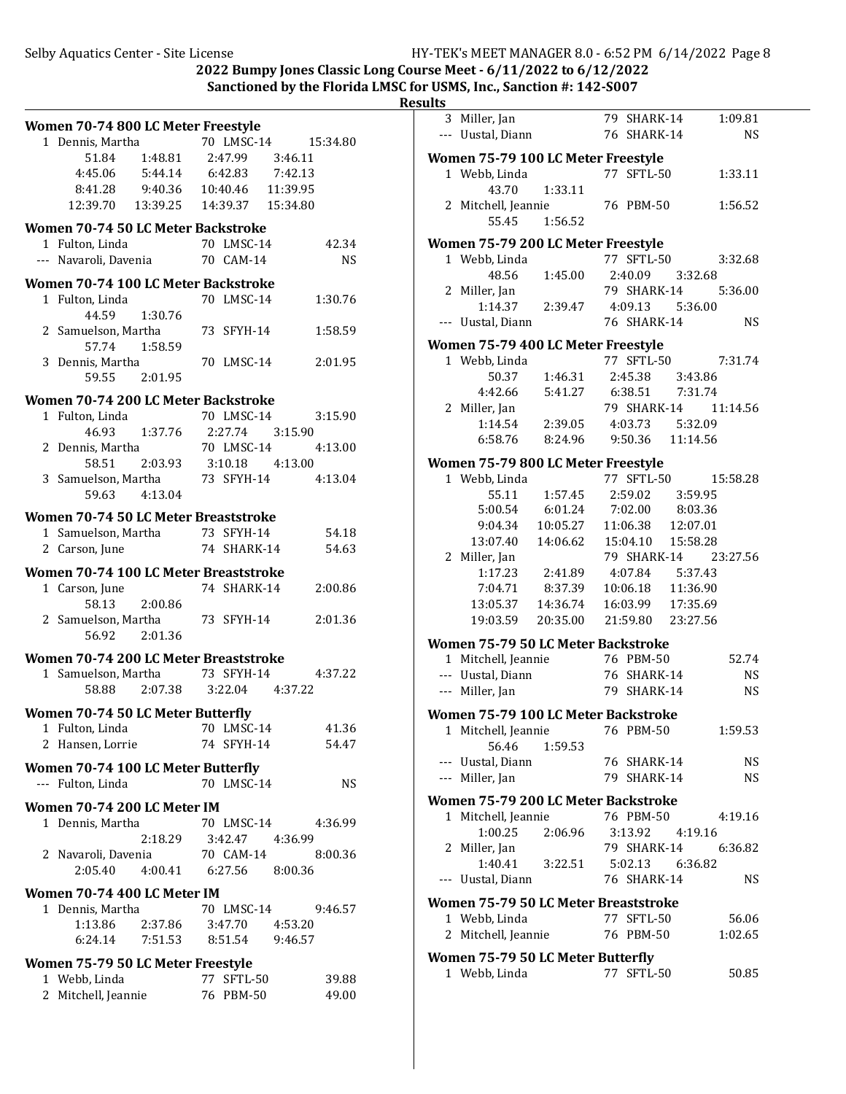| -<br>.<br><br>u<br>п |  |
|----------------------|--|
|                      |  |

| Women 70-74 800 LC Meter Freestyle        |                             |           |
|-------------------------------------------|-----------------------------|-----------|
| 1 Dennis, Martha                          | 70 LMSC-14                  | 15:34.80  |
| 51.84 1:48.81                             | 2:47.99 3:46.11             |           |
| $4:45.06$ $5:44.14$                       | $6:42.83$ $7:42.13$         |           |
| 8:41.28 9:40.36                           | 10:40.46 11:39.95           |           |
| 12:39.70  13:39.25                        | 14:39.37  15:34.80          |           |
| Women 70-74 50 LC Meter Backstroke        |                             |           |
| 1 Fulton, Linda                           | 70 LMSC-14                  | 42.34     |
| --- Navaroli, Davenia 70 CAM-14           |                             | NS        |
| Women 70-74 100 LC Meter Backstroke       |                             |           |
| 1 Fulton, Linda                           | 70 LMSC-14                  | 1:30.76   |
| 44.59 1:30.76                             |                             |           |
| 2 Samuelson, Martha                       | 73 SFYH-14                  | 1:58.59   |
| 57.74 1:58.59                             |                             |           |
| 3 Dennis, Martha                          | 70 LMSC-14                  | 2:01.95   |
| 59.55 2:01.95                             |                             |           |
| Women 70-74 200 LC Meter Backstroke       |                             |           |
| 1 Fulton, Linda                           | 70 LMSC-14                  | 3:15.90   |
| 46.93 1:37.76                             | 2:27.74 3:15.90             |           |
| 2 Dennis, Martha                          | 70 LMSC-14                  | 4:13.00   |
| 58.51 2:03.93                             | $3:10.18$ $4:13.00$         |           |
| 3 Samuelson, Martha                       | 73 SFYH-14                  | 4:13.04   |
| 59.63 4:13.04                             |                             |           |
| Women 70-74 50 LC Meter Breaststroke      |                             |           |
| 1 Samuelson, Martha 73 SFYH-14            |                             | 54.18     |
| 2 Carson, June                            | 74 SHARK-14                 | 54.63     |
| Women 70-74 100 LC Meter Breaststroke     |                             |           |
| 1 Carson, June                            | 74 SHARK-14                 | 2:00.86   |
| 2:00.86<br>58.13                          |                             |           |
| 2 Samuelson, Martha                       | 73 SFYH-14                  | 2:01.36   |
| 2:01.36<br>56.92                          |                             |           |
| Women 70-74 200 LC Meter Breaststroke     |                             |           |
| 1 Samuelson, Martha                       | 73 SFYH-14                  | 4:37.22   |
| 58.88                                     | 2:07.38 3:22.04 4:37.22     |           |
| <b>Women 70-74 50 LC Meter Butterfly</b>  |                             |           |
| 1 Fulton, Linda                           | 70 LMSC-14                  | 41.36     |
| 2 Hansen, Lorrie                          | 74 SFYH-14                  | 54.47     |
| <b>Women 70-74 100 LC Meter Butterfly</b> |                             |           |
| --- Fulton, Linda                         | 70 LMSC-14                  | <b>NS</b> |
| Women 70-74 200 LC Meter IM               |                             |           |
| 1 Dennis, Martha                          | 70 LMSC-14                  | 4:36.99   |
|                                           | 2:18.29   3:42.47   4:36.99 |           |
| 2 Navaroli, Davenia                       | 70 CAM-14                   | 8:00.36   |
| 2:05.40  4:00.41  6:27.56  8:00.36        |                             |           |
| Women 70-74 400 LC Meter IM               |                             |           |
| 1 Dennis, Martha                          | 70 LMSC-14                  | 9:46.57   |
| 1:13.86 2:37.86 3:47.70 4:53.20           |                             |           |
| 6:24.14 7:51.53                           | 8:51.54 9:46.57             |           |
| Women 75-79 50 LC Meter Freestyle         |                             |           |
| 1 Webb, Linda                             | 77 SFTL-50                  | 39.88     |
| 2 Mitchell, Jeannie                       | 76 PBM-50                   | 49.00     |
|                                           |                             |           |

| 3 Miller, Jan                        |                                  | 79 SHARK-14                                                                                        |          | 1:09.81   |
|--------------------------------------|----------------------------------|----------------------------------------------------------------------------------------------------|----------|-----------|
| --- Uustal, Diann                    |                                  | 76 SHARK-14                                                                                        |          | NS.       |
|                                      |                                  |                                                                                                    |          |           |
| Women 75-79 100 LC Meter Freestyle   |                                  |                                                                                                    |          |           |
| 1 Webb, Linda                        |                                  | 77 SFTL-50                                                                                         |          | 1:33.11   |
| 43.70                                | 1:33.11                          |                                                                                                    |          |           |
| 2 Mitchell, Jeannie                  |                                  | 76 PBM-50                                                                                          |          | 1:56.52   |
| 55.45                                | 1:56.52                          |                                                                                                    |          |           |
| Women 75-79 200 LC Meter Freestyle   |                                  |                                                                                                    |          |           |
| 1 Webb, Linda                        |                                  | 77 SFTL-50                                                                                         |          | 3:32.68   |
| 48.56                                | 1:45.00                          | 2:40.09                                                                                            | 3:32.68  |           |
| 2 Miller, Jan                        |                                  | 79 SHARK-14                                                                                        |          | 5:36.00   |
|                                      |                                  | 1:14.37  2:39.47  4:09.13                                                                          | 5:36.00  |           |
|                                      |                                  |                                                                                                    |          | <b>NS</b> |
| --- Uustal, Diann                    |                                  | 76 SHARK-14                                                                                        |          |           |
| Women 75-79 400 LC Meter Freestyle   |                                  |                                                                                                    |          |           |
| 1 Webb, Linda                        |                                  | 77 SFTL-50                                                                                         |          | 7:31.74   |
|                                      |                                  | 2:45.38 3:43.86                                                                                    |          |           |
|                                      | 50.37 1:46.31<br>4:42.66 5:41.27 | 6:38.51 7:31.74                                                                                    |          |           |
| 2 Miller, Jan                        |                                  | 79 SHARK-14                                                                                        |          | 11:14.56  |
|                                      |                                  | 1:14.54  2:39.05  4:03.73  5:32.09                                                                 |          |           |
|                                      |                                  | 6:58.76 8:24.96 9:50.36 11:14.56                                                                   |          |           |
|                                      |                                  |                                                                                                    |          |           |
| Women 75-79 800 LC Meter Freestyle   |                                  |                                                                                                    |          |           |
| 1 Webb, Linda                        |                                  | 77 SFTL-50                                                                                         |          | 15:58.28  |
|                                      | 55.11 1:57.45                    | 2:59.02                                                                                            | 3:59.95  |           |
| 5:00.54                              | 6:01.24                          | $7:02.00$ $8:03.36$                                                                                |          |           |
| 9:04.34                              |                                  | $\begin{array}{cccc} 10:05.27 & 11:06.38 & 12:07.01 \\ 14:06.62 & 15:04.10 & 15:58.28 \end{array}$ |          |           |
| 13:07.40                             |                                  |                                                                                                    |          |           |
| 2 Miller, Jan                        |                                  | 79 SHARK-14                                                                                        |          | 23:27.56  |
|                                      | 1:17.23  2:41.89                 | 4:07.84 5:37.43                                                                                    |          |           |
|                                      | 7:04.71 8:37.39                  | 10:06.18                                                                                           | 11:36.90 |           |
| 13:05.37  14:36.74                   |                                  | 16:03.99 17:35.69                                                                                  |          |           |
| 19:03.59 20:35.00                    |                                  | 21:59.80 23:27.56                                                                                  |          |           |
|                                      |                                  |                                                                                                    |          |           |
| Women 75-79 50 LC Meter Backstroke   |                                  |                                                                                                    |          |           |
| 1 Mitchell, Jeannie                  |                                  | 76 PBM-50                                                                                          |          | 52.74     |
| --- Uustal, Diann                    |                                  | 76 SHARK-14                                                                                        |          | <b>NS</b> |
| --- Miller, Jan                      |                                  | 79 SHARK-14                                                                                        |          | <b>NS</b> |
| Women 75-79 100 LC Meter Backstroke  |                                  |                                                                                                    |          |           |
| 1 Mitchell, Jeannie 76 PBM-50        |                                  |                                                                                                    |          | 1:59.53   |
| 56.46                                | 1:59.53                          |                                                                                                    |          |           |
| --- Uustal, Diann                    |                                  | 76 SHARK-14                                                                                        |          | NS        |
| --- Miller, Jan                      |                                  | 79 SHARK-14                                                                                        |          | NS.       |
|                                      |                                  |                                                                                                    |          |           |
| Women 75-79 200 LC Meter Backstroke  |                                  |                                                                                                    |          |           |
| 1 Mitchell, Jeannie                  |                                  | 76 PBM-50                                                                                          |          | 4:19.16   |
| 1:00.25                              | 2:06.96                          | 3:13.92  4:19.16                                                                                   |          |           |
| 2 Miller, Jan                        |                                  | 79 SHARK-14                                                                                        |          | 6:36.82   |
| 1:40.41                              | 3:22.51                          | 5:02.13 6:36.82                                                                                    |          |           |
| --- Uustal, Diann                    |                                  | 76 SHARK-14                                                                                        |          | NS.       |
|                                      |                                  |                                                                                                    |          |           |
| Women 75-79 50 LC Meter Breaststroke |                                  |                                                                                                    |          |           |
| 1 Webb, Linda                        |                                  | 77 SFTL-50                                                                                         |          | 56.06     |
| 2 Mitchell, Jeannie                  |                                  | 76 PBM-50                                                                                          |          | 1:02.65   |
| Women 75-79 50 LC Meter Butterfly    |                                  |                                                                                                    |          |           |
| 1 Webb, Linda                        |                                  | 77 SFTL-50                                                                                         |          | 50.85     |
|                                      |                                  |                                                                                                    |          |           |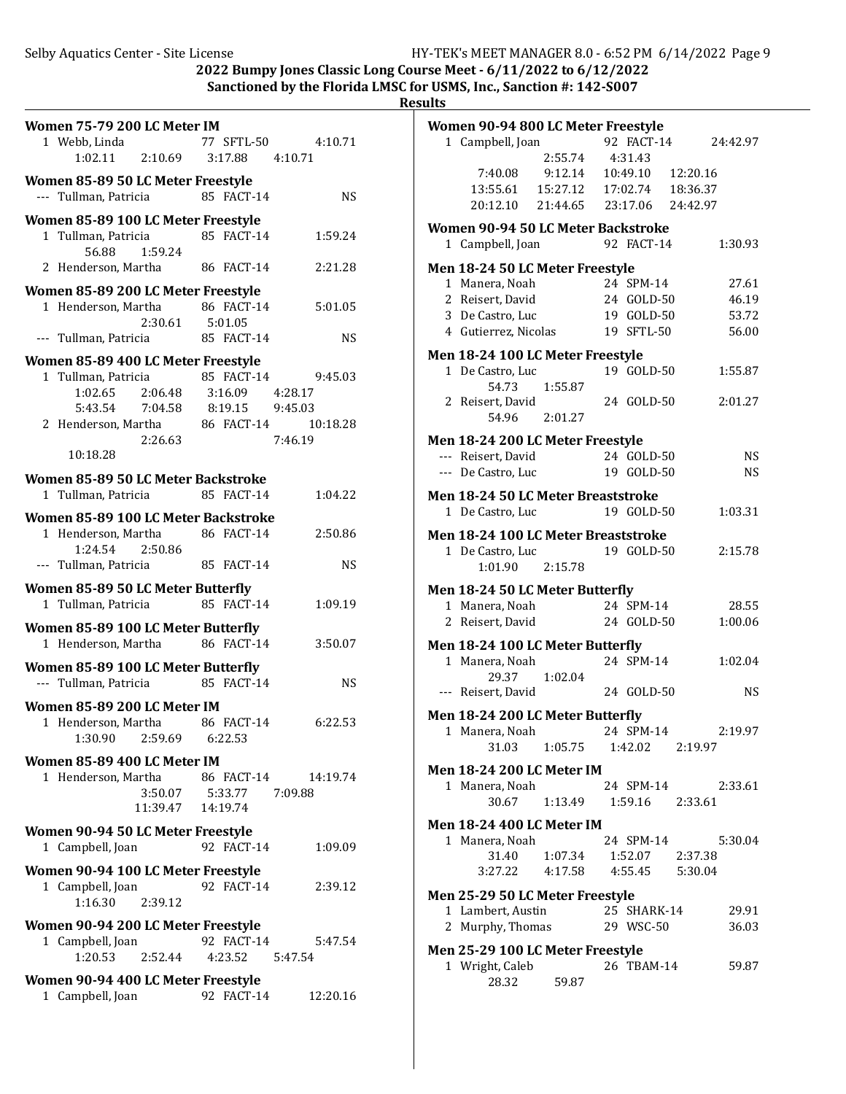| Women 75-79 200 LC Meter IM                                          |                             |                               |                     |
|----------------------------------------------------------------------|-----------------------------|-------------------------------|---------------------|
| 1 Webb, Linda                                                        |                             |                               | 77 SFTL-50 4:10.71  |
| $1:02.11$ $2:10.69$ $3:17.88$ $4:10.71$                              |                             |                               |                     |
| Women 85-89 50 LC Meter Freestyle                                    |                             |                               |                     |
| --- Tullman, Patricia                                                |                             | 85 FACT-14                    | <b>NS</b>           |
| Women 85-89 100 LC Meter Freestyle                                   |                             |                               |                     |
| 1 Tullman, Patricia                                                  |                             | 85 FACT-14                    | 1:59.24             |
| 56.88 1:59.24<br>2 Henderson, Martha 86 FACT-14                      |                             |                               | 2:21.28             |
|                                                                      |                             |                               |                     |
| Women 85-89 200 LC Meter Freestyle<br>1 Henderson, Martha            |                             | 86 FACT-14                    | 5:01.05             |
|                                                                      | $2:30.61$ $5:01.05$         |                               |                     |
| --- Tullman, Patricia                                                |                             | 85 FACT-14                    | <b>NS</b>           |
| Women 85-89 400 LC Meter Freestyle                                   |                             |                               |                     |
| 1 Tullman, Patricia                                                  |                             | 85 FACT-14                    | 9:45.03             |
| 1:02.65 2:06.48                                                      |                             | 3:16.09  4:28.17              |                     |
| 5:43.54 7:04.58 8:19.15 9:45.03                                      |                             |                               |                     |
| 2 Henderson, Martha 86 FACT-14                                       |                             |                               | 10:18.28            |
| 10:18.28                                                             | 2:26.63                     |                               | 7:46.19             |
|                                                                      |                             |                               |                     |
| Women 85-89 50 LC Meter Backstroke<br>1 Tullman, Patricia 85 FACT-14 |                             |                               | 1:04.22             |
|                                                                      |                             |                               |                     |
| Women 85-89 100 LC Meter Backstroke<br>1 Henderson, Martha           |                             | 86 FACT-14                    | 2:50.86             |
| 1:24.54 2:50.86                                                      |                             |                               |                     |
| --- Tullman, Patricia                                                |                             | 85 FACT-14                    | <b>NS</b>           |
| Women 85-89 50 LC Meter Butterfly                                    |                             |                               |                     |
| 1 Tullman, Patricia                                                  |                             | 85 FACT-14                    | 1:09.19             |
| Women 85-89 100 LC Meter Butterfly                                   |                             |                               |                     |
| 1 Henderson, Martha                                                  |                             | 86 FACT-14                    | 3:50.07             |
| Women 85-89 100 LC Meter Butterfly                                   |                             |                               |                     |
| --- Tullman, Patricia                                                |                             | 85 FACT-14                    | <b>NS</b>           |
| Women 85-89 200 LC Meter IM                                          |                             |                               |                     |
| 1 Henderson, Martha                                                  |                             | 86 FACT-14                    | 6:22.53             |
| 1:30.90                                                              | 2:59.69                     | 6:22.53                       |                     |
| Women 85-89 400 LC Meter IM                                          |                             |                               |                     |
| 1 Henderson, Martha                                                  |                             |                               | 86 FACT-14 14:19.74 |
|                                                                      | 3:50.07   5:33.77   7:09.88 |                               |                     |
|                                                                      | 11:39.47                    | 14:19.74                      |                     |
| Women 90-94 50 LC Meter Freestyle                                    |                             |                               |                     |
| 1 Campbell, Joan                                                     |                             | 92 FACT-14                    | 1:09.09             |
| Women 90-94 100 LC Meter Freestyle                                   |                             |                               |                     |
| 1 Campbell, Joan                                                     |                             | 92 FACT-14                    | 2:39.12             |
| 1:16.30                                                              | 2:39.12                     |                               |                     |
| Women 90-94 200 LC Meter Freestyle                                   |                             |                               |                     |
| 1 Campbell, Joan<br>1:20.53 2:52.44                                  |                             | 92 FACT-14<br>4:23.52 5:47.54 | 5:47.54             |
|                                                                      |                             |                               |                     |
| Women 90-94 400 LC Meter Freestyle                                   |                             |                               |                     |
| 1 Campbell, Joan                                                     |                             | 92 FACT-14                    | 12:20.16            |

| Women 90-94 800 LC Meter Freestyle          |                                  |             |                     |
|---------------------------------------------|----------------------------------|-------------|---------------------|
| 1 Campbell, Joan                            |                                  |             | 92 FACT-14 24:42.97 |
|                                             | 2:55.74                          | 4:31.43     |                     |
| 7:40.08 9:12.14 10:49.10 12:20.16           |                                  |             |                     |
| 13:55.61  15:27.12  17:02.74  18:36.37      |                                  |             |                     |
| 20:12.10 21:44.65 23:17.06 24:42.97         |                                  |             |                     |
| Women 90-94 50 LC Meter Backstroke          |                                  |             |                     |
| 1 Campbell, Joan                            |                                  | 92 FACT-14  | 1:30.93             |
| Men 18-24 50 LC Meter Freestyle             |                                  |             |                     |
| 1 Manera, Noah                              |                                  | 24 SPM-14   | 27.61               |
| 2 Reisert, David                            | 24 GOLD-50                       |             | 46.19               |
| 3 De Castro, Luc                            |                                  | 19 GOLD-50  | 53.72               |
| 4 Gutierrez, Nicolas 19 SFTL-50             |                                  |             | 56.00               |
| Men 18-24 100 LC Meter Freestyle            |                                  |             |                     |
| 1 De Castro, Luc                            |                                  | 19 GOLD-50  | 1:55.87             |
| 54.73                                       | 1:55.87                          |             |                     |
| 2 Reisert, David                            |                                  | 24 GOLD-50  | 2:01.27             |
| 54.96 2:01.27                               |                                  |             |                     |
| Men 18-24 200 LC Meter Freestyle            |                                  |             |                     |
| --- Reisert, David                          |                                  | 24 GOLD-50  | NS                  |
| --- De Castro, Luc                          |                                  | 19 GOLD-50  | NS                  |
|                                             |                                  |             |                     |
| Men 18-24 50 LC Meter Breaststroke          |                                  | 19 GOLD-50  | 1:03.31             |
| 1 De Castro, Luc                            |                                  |             |                     |
| Men 18-24 100 LC Meter Breaststroke         |                                  |             |                     |
| 1 De Castro, Luc                            |                                  | 19 GOLD-50  | 2:15.78             |
| 1:01.90                                     | 2:15.78                          |             |                     |
| Men 18-24 50 LC Meter Butterfly             |                                  |             |                     |
| 1 Manera, Noah                              |                                  | 24 SPM-14   | 28.55               |
| 2 Reisert, David                            |                                  | 24 GOLD-50  | 1:00.06             |
| Men 18-24 100 LC Meter Butterfly            |                                  |             |                     |
| 1 Manera, Noah                              |                                  | 24 SPM-14   | 1:02.04             |
| 29.37 1:02.04                               |                                  |             |                     |
| --- Reisert, David                          |                                  | 24 GOLD-50  | NS                  |
| Men 18-24 200 LC Meter Butterfly            |                                  |             |                     |
| 1 Manera, Noah 24 SPM-14                    |                                  |             | 2:19.97             |
|                                             | 31.03  1:05.75  1:42.02  2:19.97 |             |                     |
| <b>Men 18-24 200 LC Meter IM</b>            |                                  |             |                     |
| 1 Manera, Noah                              |                                  | 24 SPM-14   | 2:33.61             |
| 30.67                                       | 1:13.49  1:59.16  2:33.61        |             |                     |
|                                             |                                  |             |                     |
| Men 18-24 400 LC Meter IM<br>1 Manera, Noah |                                  | 24 SPM-14   | 5:30.04             |
|                                             | 31.40  1:07.34  1:52.07  2:37.38 |             |                     |
| 3:27.22  4:17.58  4:55.45  5:30.04          |                                  |             |                     |
|                                             |                                  |             |                     |
| Men 25-29 50 LC Meter Freestyle             |                                  |             |                     |
| 1 Lambert, Austin                           |                                  | 25 SHARK-14 | 29.91               |
| 2 Murphy, Thomas 29 WSC-50                  |                                  |             | 36.03               |
| Men 25-29 100 LC Meter Freestyle            |                                  |             |                     |
| 1 Wright, Caleb                             | ,<br>59.87                       | 26 TBAM-14  | 59.87               |
| 28.32                                       |                                  |             |                     |
|                                             |                                  |             |                     |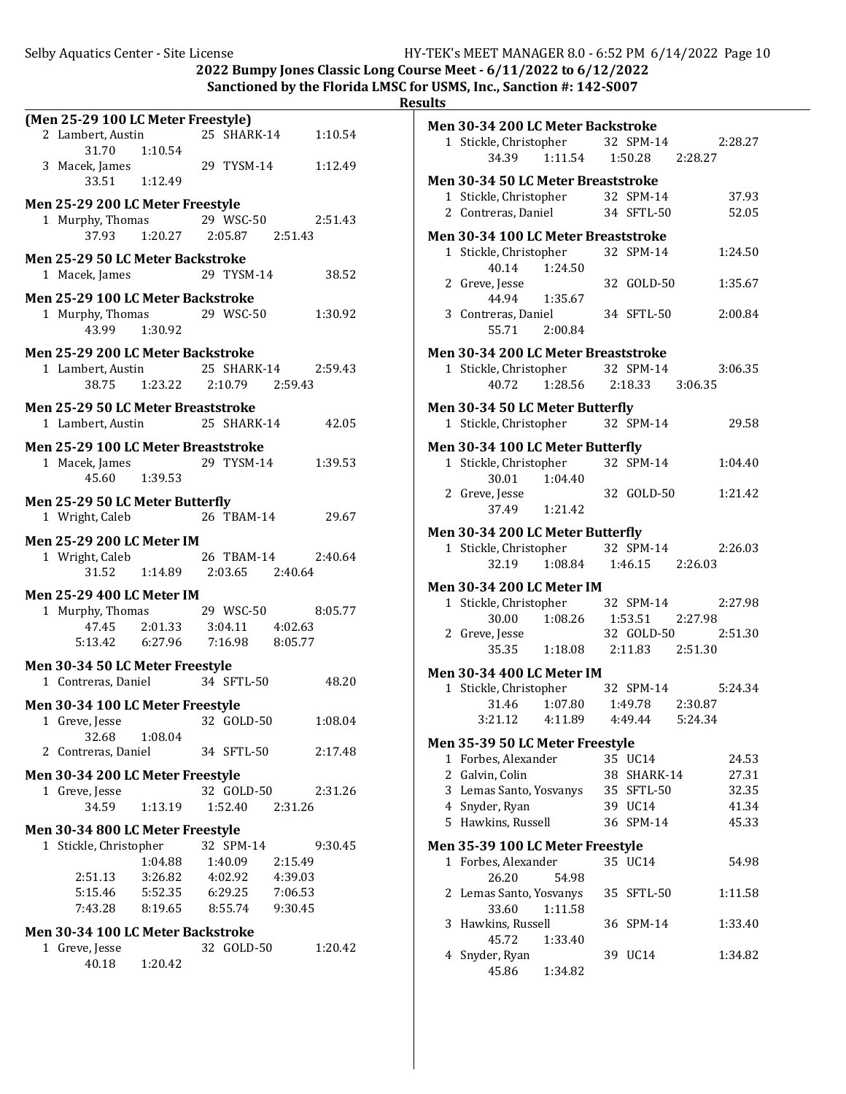|   | (Men 25-29 100 LC Meter Freestyle)<br>2 Lambert, Austin<br>31.70 1:10.54 |                                     | 25 SHARK-14        |         | 1:10.54 |
|---|--------------------------------------------------------------------------|-------------------------------------|--------------------|---------|---------|
|   | 3 Macek, James<br>33.51 1:12.49                                          |                                     | 29 TYSM-14 1:12.49 |         |         |
|   | Men 25-29 200 LC Meter Freestyle                                         |                                     |                    |         |         |
|   | 1 Murphy, Thomas 29 WSC-50                                               |                                     |                    |         | 2:51.43 |
|   |                                                                          | 37.93   1:20.27   2:05.87   2:51.43 |                    |         |         |
|   | Men 25-29 50 LC Meter Backstroke<br>1 Macek, James                       |                                     | 29 TYSM-14         |         | 38.52   |
|   | Men 25-29 100 LC Meter Backstroke                                        |                                     |                    |         |         |
|   | 1 Murphy, Thomas 29 WSC-50<br>43.99                                      | 1:30.92                             |                    |         | 1:30.92 |
|   | Men 25-29 200 LC Meter Backstroke                                        |                                     |                    |         |         |
|   |                                                                          |                                     |                    |         |         |
|   | 1 Lambert, Austin 25 SHARK-14 2:59.43                                    |                                     |                    |         |         |
|   |                                                                          | 38.75   1:23.22   2:10.79   2:59.43 |                    |         |         |
|   | Men 25-29 50 LC Meter Breaststroke                                       |                                     |                    |         |         |
|   | 1 Lambert, Austin 25 SHARK-14                                            |                                     |                    |         | 42.05   |
|   |                                                                          |                                     |                    |         |         |
|   | Men 25-29 100 LC Meter Breaststroke                                      |                                     |                    |         |         |
|   | 1 Macek, James 29 TYSM-14                                                |                                     |                    |         | 1:39.53 |
|   | 45.60 1:39.53                                                            |                                     |                    |         |         |
|   |                                                                          |                                     |                    |         |         |
|   | Men 25-29 50 LC Meter Butterfly                                          |                                     |                    |         |         |
|   | 1 Wright, Caleb                                                          |                                     | 26 TBAM-14         |         | 29.67   |
|   | Men 25-29 200 LC Meter IM                                                |                                     |                    |         |         |
|   | 1 Wright, Caleb 26 TBAM-14                                               |                                     |                    |         | 2:40.64 |
|   |                                                                          | $31.52$ 1:14.89 2:03.65 2:40.64     |                    |         |         |
|   |                                                                          |                                     |                    |         |         |
|   | <b>Men 25-29 400 LC Meter IM</b>                                         |                                     |                    |         |         |
|   | 1 Murphy, Thomas 29 WSC-50                                               |                                     |                    |         | 8:05.77 |
|   |                                                                          | 47.45 2:01.33 3:04.11 4:02.63       |                    |         |         |
|   | 5:13.42   6:27.96   7:16.98   8:05.77                                    |                                     |                    |         |         |
|   |                                                                          |                                     |                    |         |         |
|   | Men 30-34 50 LC Meter Freestyle                                          |                                     |                    |         |         |
|   | 1 Contreras, Daniel                                                      |                                     | 34 SFTL-50         |         | 48.20   |
|   | Men 30-34 100 LC Meter Freestyle                                         |                                     |                    |         |         |
|   | 1 Greve, Jesse                                                           |                                     | 32 GOLD-50         |         | 1:08.04 |
|   |                                                                          |                                     |                    |         |         |
|   | 32.68                                                                    | 1:08.04                             |                    |         |         |
| 2 | Contreras, Daniel                                                        |                                     | 34 SFTL-50         |         | 2:17.48 |
|   | Men 30-34 200 LC Meter Freestyle                                         |                                     |                    |         |         |
|   | 1 Greve, Jesse                                                           |                                     | 32 GOLD-50         |         | 2:31.26 |
|   | 34.59                                                                    | 1:13.19                             | 1:52.40            | 2:31.26 |         |
|   |                                                                          |                                     |                    |         |         |
|   | Men 30-34 800 LC Meter Freestyle                                         |                                     |                    |         |         |
|   | 1 Stickle, Christopher                                                   |                                     | 32 SPM-14          |         | 9:30.45 |
|   |                                                                          | 1:04.88                             | 1:40.09            | 2:15.49 |         |
|   | 2:51.13                                                                  | 3:26.82                             | 4:02.92            | 4:39.03 |         |
|   | 5:15.46                                                                  | 5:52.35                             | 6:29.25            | 7:06.53 |         |
|   |                                                                          | 8:19.65 8:55.74 9:30.45             |                    |         |         |
|   |                                                                          |                                     |                    |         |         |
|   | 7:43.28                                                                  |                                     |                    |         |         |
|   | Men 30-34 100 LC Meter Backstroke                                        |                                     |                    |         |         |
|   | 1 Greve, Jesse                                                           |                                     | 32 GOLD-50         |         | 1:20.42 |
|   | 40.18                                                                    | 1:20.42                             |                    |         |         |

| <b>Men 30-34 200 LC Meter Backstroke</b>                          |                         |                           |                |
|-------------------------------------------------------------------|-------------------------|---------------------------|----------------|
| 1 Stickle, Christopher 32 SPM-14 2:28.27                          |                         |                           |                |
| 34.39  1:11.54  1:50.28  2:28.27                                  |                         |                           |                |
| Men 30-34 50 LC Meter Breaststroke                                |                         |                           |                |
| 1 Stickle, Christopher 32 SPM-14                                  |                         |                           | 37.93          |
| 2 Contreras, Daniel                                               |                         | 34 SFTL-50                | 52.05          |
|                                                                   |                         |                           |                |
| Men 30-34 100 LC Meter Breaststroke                               |                         |                           |                |
| 1 Stickle, Christopher 32 SPM-14<br>1:24.50                       |                         |                           | 1:24.50        |
| 40.14<br>2 Greve, Jesse                                           |                         | 32 GOLD-50                | 1:35.67        |
| 44.94 1:35.67                                                     |                         |                           |                |
| 3 Contreras, Daniel 34 SFTL-50                                    |                         |                           | 2:00.84        |
| 55.71 2:00.84                                                     |                         |                           |                |
|                                                                   |                         |                           |                |
| Men 30-34 200 LC Meter Breaststroke                               |                         |                           |                |
| 1 Stickle, Christopher 32 SPM-14<br>40.72 1:28.56 2:18.33 3:06.35 |                         |                           | 3:06.35        |
|                                                                   |                         |                           |                |
| Men 30-34 50 LC Meter Butterfly                                   |                         |                           |                |
| 1 Stickle, Christopher                                            |                         | 32 SPM-14                 | 29.58          |
| Men 30-34 100 LC Meter Butterfly                                  |                         |                           |                |
| 1 Stickle, Christopher                                            |                         | 32 SPM-14                 | 1:04.40        |
| 30.01  1:04.40                                                    |                         |                           |                |
| 2 Greve, Jesse                                                    |                         | 32 GOLD-50                | 1:21.42        |
| 37.49 1:21.42                                                     |                         |                           |                |
| Men 30-34 200 LC Meter Butterfly                                  |                         |                           |                |
| 1 Stickle, Christopher                                            |                         | 32 SPM-14                 | 2:26.03        |
| 32.19                                                             | 1:08.84 1:46.15 2:26.03 |                           |                |
| <b>Men 30-34 200 LC Meter IM</b>                                  |                         |                           |                |
| 1 Stickle, Christopher                                            |                         | 32 SPM-14                 | 2:27.98        |
| $30.00 \qquad 1:08.26 \qquad 1:53.51 \qquad 2:27.98$              |                         |                           |                |
| 2 Greve, Jesse                                                    |                         | 32 GOLD-50                | 2:51.30        |
| 35.35   1:18.08   2:11.83   2:51.30                               |                         |                           |                |
| <b>Men 30-34 400 LC Meter IM</b>                                  |                         |                           |                |
| 1 Stickle, Christopher                                            |                         | 32 SPM-14                 | 5:24.34        |
| 31.46 1:07.80 1:49.78 2:30.87                                     |                         |                           |                |
| 3:21.12  4:11.89  4:49.44  5:24.34                                |                         |                           |                |
|                                                                   |                         |                           |                |
| Men 35-39 50 LC Meter Freestyle                                   |                         |                           |                |
| 1 Forbes, Alexander<br>2 Galvin, Colin                            |                         | 35 UC14                   | 24.53          |
| 3 Lemas Santo, Yosvanys                                           |                         | 38 SHARK-14<br>35 SFTL-50 | 27.31<br>32.35 |
| 4 Snyder, Ryan                                                    |                         | 39 UC14                   | 41.34          |
| 5 Hawkins, Russell                                                |                         | 36 SPM-14                 | 45.33          |
|                                                                   |                         |                           |                |
| Men 35-39 100 LC Meter Freestyle                                  |                         |                           |                |
| 1 Forbes, Alexander                                               |                         | 35 UC14                   | 54.98          |
| 26.20                                                             | 54.98                   |                           |                |
| 2 Lemas Santo, Yosvanys                                           |                         | 35 SFTL-50                | 1:11.58        |
| 33.60                                                             | 1:11.58                 |                           |                |
| 3 Hawkins, Russell<br>45.72                                       |                         | 36 SPM-14                 | 1:33.40        |
| 4 Snyder, Ryan                                                    | 1:33.40                 | 39 UC14                   | 1:34.82        |
| 45.86                                                             | 1:34.82                 |                           |                |
|                                                                   |                         |                           |                |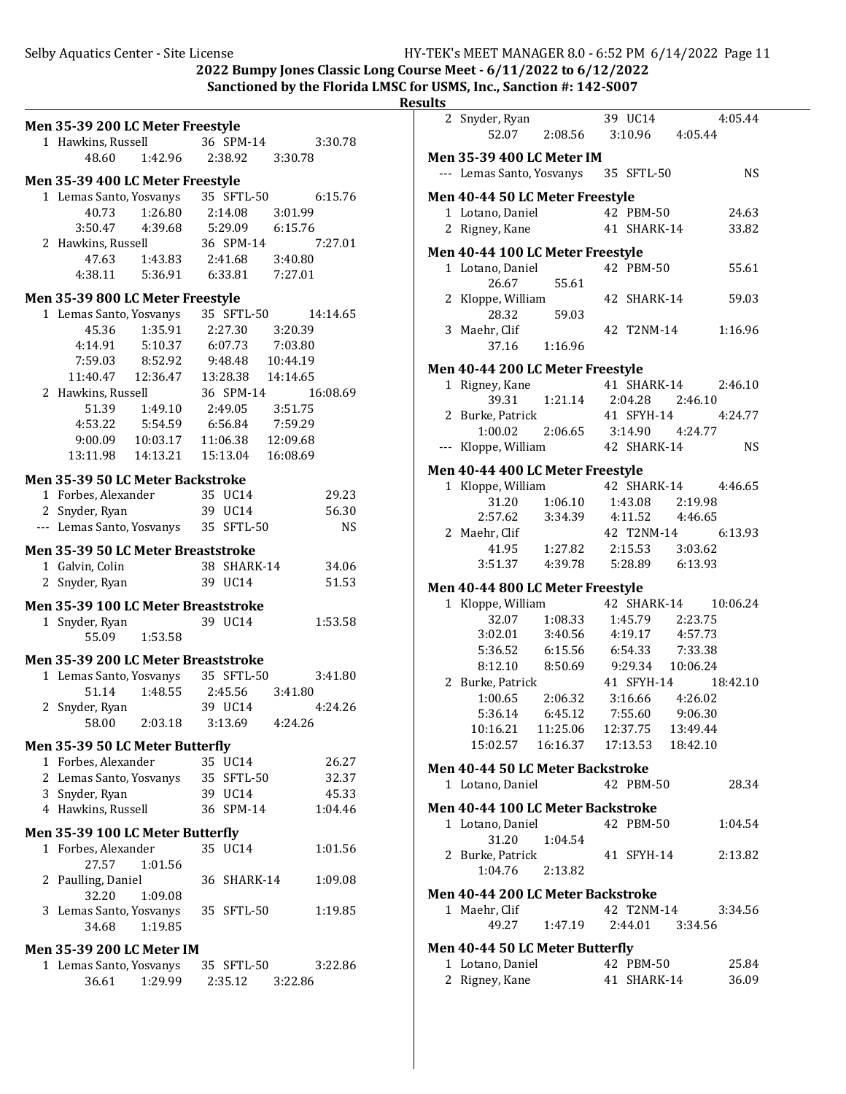2022 Bumpy Jones Classic Long Course Meet -  $6/11/2022$  to  $6/12/2022$ **Sanctioned by the Florida LMSC for USMS, Inc., Sanction #: 142-S007** 

|   | Men 35-39 200 LC Meter Freestyle     |                                    |         |             |                            |  |
|---|--------------------------------------|------------------------------------|---------|-------------|----------------------------|--|
|   | 1 Hawkins, Russell                   |                                    |         | 36 SPM-14   | 3:30.78                    |  |
|   | 48.60                                | 1:42.96 2:38.92                    |         |             | 3:30.78                    |  |
|   | Men 35-39 400 LC Meter Freestyle     |                                    |         |             |                            |  |
|   | 1 Lemas Santo, Yosvanys 35 SFTL-50   |                                    |         |             | 6:15.76                    |  |
|   | 40.73                                | 1:26.80                            | 2:14.08 |             | 3:01.99                    |  |
|   | 3:50.47  4:39.68                     |                                    |         | 5:29.09     | 6:15.76                    |  |
|   | 2 Hawkins, Russell                   |                                    |         | 36 SPM-14   | 7:27.01                    |  |
|   |                                      | 47.63 1:43.83                      |         |             | 2:41.68 3:40.80            |  |
|   |                                      | 4:38.11  5:36.91  6:33.81  7:27.01 |         |             |                            |  |
|   | Men 35-39 800 LC Meter Freestyle     |                                    |         |             |                            |  |
|   | 1 Lemas Santo, Yosvanys 35 SFTL-50   |                                    |         |             | 14:14.65                   |  |
|   | 45.36                                | 1:35.91                            |         |             | 2:27.30 3:20.39            |  |
|   | 4:14.91                              | 5:10.37                            |         |             | 6:07.73 7:03.80            |  |
|   | 7:59.03 8:52.92                      |                                    |         |             | 9:48.48 10:44.19           |  |
|   | 11:40.47  12:36.47                   |                                    |         |             | 13:28.38  14:14.65         |  |
|   | 2 Hawkins, Russell                   |                                    |         | 36 SPM-14   | 16:08.69                   |  |
|   |                                      | 51.39 1:49.10                      |         |             | 2:49.05 3:51.75            |  |
|   |                                      | 4:53.22   5:54.59                  |         |             | 6:56.84 7:59.29            |  |
|   |                                      | 9:00.09 10:03.17                   |         |             | 11:06.38  12:09.68         |  |
|   | 13:11.98  14:13.21                   |                                    |         | 15:13.04    | 16:08.69                   |  |
|   |                                      |                                    |         |             |                            |  |
|   | Men 35-39 50 LC Meter Backstroke     |                                    |         |             |                            |  |
|   | 1 Forbes, Alexander 35 UC14          |                                    |         |             | 29.23                      |  |
|   | 2 Snyder, Ryan                       |                                    | 39 UC14 |             | 56.30                      |  |
|   | --- Lemas Santo, Yosvanys 35 SFTL-50 |                                    |         |             | NS                         |  |
|   | Men 35-39 50 LC Meter Breaststroke   |                                    |         |             |                            |  |
|   | 1 Galvin, Colin                      |                                    |         | 38 SHARK-14 | 34.06                      |  |
|   |                                      |                                    |         |             |                            |  |
|   | 2 Snyder, Ryan                       |                                    | 39 UC14 |             | 51.53                      |  |
|   | Men 35-39 100 LC Meter Breaststroke  |                                    |         |             |                            |  |
|   | 1 Snyder, Ryan                       |                                    | 39 UC14 |             | 1:53.58                    |  |
|   | 55.09                                | 1:53.58                            |         |             |                            |  |
|   |                                      |                                    |         |             |                            |  |
|   | Men 35-39 200 LC Meter Breaststroke  |                                    |         |             |                            |  |
|   | 1 Lemas Santo, Yosvanys              |                                    |         | 35 SFTL-50  | 3:41.80                    |  |
|   | 51.14                                | 1:48.55                            |         | 2:45.56     | 3:41.80                    |  |
| 2 | Snyder, Ryan                         |                                    | 39 UC14 | 3:13.69     | 4:24.26                    |  |
|   | 58.00                                | 2:03.18                            |         |             | 4:24.26                    |  |
|   | Men 35-39 50 LC Meter Butterfly      |                                    |         |             |                            |  |
|   | 1 Forbes, Alexander                  |                                    | 35 UC14 |             | 26.27                      |  |
|   | 2 Lemas Santo, Yosvanys 35 SFTL-50   |                                    |         |             | 32.37                      |  |
|   | 3 Snyder, Ryan                       |                                    | 39 UC14 |             | 45.33                      |  |
|   | 4 Hawkins, Russell                   |                                    |         | 36 SPM-14   | 1:04.46                    |  |
|   |                                      |                                    |         |             |                            |  |
|   | Men 35-39 100 LC Meter Butterfly     |                                    | 35 UC14 |             | 1:01.56                    |  |
|   | 1 Forbes, Alexander<br>27.57         | 1:01.56                            |         |             |                            |  |
|   |                                      |                                    |         | 36 SHARK-14 | 1:09.08                    |  |
|   | 2 Paulling, Daniel<br>32.20          | 1:09.08                            |         |             |                            |  |
|   | 3 Lemas Santo, Yosvanys              |                                    |         | 35 SFTL-50  | 1:19.85                    |  |
|   | 34.68                                | 1:19.85                            |         |             |                            |  |
|   |                                      |                                    |         |             |                            |  |
|   | <b>Men 35-39 200 LC Meter IM</b>     |                                    |         |             |                            |  |
|   | 1 Lemas Santo, Yosvanys              | 36.61 1:29.99                      |         | 35 SFTL-50  | 3:22.86<br>2:35.12 3:22.86 |  |

| ılts |                                         |                                     |                   |          |                      |
|------|-----------------------------------------|-------------------------------------|-------------------|----------|----------------------|
|      | 2 Snyder, Ryan                          |                                     | $39 \text{ UC}14$ |          | 4:05.44              |
|      | 52.07                                   | 2:08.56 3:10.96 4:05.44             |                   |          |                      |
|      | <b>Men 35-39 400 LC Meter IM</b>        |                                     |                   |          |                      |
|      | --- Lemas Santo, Yosvanys 35 SFTL-50    |                                     |                   |          | NS                   |
|      |                                         |                                     |                   |          |                      |
|      | Men 40-44 50 LC Meter Freestyle         |                                     | 42 PBM-50         |          |                      |
|      | 1 Lotano, Daniel<br>2 Rigney, Kane      |                                     | 41 SHARK-14       |          | 24.63<br>33.82       |
|      |                                         |                                     |                   |          |                      |
|      | Men 40-44 100 LC Meter Freestyle        |                                     |                   |          |                      |
|      | 1 Lotano, Daniel                        |                                     | 42 PBM-50         |          | 55.61                |
|      | 26.67                                   | 55.61                               | 42 SHARK-14       |          | 59.03                |
|      | 2 Kloppe, William<br>28.32              | 59.03                               |                   |          |                      |
|      | 3 Maehr, Clif                           |                                     | 42 T2NM-14        |          | 1:16.96              |
|      | 37.16 1:16.96                           |                                     |                   |          |                      |
|      | Men 40-44 200 LC Meter Freestyle        |                                     |                   |          |                      |
|      | 1 Rigney, Kane                          |                                     | 41 SHARK-14       |          | 2:46.10              |
|      | 39.31                                   | 1:21.14 2:04.28                     |                   | 2:46.10  |                      |
|      | 2 Burke, Patrick                        |                                     | 41 SFYH-14        |          | 4:24.77              |
|      | 1:00.02                                 | $2:06.65$ $3:14.90$ $4:24.77$       |                   |          |                      |
|      | --- Kloppe, William                     |                                     | 42 SHARK-14       |          | NS                   |
|      | Men 40-44 400 LC Meter Freestyle        |                                     |                   |          |                      |
|      | 1 Kloppe, William                       |                                     |                   |          | 42 SHARK-14 4:46.65  |
|      |                                         | 31.20  1:06.10  1:43.08  2:19.98    |                   |          |                      |
|      | 2:57.62 3:34.39 4:11.52 4:46.65         |                                     |                   |          |                      |
|      | 2 Maehr, Clif                           |                                     | 42 T2NM-14        |          | 6:13.93              |
|      |                                         | 41.95   1:27.82   2:15.53   3:03.62 |                   |          |                      |
|      | 3:51.37  4:39.78  5:28.89  6:13.93      |                                     |                   |          |                      |
|      | Men 40-44 800 LC Meter Freestyle        |                                     |                   |          |                      |
|      | 1 Kloppe, William                       |                                     |                   |          | 42 SHARK-14 10:06.24 |
|      |                                         | 32.07  1:08.33  1:45.79  2:23.75    |                   |          |                      |
|      | 3:02.01 3:40.56 4:19.17 4:57.73         |                                     |                   |          |                      |
|      | 5:36.52 6:15.56 6:54.33 7:33.38         |                                     |                   |          |                      |
|      | 8:12.10  8:50.69  9:29.34  10:06.24     |                                     |                   |          |                      |
|      | 2 Burke, Patrick<br>1:00.65             |                                     | 41 SFYH-14        |          | 18:42.10             |
|      | 5:36.14 6:45.12 7:55.60 9:06.30         | 2:06.32                             | 3:16.66 4:26.02   |          |                      |
|      | 10:16.21                                | 11:25.06  12:37.75                  |                   | 13:49.44 |                      |
|      | 15:02.57                                | 16:16.37    17:13.53                |                   | 18:42.10 |                      |
|      | <b>Men 40-44 50 LC Meter Backstroke</b> |                                     |                   |          |                      |
|      | 1 Lotano, Daniel                        |                                     | 42 PBM-50         |          | 28.34                |
|      |                                         |                                     |                   |          |                      |
|      | Men 40-44 100 LC Meter Backstroke       |                                     |                   |          |                      |
|      | 1 Lotano, Daniel<br>31.20               | 1:04.54                             | 42 PBM-50         |          | 1:04.54              |
|      | 2 Burke, Patrick                        |                                     | 41 SFYH-14        |          | 2:13.82              |
|      | 1:04.76 2:13.82                         |                                     |                   |          |                      |
|      |                                         |                                     |                   |          |                      |
|      | Men 40-44 200 LC Meter Backstroke       |                                     | 42 T2NM-14        |          |                      |
|      | 1 Maehr, Clif                           | 49.27 1:47.19                       | 2:44.01 3:34.56   |          | 3:34.56              |
|      |                                         |                                     |                   |          |                      |
|      | Men 40-44 50 LC Meter Butterfly         |                                     |                   |          |                      |
|      | 1 Lotano, Daniel                        |                                     | 42 PBM-50         |          | 25.84                |
|      | 2 Rigney, Kane                          |                                     | 41 SHARK-14       |          | 36.09                |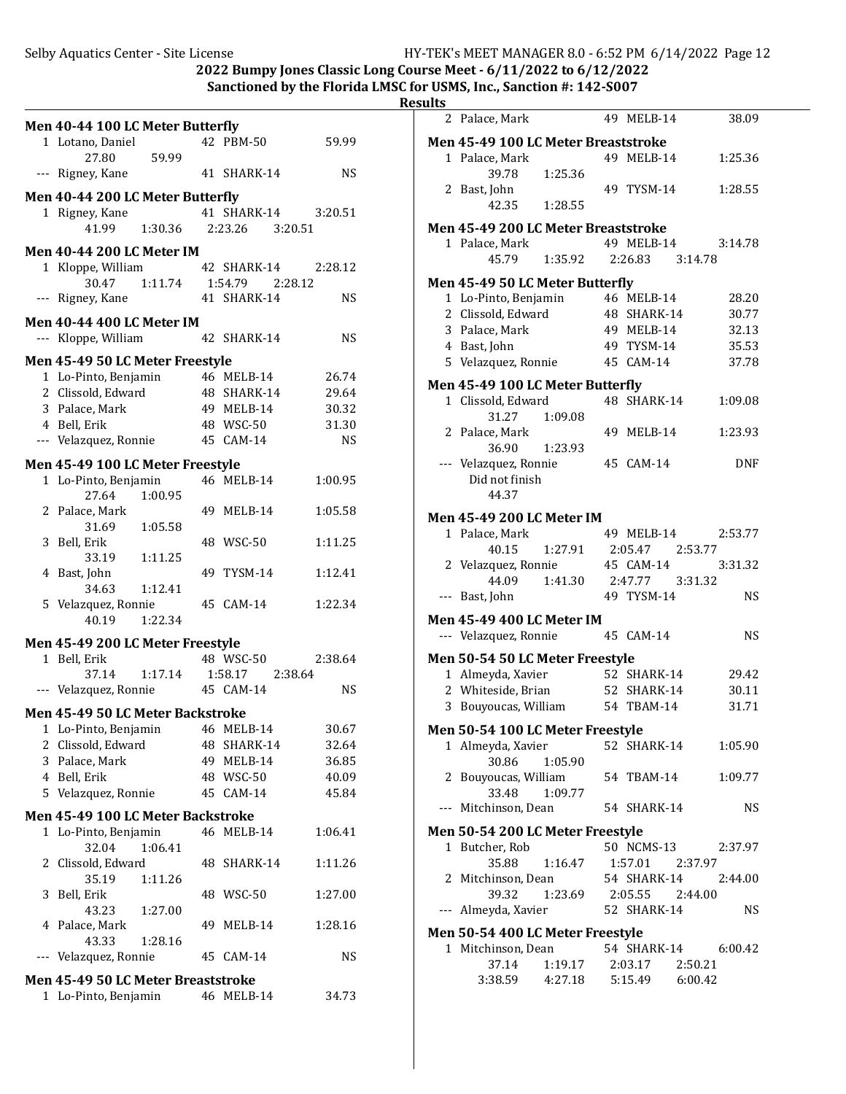#### 2022 Bumpy Jones Classic Long Course Meet -  $6/11/2022$  to  $6/12/2022$ Sanctioned by the Florida LMSC for USMS, Inc., Sanction #: 142-S007

## **Resu**

**Men 40-44 100 LC Meter Butter/ly** 1 Lotano, Daniel 42 PBM-50 59.99 27.80 59.99 --- Rigney, Kane 41 SHARK-14 NS **Men 40-44 200 LC Meter Butter/ly** 1 Rigney, Kane 41 SHARK-14 3:20.51 41.99 1:30.36 2:23.26 3:20.51 **Men 40-44 200 LC Meter IM** 1 Kloppe, William 42 SHARK-14 2:28.12 30.47 1:11.74 1:54.79 2:28.12 --- Rigney, Kane 41 SHARK-14 NS **Men 40-44 400 LC Meter IM** --- Kloppe, William 42 SHARK-14 NS **Men 45-49 50 LC Meter Freestyle** 1 Lo-Pinto, Benjamin 46 MELB-14 26.74 2 Clissold, Edward 48 SHARK-14 29.64 3 Palace, Mark 49 MELB-14 30.32 4 Bell, Erik 48 WSC-50 31.30 --- Velazquez, Ronnie 45 CAM-14 NS **Men 45-49 100 LC Meter Freestyle** 1 Lo-Pinto, Benjamin 46 MELB-14 1:00.95 27.64 1:00.95 2 Palace, Mark 49 MELB-14 1:05.58 31.69 1:05.58 3 Bell, Erik 48 WSC-50 1:11.25 33.19 1:11.25 4 Bast, John 49 TYSM-14 1:12.41 34.63 1:12.41 5 Velazquez, Ronnie 45 CAM-14 1:22.34 40.19 1:22.34 **Men 45-49 200 LC Meter Freestyle** 1 Bell, Erik 48 WSC-50 2:38.64 37.14 1:17.14 1:58.17 2:38.64 --- Velazquez, Ronnie 45 CAM-14 NS **Men 45-49 50 LC Meter Backstroke** 1 Lo-Pinto, Benjamin 46 MELB-14 30.67 2 Clissold, Edward 48 SHARK-14 32.64 3 Palace, Mark 49 MELB-14 36.85 4 Bell, Erik 48 WSC-50 40.09 5 Velazquez, Ronnie 45 CAM-14 45.84 **Men 45-49 100 LC Meter Backstroke** 1 Lo-Pinto, Benjamin 46 MELB-14 1:06.41 32.04 1:06.41 2 Clissold, Edward 48 SHARK-14 1:11.26 35.19 1:11.26 3 Bell, Erik 48 WSC-50 1:27.00 43.23 1:27.00 4 Palace, Mark 49 MELB-14 1:28.16 43.33 1:28.16 --- Velazquez, Ronnie 45 CAM-14 NS **Men 45-49 50 LC Meter Breaststroke** 1 Lo-Pinto, Benjamin 46 MELB-14 34.73

| ılts  |                                     |                                 |    |                 |            |  |
|-------|-------------------------------------|---------------------------------|----|-----------------|------------|--|
| 2     | Palace, Mark                        |                                 |    | 49 MELB-14      | 38.09      |  |
|       | Men 45-49 100 LC Meter Breaststroke |                                 |    |                 |            |  |
|       | 1 Palace, Mark<br>39.78             | 1:25.36                         | 49 | MELB-14         | 1:25.36    |  |
|       | 2 Bast, John<br>42.35               | 1:28.55                         |    | 49 TYSM-14      | 1:28.55    |  |
|       |                                     |                                 |    |                 |            |  |
|       | Men 45-49 200 LC Meter Breaststroke |                                 |    |                 |            |  |
|       | 1 Palace, Mark                      |                                 |    | 49 MELB-14      | 3:14.78    |  |
|       | 45.79                               | 1:35.92                         |    | 2:26.83 3:14.78 |            |  |
|       | Men 45-49 50 LC Meter Butterfly     |                                 |    |                 |            |  |
|       |                                     |                                 |    | 46 MELB-14      | 28.20      |  |
|       | 1 Lo-Pinto, Benjamin                |                                 |    |                 |            |  |
|       | 2 Clissold, Edward                  |                                 |    | 48 SHARK-14     | 30.77      |  |
|       | 3 Palace, Mark                      |                                 |    | 49 MELB-14      | 32.13      |  |
|       | 4 Bast, John                        |                                 |    | 49 TYSM-14      | 35.53      |  |
|       | 5 Velazquez, Ronnie                 |                                 |    | 45 CAM-14       | 37.78      |  |
|       | Men 45-49 100 LC Meter Butterfly    |                                 |    |                 |            |  |
|       | 1 Clissold, Edward                  |                                 |    | 48 SHARK-14     | 1:09.08    |  |
|       | 31.27                               | 1:09.08                         |    |                 |            |  |
|       | 2 Palace, Mark                      |                                 |    | 49 MELB-14      | 1:23.93    |  |
|       | 36.90                               | 1:23.93                         |    |                 |            |  |
|       | --- Velazquez, Ronnie               |                                 |    | 45 CAM-14       | <b>DNF</b> |  |
|       | Did not finish                      |                                 |    |                 |            |  |
|       | 44.37                               |                                 |    |                 |            |  |
|       |                                     |                                 |    |                 |            |  |
|       | <b>Men 45-49 200 LC Meter IM</b>    |                                 |    |                 |            |  |
|       | 1 Palace, Mark                      |                                 |    | 49 MELB-14      | 2:53.77    |  |
|       | 40.15                               | 1:27.91                         |    | 2:05.47 2:53.77 |            |  |
|       | 2 Velazquez, Ronnie                 |                                 |    | 45 CAM-14       | 3:31.32    |  |
|       | 44.09                               | 1:41.30  2:47.77  3:31.32       |    |                 |            |  |
| $---$ | Bast, John                          |                                 |    | 49 TYSM-14      | <b>NS</b>  |  |
|       |                                     |                                 |    |                 |            |  |
|       | <b>Men 45-49 400 LC Meter IM</b>    |                                 |    |                 |            |  |
|       | --- Velazquez, Ronnie               |                                 |    | 45 CAM-14       | NS         |  |
|       | Men 50-54 50 LC Meter Freestyle     |                                 |    |                 |            |  |
|       | 1 Almeyda, Xavier                   |                                 |    | 52 SHARK-14     | 29.42      |  |
|       | 2 Whiteside, Brian                  |                                 |    | 52 SHARK-14     | 30.11      |  |
|       |                                     |                                 |    | 54 TBAM-14      | 31.71      |  |
|       | 3 Bouyoucas, William                |                                 |    |                 |            |  |
|       | Men 50-54 100 LC Meter Freestyle    |                                 |    |                 |            |  |
|       | 1 Almeyda, Xavier                   |                                 |    | 52 SHARK-14     | 1:05.90    |  |
|       | 30.86                               | 1:05.90                         |    |                 |            |  |
|       | 2 Bouyoucas, William                |                                 |    | 54 TBAM-14      | 1:09.77    |  |
|       | 33.48                               | 1:09.77                         |    |                 |            |  |
|       | --- Mitchinson, Dean                |                                 |    | 54 SHARK-14     | <b>NS</b>  |  |
|       |                                     |                                 |    |                 |            |  |
|       | Men 50-54 200 LC Meter Freestyle    |                                 |    |                 |            |  |
|       | 1 Butcher, Rob                      |                                 |    | 50 NCMS-13      | 2:37.97    |  |
|       | 35.88                               | 1:16.47  1:57.01  2:37.97       |    |                 |            |  |
|       | 2 Mitchinson, Dean                  |                                 |    | 54 SHARK-14     | 2:44.00    |  |
|       |                                     | 39.32 1:23.69 2:05.55 2:44.00   |    |                 |            |  |
|       | --- Almeyda, Xavier                 |                                 |    | 52 SHARK-14     | NS         |  |
|       |                                     |                                 |    |                 |            |  |
|       | Men 50-54 400 LC Meter Freestyle    |                                 |    |                 |            |  |
|       | 1 Mitchinson, Dean 54 SHARK-14      |                                 |    |                 | 6:00.42    |  |
|       |                                     | $37.14$ 1:19.17 2:03.17 2:50.21 |    |                 |            |  |
|       | 3:38.59  4:27.18  5:15.49  6:00.42  |                                 |    |                 |            |  |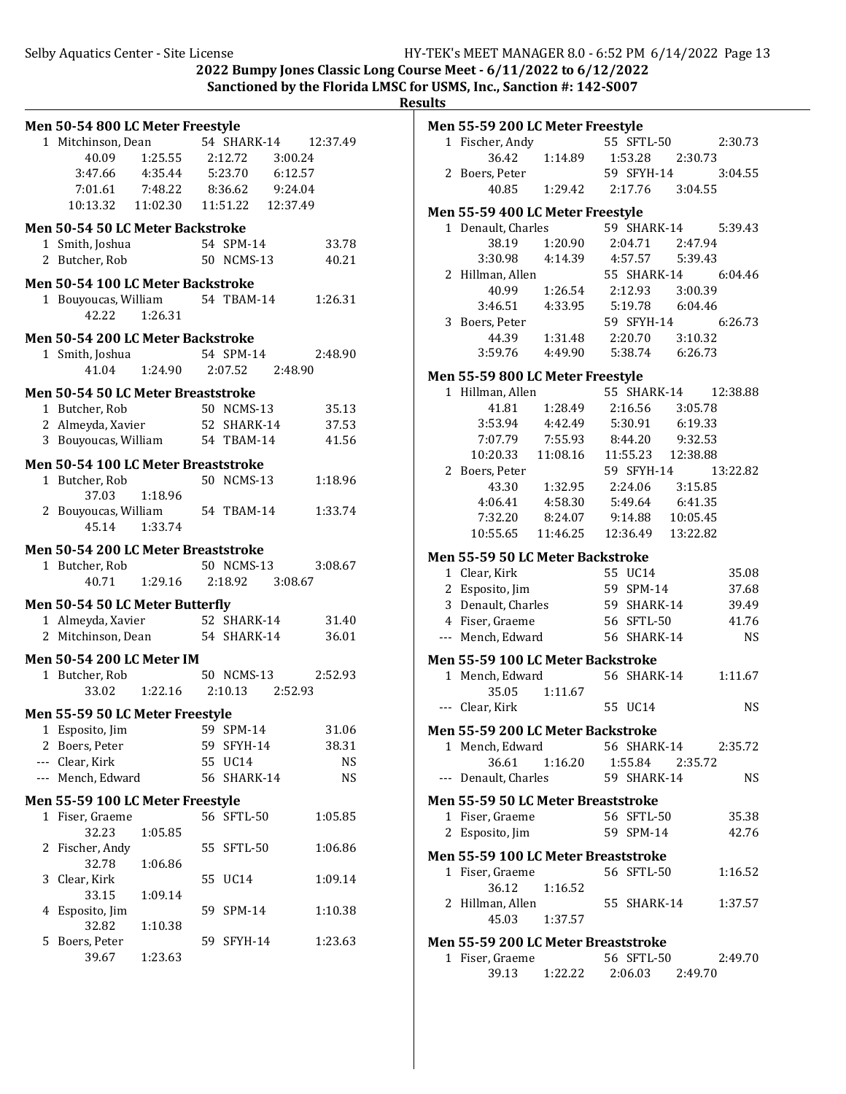2022 Bumpy Jones Classic Long Course Meet -  $6/11/2022$  to  $6/12/2022$ **Sanctioned by the Florida LMSC for USMS, Inc., Sanction #: 142-S007** 

**Results**

|   | Men 50-54 800 LC Meter Freestyle       |                                  |    |                 |                      |           |
|---|----------------------------------------|----------------------------------|----|-----------------|----------------------|-----------|
|   | 1 Mitchinson, Dean                     |                                  |    |                 | 54 SHARK-14 12:37.49 |           |
|   |                                        | 40.09  1:25.55  2:12.72          |    |                 | 3:00.24              |           |
|   | 3:47.66 4:35.44                        |                                  |    | 5:23.70 6:12.57 |                      |           |
|   | 7:01.61                                | 7:48.22 8:36.62 9:24.04          |    |                 |                      |           |
|   | 10:13.32  11:02.30  11:51.22  12:37.49 |                                  |    |                 |                      |           |
|   | Men 50-54 50 LC Meter Backstroke       |                                  |    |                 |                      |           |
|   | 1 Smith, Joshua                        |                                  |    | 54 SPM-14       |                      | 33.78     |
|   | 2 Butcher, Rob                         |                                  |    | 50 NCMS-13      |                      | 40.21     |
|   | Men 50-54 100 LC Meter Backstroke      |                                  |    |                 |                      |           |
|   |                                        |                                  |    | 54 TBAM-14      |                      | 1:26.31   |
|   | 1 Bouyoucas, William<br>42.22 1:26.31  |                                  |    |                 |                      |           |
|   |                                        |                                  |    |                 |                      |           |
|   | Men 50-54 200 LC Meter Backstroke      |                                  |    |                 |                      |           |
|   | 1 Smith, Joshua                        |                                  |    | 54 SPM-14       |                      | 2:48.90   |
|   |                                        | 41.04 1:24.90 2:07.52 2:48.90    |    |                 |                      |           |
|   | Men 50-54 50 LC Meter Breaststroke     |                                  |    |                 |                      |           |
|   | 1 Butcher, Rob                         |                                  |    | 50 NCMS-13      |                      | 35.13     |
|   | 2 Almeyda, Xavier                      |                                  |    | 52 SHARK-14     |                      | 37.53     |
|   | 3 Bouyoucas, William 54 TBAM-14        |                                  |    |                 |                      | 41.56     |
|   | Men 50-54 100 LC Meter Breaststroke    |                                  |    |                 |                      |           |
|   | 1 Butcher, Rob                         |                                  |    | 50 NCMS-13      |                      | 1:18.96   |
|   | 37.03                                  | 1:18.96                          |    |                 |                      |           |
|   |                                        |                                  |    |                 |                      | 1:33.74   |
|   | 45.14                                  | 1:33.74                          |    |                 |                      |           |
|   |                                        |                                  |    |                 |                      |           |
|   |                                        |                                  |    |                 |                      |           |
|   | Men 50-54 200 LC Meter Breaststroke    |                                  |    |                 |                      |           |
|   | 1 Butcher, Rob                         |                                  |    | 50 NCMS-13      |                      | 3:08.67   |
|   |                                        | 40.71  1:29.16  2:18.92  3:08.67 |    |                 |                      |           |
|   | Men 50-54 50 LC Meter Butterfly        |                                  |    |                 |                      |           |
|   | 1 Almeyda, Xavier                      |                                  |    | 52 SHARK-14     |                      | 31.40     |
|   | 2 Mitchinson, Dean 54 SHARK-14         |                                  |    |                 |                      | 36.01     |
|   | Men 50-54 200 LC Meter IM              |                                  |    |                 |                      |           |
|   | 1 Butcher, Rob                         |                                  |    | 50 NCMS-13      |                      | 2:52.93   |
|   | 33.02                                  | 1:22.16 2:10.13                  |    |                 | 2:52.93              |           |
|   |                                        |                                  |    |                 |                      |           |
| 1 | Men 55-59 50 LC Meter Freestyle        |                                  |    | 59 SPM-14       |                      | 31.06     |
|   | Esposito, Jim<br>2 Boers, Peter        |                                  |    | 59 SFYH-14      |                      | 38.31     |
|   | --- Clear, Kirk                        |                                  |    | 55 UC14         |                      | <b>NS</b> |
|   | --- Mench, Edward                      |                                  |    | 56 SHARK-14     |                      | <b>NS</b> |
|   |                                        |                                  |    |                 |                      |           |
|   | Men 55-59 100 LC Meter Freestyle       |                                  |    |                 |                      |           |
|   | 1 Fiser, Graeme                        |                                  |    | 56 SFTL-50      |                      | 1:05.85   |
|   | 32.23                                  | 1:05.85                          | 55 |                 |                      | 1:06.86   |
|   | 2 Fischer, Andy<br>32.78               |                                  |    | SFTL-50         |                      |           |
|   | 3 Clear, Kirk                          | 1:06.86                          | 55 | UC14            |                      | 1:09.14   |
|   | 33.15                                  | 1:09.14                          |    |                 |                      |           |
| 4 | Esposito, Jim                          |                                  |    | 59 SPM-14       |                      | 1:10.38   |
|   | 32.82                                  | 1:10.38                          |    |                 |                      |           |
| 5 | Boers, Peter<br>39.67                  |                                  | 59 | SFYH-14         |                      | 1:23.63   |

|       | Men 55-59 200 LC Meter Freestyle                             |                                  |                                          |                  |                      |
|-------|--------------------------------------------------------------|----------------------------------|------------------------------------------|------------------|----------------------|
|       | 1 Fischer, Andy                                              |                                  | 55 SFTL-50                               |                  | 2:30.73              |
|       |                                                              | 36.42 1:14.89 1:53.28 2:30.73    |                                          |                  |                      |
|       | 2 Boers, Peter                                               |                                  | 59 SFYH-14                               |                  | 3:04.55              |
|       | 40.85                                                        | 1:29.42 2:17.76 3:04.55          |                                          |                  |                      |
|       |                                                              |                                  |                                          |                  |                      |
|       | Men 55-59 400 LC Meter Freestyle<br>1 Denault, Charles       |                                  |                                          | 59 SHARK-14      | 5:39.43              |
|       | 38.19 1:20.90                                                |                                  |                                          | 2:04.71 2:47.94  |                      |
|       | $3:30.98$ $4:14.39$                                          |                                  |                                          | 4:57.57 5:39.43  |                      |
|       | 2 Hillman, Allen                                             |                                  |                                          |                  | 55 SHARK-14 6:04.46  |
|       |                                                              | 40.99  1:26.54  2:12.93  3:00.39 |                                          |                  |                      |
|       | 3:46.51 4:33.95 5:19.78 6:04.46                              |                                  |                                          |                  |                      |
|       | 3 Boers, Peter                                               |                                  | 59 SFYH-14                               |                  | 6:26.73              |
|       | 44.39                                                        | 1:31.48 2:20.70 3:10.32          |                                          |                  |                      |
|       | 3:59.76  4:49.90  5:38.74  6:26.73                           |                                  |                                          |                  |                      |
|       | Men 55-59 800 LC Meter Freestyle                             |                                  |                                          |                  |                      |
|       | 1 Hillman, Allen                                             |                                  |                                          |                  | 55 SHARK-14 12:38.88 |
|       |                                                              | 41.81  1:28.49                   |                                          | 2:16.56 3:05.78  |                      |
|       | $3:53.94$ $4:42.49$ $5:30.91$ $6:19.33$                      |                                  |                                          |                  |                      |
|       | 7:07.79 7:55.93 8:44.20 9:32.53                              |                                  |                                          |                  |                      |
|       | 10:20.33  11:08.16  11:55.23  12:38.88                       |                                  |                                          |                  |                      |
|       | 2 Boers, Peter                                               |                                  | 59 SFYH-14                               |                  | 13:22.82             |
|       |                                                              | 43.30  1:32.95  2:24.06  3:15.85 |                                          |                  |                      |
|       | 4:06.41                                                      | 4:58.30                          |                                          | 5:49.64 6:41.35  |                      |
|       | 7:32.20                                                      | 8:24.07                          |                                          | 9:14.88 10:05.45 |                      |
|       | 10:55.65  11:46.25  12:36.49  13:22.82                       |                                  |                                          |                  |                      |
|       | <b>Men 55-59 50 LC Meter Backstroke</b>                      |                                  |                                          |                  |                      |
|       | 1 Clear, Kirk                                                |                                  | $55 \text{ cm}$<br>59 SPM-14<br>211ARK-1 |                  | 35.08                |
|       | 2 Esposito, Jim                                              |                                  |                                          |                  | 37.68                |
|       | 3 Denault, Charles                                           |                                  | 59 SHARK-14                              |                  | 39.49                |
|       | 4 Fiser, Graeme                                              | 56 SFTL-50                       |                                          |                  | 41.76                |
|       | --- Mench, Edward                                            | 56 SHARK-14                      |                                          |                  | <b>NS</b>            |
|       | Men 55-59 100 LC Meter Backstroke                            |                                  |                                          |                  |                      |
|       | 1 Mench, Edward                                              |                                  | 56 SHARK-14                              |                  | 1:11.67              |
|       | 35.05                                                        | 1:11.67                          |                                          |                  |                      |
|       | --- Clear, Kirk                                              |                                  | 55 UC14                                  |                  | <b>NS</b>            |
|       | Men 55-59 200 LC Meter Backstroke                            |                                  |                                          |                  |                      |
|       | 1 Mench, Edward                                              |                                  |                                          |                  | 56 SHARK-14 2:35.72  |
|       | 36.61                                                        | 1:16.20  1:55.84                 |                                          | 2:35.72          |                      |
| $---$ | Denault, Charles                                             |                                  | 59 SHARK-14                              |                  | NS                   |
|       |                                                              |                                  |                                          |                  |                      |
|       | <b>Men 55-59 50 LC Meter Breaststroke</b><br>1 Fiser, Graeme |                                  | 56 SFTL-50                               |                  | 35.38                |
|       | 2 Esposito, Jim                                              |                                  | 59 SPM-14                                |                  | 42.76                |
|       |                                                              |                                  |                                          |                  |                      |
|       | Men 55-59 100 LC Meter Breaststroke                          |                                  |                                          |                  |                      |
|       | 1 Fiser, Graeme                                              |                                  | 56 SFTL-50                               |                  | 1:16.52              |
|       | 36.12                                                        | 1:16.52                          |                                          |                  |                      |
|       | 2 Hillman, Allen                                             |                                  | 55 SHARK-14                              |                  | 1:37.57              |
|       | 45.03                                                        | 1:37.57                          |                                          |                  |                      |
|       | <b>Men 55-59 200 LC Meter Breaststroke</b>                   |                                  |                                          |                  |                      |
|       | 1 Fiser, Graeme                                              |                                  | 56 SFTL-50                               |                  | 2:49.70              |

39.13 1:22.22 2:06.03 2:49.70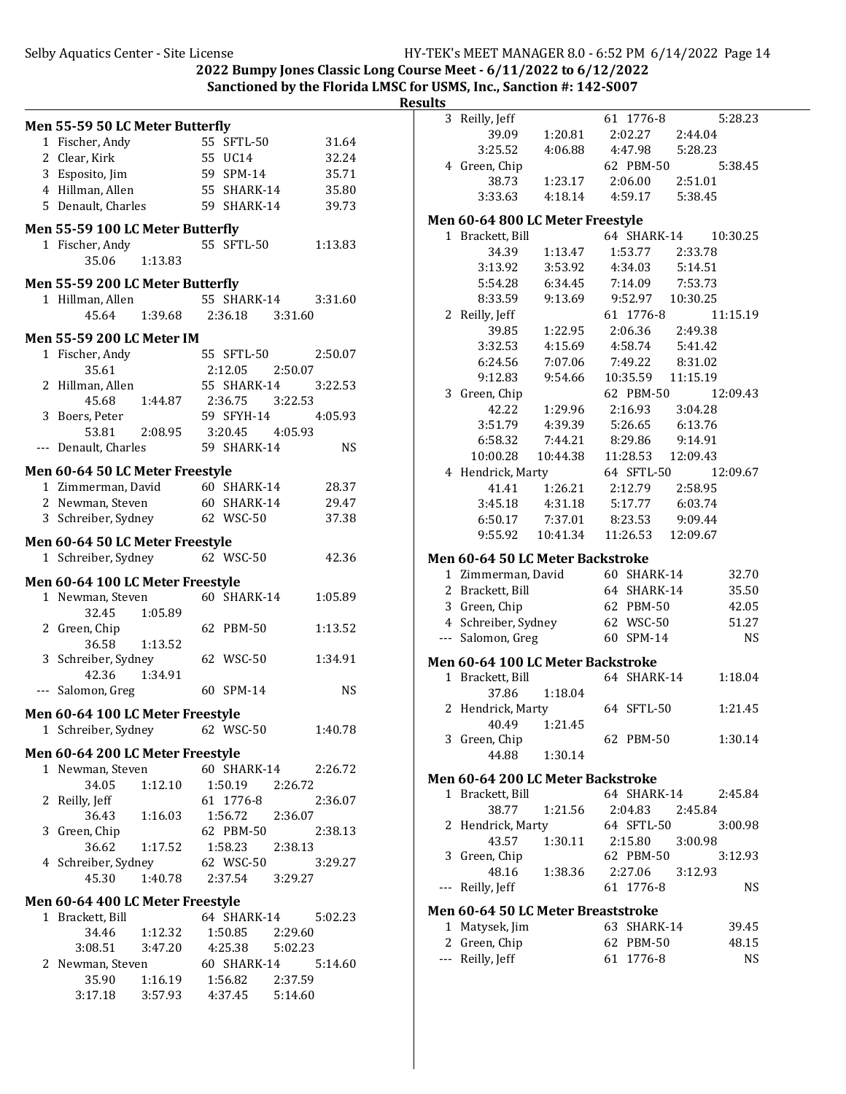**2022 Bumpy Jones Classic Long Course Meet - 6/11/2022 to 6/12/2022**

**Sanctioned by the Florida LMSC for USMS, Inc., Sanction #: 142-S007** 

|                                                        |                                          |           | <b>Results</b> |                                    |          |             |          |           |
|--------------------------------------------------------|------------------------------------------|-----------|----------------|------------------------------------|----------|-------------|----------|-----------|
| <b>Men 55-59 50 LC Meter Butterfly</b>                 |                                          |           |                | 3 Reilly, Jeff                     |          | 61 1776-8   |          | 5:28.23   |
| 1 Fischer, Andy                                        | 55 SFTL-50                               | 31.64     |                | 39.09                              | 1:20.81  | 2:02.27     | 2:44.04  |           |
| 2 Clear, Kirk                                          | 55 UC14                                  | 32.24     |                | 3:25.52                            | 4:06.88  | 4:47.98     | 5:28.23  |           |
| 3 Esposito, Jim                                        | 59 SPM-14                                | 35.71     |                | 4 Green, Chip                      |          | 62 PBM-50   |          | 5:38.45   |
| 4 Hillman, Allen                                       | 55 SHARK-14                              | 35.80     |                | 38.73                              | 1:23.17  | 2:06.00     | 2:51.01  |           |
| 5 Denault, Charles                                     | 59 SHARK-14                              | 39.73     |                | 3:33.63                            | 4:18.14  | 4:59.17     | 5:38.45  |           |
|                                                        |                                          |           |                | Men 60-64 800 LC Meter Freestyle   |          |             |          |           |
| Men 55-59 100 LC Meter Butterfly                       |                                          |           |                | 1 Brackett, Bill                   |          | 64 SHARK-14 |          | 10:30.25  |
| 1 Fischer, Andy                                        | 55 SFTL-50                               | 1:13.83   |                | 34.39                              | 1:13.47  | 1:53.77     | 2:33.78  |           |
| 1:13.83<br>35.06                                       |                                          |           |                | 3:13.92                            | 3:53.92  | 4:34.03     | 5:14.51  |           |
| Men 55-59 200 LC Meter Butterfly                       |                                          |           |                | 5:54.28                            | 6:34.45  | 7:14.09     | 7:53.73  |           |
| 1 Hillman, Allen                                       | 55 SHARK-14                              | 3:31.60   |                | 8:33.59                            | 9:13.69  | 9:52.97     | 10:30.25 |           |
| 1:39.68<br>45.64                                       | 2:36.18<br>3:31.60                       |           |                | 2 Reilly, Jeff                     |          | 61 1776-8   |          | 11:15.19  |
|                                                        |                                          |           |                | 39.85                              | 1:22.95  | 2:06.36     | 2:49.38  |           |
| <b>Men 55-59 200 LC Meter IM</b>                       |                                          |           |                | 3:32.53                            | 4:15.69  | 4:58.74     | 5:41.42  |           |
| 1 Fischer, Andy                                        | 55 SFTL-50                               | 2:50.07   |                | 6:24.56                            | 7:07.06  | 7:49.22     | 8:31.02  |           |
| 35.61                                                  | 2:12.05<br>2:50.07                       |           |                | 9:12.83                            | 9:54.66  | 10:35.59    | 11:15.19 |           |
| 2 Hillman, Allen                                       | 55 SHARK-14                              | 3:22.53   |                | 3 Green, Chip                      |          | 62 PBM-50   |          | 12:09.43  |
| 45.68<br>1:44.87                                       | 2:36.75<br>3:22.53                       |           |                | 42.22                              | 1:29.96  | 2:16.93     | 3:04.28  |           |
| 3 Boers, Peter                                         | 59 SFYH-14                               | 4:05.93   |                | 3:51.79                            | 4:39.39  | 5:26.65     | 6:13.76  |           |
| 53.81<br>2:08.95                                       | 3:20.45<br>4:05.93                       |           |                | 6:58.32                            | 7:44.21  | 8:29.86     | 9:14.91  |           |
| --- Denault, Charles                                   | 59 SHARK-14                              | <b>NS</b> |                | 10:00.28                           | 10:44.38 | 11:28.53    | 12:09.43 |           |
| Men 60-64 50 LC Meter Freestyle                        |                                          |           |                | 4 Hendrick, Marty                  |          | 64 SFTL-50  |          | 12:09.67  |
| 1 Zimmerman, David                                     | 60 SHARK-14                              | 28.37     |                | 41.41                              | 1:26.21  | 2:12.79     | 2:58.95  |           |
| 2 Newman, Steven                                       | 60 SHARK-14                              | 29.47     |                | 3:45.18                            | 4:31.18  | 5:17.77     | 6:03.74  |           |
| 3 Schreiber, Sydney                                    | 62 WSC-50                                | 37.38     |                | 6:50.17                            | 7:37.01  | 8:23.53     | 9:09.44  |           |
|                                                        |                                          |           |                | 9:55.92                            | 10:41.34 | 11:26.53    | 12:09.67 |           |
| Men 60-64 50 LC Meter Freestyle<br>1 Schreiber, Sydney | 62 WSC-50                                | 42.36     |                | Men 60-64 50 LC Meter Backstroke   |          |             |          |           |
|                                                        |                                          |           |                | 1 Zimmerman, David                 |          | 60 SHARK-14 |          | 32.70     |
| Men 60-64 100 LC Meter Freestyle                       |                                          |           |                | 2 Brackett, Bill                   |          | 64 SHARK-14 |          | 35.50     |
| 1 Newman, Steven                                       | 60 SHARK-14                              | 1:05.89   |                | 3 Green, Chip                      |          | 62 PBM-50   |          | 42.05     |
| 32.45<br>1:05.89                                       |                                          |           |                | 4 Schreiber, Sydney                |          | 62 WSC-50   |          | 51.27     |
| 2 Green, Chip                                          | 62 PBM-50                                | 1:13.52   |                | --- Salomon, Greg                  |          | 60 SPM-14   |          | <b>NS</b> |
| 36.58<br>1:13.52                                       |                                          |           |                |                                    |          |             |          |           |
| 3 Schreiber, Sydney                                    | 62 WSC-50                                | 1:34.91   |                | Men 60-64 100 LC Meter Backstroke  |          |             |          |           |
| 42.36<br>1:34.91                                       |                                          |           |                | 1 Brackett, Bill                   |          | 64 SHARK-14 |          | 1:18.04   |
| --- Salomon, Greg                                      | 60 SPM-14                                | <b>NS</b> |                | 37.86                              | 1:18.04  |             |          |           |
| Men 60-64 100 LC Meter Freestyle                       |                                          |           |                | 2 Hendrick, Marty                  |          | 64 SFTL-50  |          | 1:21.45   |
| 1 Schreiber, Sydney                                    | 62 WSC-50                                | 1:40.78   |                | 40.49                              | 1:21.45  |             |          |           |
|                                                        |                                          |           |                | 3 Green, Chip                      |          | 62 PBM-50   |          | 1:30.14   |
| Men 60-64 200 LC Meter Freestyle                       |                                          |           |                | 44.88                              | 1:30.14  |             |          |           |
| 1 Newman, Steven                                       | 60 SHARK-14                              | 2:26.72   |                | Men 60-64 200 LC Meter Backstroke  |          |             |          |           |
| 34.05<br>1:12.10                                       | 1:50.19<br>2:26.72                       |           |                | 1 Brackett, Bill                   |          | 64 SHARK-14 |          | 2:45.84   |
| 2 Reilly, Jeff                                         | 61 1776-8                                | 2:36.07   |                | 38.77                              | 1:21.56  | 2:04.83     | 2:45.84  |           |
| 36.43<br>1:16.03                                       | 1:56.72<br>2:36.07                       |           |                | 2 Hendrick, Marty                  |          | 64 SFTL-50  |          | 3:00.98   |
| 3 Green, Chip<br>36.62<br>1:17.52                      | 62 PBM-50<br>1:58.23                     | 2:38.13   |                | 43.57                              | 1:30.11  | 2:15.80     | 3:00.98  |           |
| 4 Schreiber, Sydney                                    | 2:38.13<br>62 WSC-50                     | 3:29.27   |                | 3 Green, Chip                      |          | 62 PBM-50   |          | 3:12.93   |
| 1:40.78<br>45.30                                       | 2:37.54<br>3:29.27                       |           |                | 48.16                              | 1:38.36  | 2:27.06     | 3:12.93  |           |
|                                                        |                                          |           |                | --- Reilly, Jeff                   |          | 61 1776-8   |          | NS        |
| Men 60-64 400 LC Meter Freestyle                       |                                          |           |                | Men 60-64 50 LC Meter Breaststroke |          |             |          |           |
| 1 Brackett, Bill                                       | 64 SHARK-14                              | 5:02.23   |                | 1 Matysek, Jim                     |          | 63 SHARK-14 |          | 39.45     |
| 1:12.32<br>34.46                                       | 1:50.85<br>2:29.60                       |           |                | 2 Green, Chip                      |          | 62 PBM-50   |          | 48.15     |
| 3:08.51<br>3:47.20                                     | 4:25.38<br>5:02.23                       |           |                | --- Reilly, Jeff                   |          | 61 1776-8   |          | <b>NS</b> |
| 2 Newman, Steven                                       | 60 SHARK-14                              | 5:14.60   |                |                                    |          |             |          |           |
|                                                        |                                          |           |                |                                    |          |             |          |           |
| 35.90<br>1:16.19<br>3:17.18<br>3:57.93                 | 1:56.82<br>2:37.59<br>4:37.45<br>5:14.60 |           |                |                                    |          |             |          |           |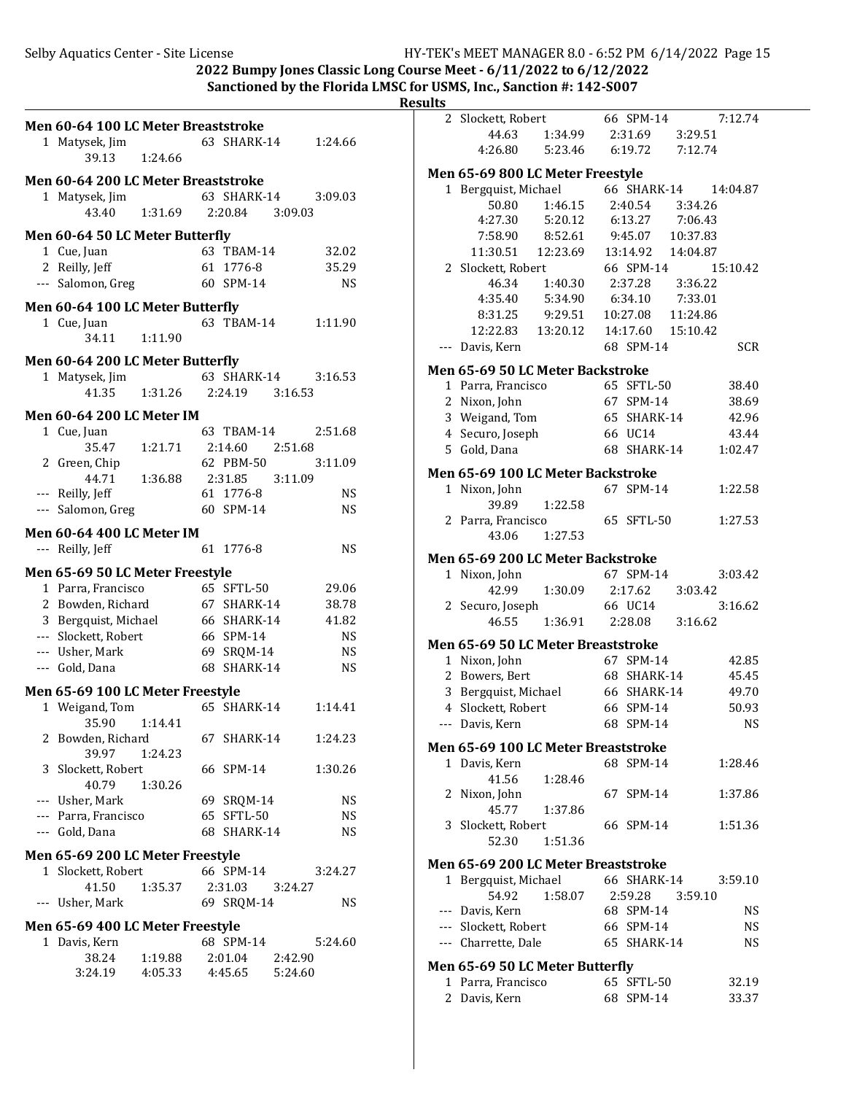2022 Bumpy Jones Classic Long Course Meet -  $6/11/2022$  to  $6/12/2022$ 

#### Sanctioned by the Florida LMSC for USMS, Inc., Sanction #: 142-S007 **Results**

|                                     |                    |           | ……                                              |
|-------------------------------------|--------------------|-----------|-------------------------------------------------|
| Men 60-64 100 LC Meter Breaststroke |                    |           | 66 SPM-14<br>2 Slockett, Robert<br>7:12.74      |
|                                     |                    |           | 44.63<br>2:31.69<br>3:29.51<br>1:34.99          |
| 1 Matysek, Jim<br>1:24.66           | 63 SHARK-14        | 1:24.66   | 4:26.80<br>5:23.46<br>6:19.72<br>7:12.74        |
| 39.13                               |                    |           | Men 65-69 800 LC Meter Freestyle                |
| Men 60-64 200 LC Meter Breaststroke |                    |           | 66 SHARK-14<br>1 Bergquist, Michael<br>14:04.87 |
| 1 Matysek, Jim                      | 63 SHARK-14        | 3:09.03   | 50.80<br>1:46.15<br>2:40.54<br>3:34.26          |
| 43.40<br>1:31.69                    | 2:20.84<br>3:09.03 |           | 4:27.30<br>5:20.12<br>7:06.43<br>6:13.27        |
| Men 60-64 50 LC Meter Butterfly     |                    |           | 7:58.90<br>10:37.83<br>8:52.61<br>9:45.07       |
| 1 Cue, Juan                         | 63 TBAM-14         | 32.02     | 11:30.51<br>12:23.69<br>14:04.87<br>13:14.92    |
| 2 Reilly, Jeff                      | 61 1776-8          | 35.29     | 66 SPM-14<br>2 Slockett, Robert<br>15:10.42     |
| --- Salomon, Greg                   | 60 SPM-14          | <b>NS</b> | 46.34<br>1:40.30<br>2:37.28<br>3:36.22          |
|                                     |                    |           | 4:35.40<br>5:34.90<br>6:34.10<br>7:33.01        |
| Men 60-64 100 LC Meter Butterfly    |                    |           | 9:29.51<br>8:31.25<br>10:27.08<br>11:24.86      |
| 1 Cue, Juan                         | 63 TBAM-14         | 1:11.90   | 12:22.83<br>13:20.12<br>14:17.60<br>15:10.42    |
| 1:11.90<br>34.11                    |                    |           | 68 SPM-14<br><b>SCR</b>                         |
| Men 60-64 200 LC Meter Butterfly    |                    |           | --- Davis, Kern                                 |
| 1 Matysek, Jim                      | 63 SHARK-14        | 3:16.53   | Men 65-69 50 LC Meter Backstroke                |
| 1:31.26<br>41.35                    | 2:24.19<br>3:16.53 |           | 1 Parra, Francisco<br>65 SFTL-50<br>38.40       |
|                                     |                    |           | 67 SPM-14<br>2 Nixon, John<br>38.69             |
| <b>Men 60-64 200 LC Meter IM</b>    |                    |           | 3 Weigand, Tom<br>65 SHARK-14<br>42.96          |
| 1 Cue, Juan                         | 63 TBAM-14         | 2:51.68   | 4 Securo, Joseph<br>66 UC14<br>43.44            |
| 1:21.71<br>35.47                    | 2:14.60<br>2:51.68 |           | 68 SHARK-14<br>5 Gold, Dana<br>1:02.47          |
| 2 Green, Chip                       | 62 PBM-50          | 3:11.09   | Men 65-69 100 LC Meter Backstroke               |
| 1:36.88<br>44.71                    | 2:31.85<br>3:11.09 |           | 67 SPM-14<br>1:22.58<br>1 Nixon, John           |
| --- Reilly, Jeff                    | 61 1776-8          | <b>NS</b> | 39.89<br>1:22.58                                |
| --- Salomon, Greg                   | 60 SPM-14          | <b>NS</b> | 65 SFTL-50<br>1:27.53<br>2 Parra, Francisco     |
| Men 60-64 400 LC Meter IM           |                    |           | 43.06<br>1:27.53                                |
| --- Reilly, Jeff                    | 61 1776-8          | <b>NS</b> |                                                 |
|                                     |                    |           | Men 65-69 200 LC Meter Backstroke               |
| Men 65-69 50 LC Meter Freestyle     |                    |           | 67 SPM-14<br>1 Nixon, John<br>3:03.42           |
| 1 Parra, Francisco                  | 65 SFTL-50         | 29.06     | 42.99<br>1:30.09<br>2:17.62<br>3:03.42          |
| 2 Bowden, Richard                   | 67 SHARK-14        | 38.78     | 66 UC14<br>3:16.62<br>2 Securo, Joseph          |
| 3 Bergquist, Michael                | 66 SHARK-14        | 41.82     | 1:36.91<br>2:28.08<br>3:16.62<br>46.55          |
| --- Slockett, Robert                | 66 SPM-14          | <b>NS</b> | Men 65-69 50 LC Meter Breaststroke              |
| --- Usher, Mark                     | 69 SRQM-14         | <b>NS</b> | 67 SPM-14<br>1 Nixon, John<br>42.85             |
| --- Gold, Dana                      | 68 SHARK-14        | <b>NS</b> | 2 Bowers, Bert<br>68 SHARK-14<br>45.45          |
| Men 65-69 100 LC Meter Freestyle    |                    |           | 66 SHARK-14<br>49.70<br>3 Bergquist, Michael    |
| 1 Weigand, Tom                      | 65 SHARK-14        | 1:14.41   | 66 SPM-14<br>4 Slockett, Robert<br>50.93        |
| 35.90   1:14.41                     |                    |           | 68 SPM-14<br><b>NS</b><br>--- Davis, Kern       |
| 2 Bowden, Richard                   | 67 SHARK-14        | 1:24.23   |                                                 |
| 39.97<br>1:24.23                    |                    |           | Men 65-69 100 LC Meter Breaststroke             |
| 3 Slockett, Robert                  | 66 SPM-14          | 1:30.26   | 68 SPM-14<br>1:28.46<br>1 Davis, Kern           |
| 40.79<br>1:30.26                    |                    |           | 41.56<br>1:28.46                                |
| --- Usher, Mark                     | 69 SRQM-14         | NS        | 67 SPM-14<br>2 Nixon, John<br>1:37.86           |
| --- Parra, Francisco                | 65 SFTL-50         | NS        | 45.77<br>1:37.86                                |
| --- Gold, Dana                      | 68 SHARK-14        | <b>NS</b> | 3 Slockett, Robert<br>66 SPM-14<br>1:51.36      |
|                                     |                    |           | 52.30<br>1:51.36                                |
| Men 65-69 200 LC Meter Freestyle    |                    |           | Men 65-69 200 LC Meter Breaststroke             |
| 1 Slockett, Robert                  | 66 SPM-14          | 3:24.27   | 1 Bergquist, Michael<br>66 SHARK-14<br>3:59.10  |
| 41.50<br>1:35.37                    | 2:31.03<br>3:24.27 |           | 2:59.28<br>54.92<br>1:58.07<br>3:59.10          |
| --- Usher, Mark                     | 69 SRQM-14         | <b>NS</b> | <b>NS</b><br>--- Davis, Kern<br>68 SPM-14       |
| Men 65-69 400 LC Meter Freestyle    |                    |           | --- Slockett, Robert<br><b>NS</b><br>66 SPM-14  |
| 1 Davis, Kern                       | 68 SPM-14          | 5:24.60   | --- Charrette, Dale<br><b>NS</b><br>65 SHARK-14 |
| 38.24<br>1:19.88                    | 2:01.04<br>2:42.90 |           |                                                 |
| 3:24.19<br>4:05.33                  | 4:45.65<br>5:24.60 |           | Men 65-69 50 LC Meter Butterfly                 |
|                                     |                    |           | 1 Parra, Francisco<br>65 SFTL-50<br>32.19       |
|                                     |                    |           | 68 SPM-14<br>2 Davis, Kern<br>33.37             |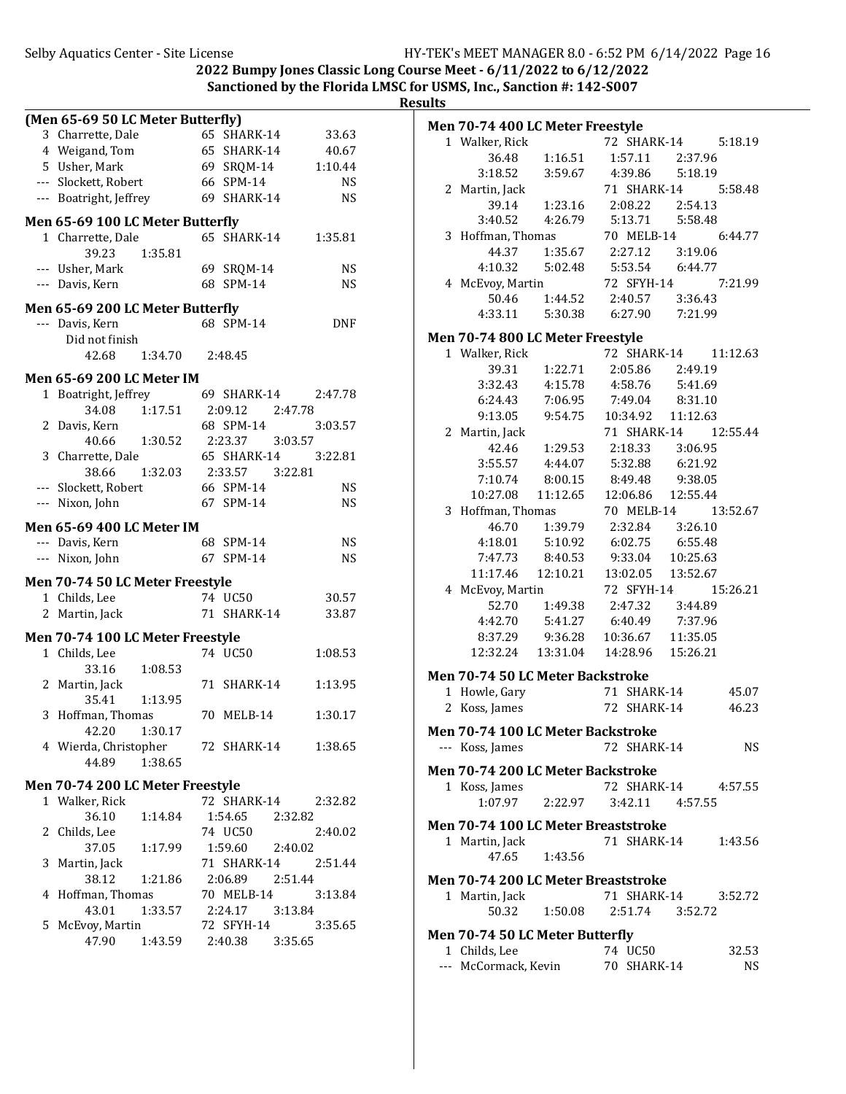2022 Bumpy Jones Classic Long Course Meet -  $6/11/2022$  to  $6/12/2022$ Sanctioned by the Florida LMSC for USMS, Inc., Sanction #: 142-S007

|   | (Men 65-69 50 LC Meter Butterfly) |         |    |                     |         |            |
|---|-----------------------------------|---------|----|---------------------|---------|------------|
|   | 3 Charrette, Dale                 |         |    | 65 SHARK-14         |         | 33.63      |
|   | 4 Weigand, Tom                    |         |    | 65 SHARK-14         |         | 40.67      |
|   | 5 Usher, Mark                     |         |    | 69 SRQM-14          |         | 1:10.44    |
|   | --- Slockett, Robert              |         |    | 66 SPM-14           |         | NS.        |
|   | --- Boatright, Jeffrey            |         |    | 69 SHARK-14         |         | NS.        |
|   | Men 65-69 100 LC Meter Butterfly  |         |    |                     |         |            |
|   | 1 Charrette, Dale                 |         |    | 65 SHARK-14         |         | 1:35.81    |
|   | 39.23                             | 1:35.81 |    |                     |         |            |
|   | --- Usher, Mark                   |         |    | 69 SRQM-14          |         | <b>NS</b>  |
|   | --- Davis, Kern                   |         |    | 68 SPM-14           |         | <b>NS</b>  |
|   |                                   |         |    |                     |         |            |
|   | Men 65-69 200 LC Meter Butterfly  |         |    |                     |         |            |
|   | --- Davis, Kern                   |         |    | 68 SPM-14           |         | <b>DNF</b> |
|   | Did not finish                    |         |    |                     |         |            |
|   | 42.68                             | 1:34.70 |    | 2:48.45             |         |            |
|   | <b>Men 65-69 200 LC Meter IM</b>  |         |    |                     |         |            |
|   | 1 Boatright, Jeffrey              |         |    | 69 SHARK-14 2:47.78 |         |            |
|   | 34.08                             | 1:17.51 |    | 2:09.12             | 2:47.78 |            |
|   | 2 Davis, Kern                     |         |    | 68 SPM-14           |         | 3:03.57    |
|   | 40.66                             | 1:30.52 |    | 2:23.37             | 3:03.57 |            |
|   | 3 Charrette, Dale                 |         |    | 65 SHARK-14         |         | 3:22.81    |
|   | 38.66                             | 1:32.03 |    | 2:33.57 3:22.81     |         |            |
|   | --- Slockett, Robert              |         |    | 66 SPM-14           |         | NS.        |
|   | --- Nixon, John                   |         |    | 67 SPM-14           |         | <b>NS</b>  |
|   | Men 65-69 400 LC Meter IM         |         |    |                     |         |            |
|   | --- Davis, Kern                   |         |    | 68 SPM-14           |         | <b>NS</b>  |
|   | --- Nixon, John                   |         |    | 67 SPM-14           |         | <b>NS</b>  |
|   | Men 70-74 50 LC Meter Freestyle   |         |    |                     |         |            |
|   | 1 Childs, Lee                     |         |    | 74 UC50             |         | 30.57      |
|   | 2 Martin, Jack                    |         |    | 71 SHARK-14         |         | 33.87      |
|   |                                   |         |    |                     |         |            |
|   | Men 70-74 100 LC Meter Freestyle  |         |    | 74 UC50             |         |            |
|   | 1 Childs, Lee<br>33.16            |         |    |                     |         | 1:08.53    |
|   | 2 Martin, Jack                    | 1:08.53 | 71 | SHARK-14            |         | 1:13.95    |
|   | 35.41                             | 1:13.95 |    |                     |         |            |
|   | 3 Hoffman, Thomas                 |         |    | 70 MELB-14          |         | 1:30.17    |
|   | 42.20                             | 1:30.17 |    |                     |         |            |
|   | 4 Wierda, Christopher             |         |    | 72 SHARK-14         |         | 1:38.65    |
|   | 44.89                             | 1:38.65 |    |                     |         |            |
|   |                                   |         |    |                     |         |            |
|   | Men 70-74 200 LC Meter Freestyle  |         |    | 72 SHARK-14 2:32.82 |         |            |
|   | 1 Walker, Rick<br>36.10           | 1:14.84 |    | 1:54.65 2:32.82     |         |            |
|   | 2 Childs, Lee                     |         |    | 74 UC50             |         | 2:40.02    |
|   | 37.05                             | 1:17.99 |    | 1:59.60             | 2:40.02 |            |
| 3 | Martin, Jack                      |         |    | 71 SHARK-14         |         | 2:51.44    |
|   | 38.12                             | 1:21.86 |    | 2:06.89 2:51.44     |         |            |
|   | 4 Hoffman, Thomas                 |         |    | 70 MELB-14          |         | 3:13.84    |
|   | 43.01                             | 1:33.57 |    | 2:24.17             | 3:13.84 |            |
|   | 5 McEvoy, Martin                  |         |    | 72 SFYH-14          |         | 3:35.65    |
|   | 47.90                             | 1:43.59 |    | 2:40.38             | 3:35.65 |            |
|   |                                   |         |    |                     |         |            |

| Men 70-74 400 LC Meter Freestyle                                       |                                      |                                                                 |                      |
|------------------------------------------------------------------------|--------------------------------------|-----------------------------------------------------------------|----------------------|
| 1 Walker, Rick                                                         |                                      |                                                                 | 72 SHARK-14 5:18.19  |
|                                                                        |                                      | 36.48   1:16.51   1:57.11   2:37.96                             |                      |
|                                                                        |                                      | 3:18.52   3:59.67   4:39.86   5:18.19                           |                      |
| 2 Martin, Jack                                                         |                                      |                                                                 | 71 SHARK-14 5:58.48  |
|                                                                        |                                      | 39.14 1:23.16 2:08.22 2:54.13                                   |                      |
|                                                                        |                                      | 3:40.52  4:26.79  5:13.71  5:58.48                              |                      |
| 3 Hoffman, Thomas                                                      |                                      | man, Thomas 70 MELB-14 6:44.77<br>44.37 1:35.67 2:27.12 3:19.06 |                      |
|                                                                        |                                      |                                                                 |                      |
|                                                                        |                                      |                                                                 |                      |
| 4:10.32 5:02.48 5:53.54 6:44.77<br>4 McEvoy, Martin 72 SFYH-14 7:21.99 |                                      |                                                                 |                      |
|                                                                        |                                      | 50.46 1:44.52 2:40.57 3:36.43                                   |                      |
|                                                                        |                                      | 4:33.11   5:30.38   6:27.90   7:21.99                           |                      |
| Men 70-74 800 LC Meter Freestyle                                       |                                      |                                                                 |                      |
| 1 Walker, Rick<br>39.31 1:22.71<br>3:32.43 4:15.78                     |                                      |                                                                 | 72 SHARK-14 11:12.63 |
|                                                                        |                                      |                                                                 |                      |
|                                                                        |                                      | 2:05.86 2:49.19<br>4:58.76 5:41.69                              |                      |
|                                                                        | 3:32.43  4:15.78<br>6:24.43  7:06.95 | $7:49.04$ $8:31.10$                                             |                      |
|                                                                        |                                      | 9:13.05  9:54.75  10:34.92  11:12.63                            |                      |
| 2 Martin, Jack                                                         |                                      |                                                                 | 71 SHARK-14 12:55.44 |
|                                                                        |                                      | 42.46 1:29.53 2:18.33 3:06.95                                   |                      |
|                                                                        |                                      | 3:55.57  4:44.07  5:32.88  6:21.92                              |                      |
|                                                                        |                                      | 7:10.74 8:00.15 8:49.48 9:38.05                                 |                      |
|                                                                        |                                      | $10:27.08 \qquad 11:12.65 \qquad 12:06.86 \qquad 12:55.44$      |                      |
| 3 Hoffman, Thomas                                                      |                                      |                                                                 | 70 MELB-14 13:52.67  |
|                                                                        |                                      |                                                                 |                      |
|                                                                        | 46.70 1:39.79<br>4:18.01 5:10.92     | 2:32.84 3:26.10<br>6:02.75 6:55.48<br>9:33.04 10:25.63          |                      |
| 7:47.73                                                                | 8:40.53                              |                                                                 |                      |
|                                                                        | 11:17.46  12:10.21                   | 13:02.05 13:52.67                                               |                      |
| 4 McEvoy, Martin                                                       |                                      | 72 SFYH-14                                                      | 15:26.21             |
|                                                                        |                                      | 52.70  1:49.38  2:47.32  3:44.89                                |                      |
|                                                                        |                                      | 4:42.70  5:41.27  6:40.49  7:37.96                              |                      |
|                                                                        |                                      | 8:37.29  9:36.28  10:36.67  11:35.05                            |                      |
|                                                                        | 12:32.24  13:31.04                   | 14:28.96  15:26.21                                              |                      |
|                                                                        |                                      |                                                                 |                      |
| <b>Men 70-74 50 LC Meter Backstroke</b>                                |                                      |                                                                 |                      |
| 1 Howle, Gary                                                          |                                      | 71 SHARK-14                                                     | 45.07                |
| 2 Koss, James                                                          |                                      |                                                                 | 46.23                |
| Men 70-74 100 LC Meter Backstroke                                      |                                      |                                                                 |                      |
| --- Koss, James                                                        |                                      | 72 SHARK-14                                                     | NS                   |
| <b>Men 70-74 200 LC Meter Backstroke</b>                               |                                      |                                                                 |                      |
| 1 Koss, James                                                          |                                      |                                                                 | 72 SHARK-14 4:57.55  |
|                                                                        | $1:07.97$ $2:22.97$                  | 3:42.11 4:57.55                                                 |                      |
|                                                                        |                                      |                                                                 |                      |
| Men 70-74 100 LC Meter Breaststroke                                    |                                      |                                                                 |                      |
| 1 Martin, Jack                                                         |                                      | 71 SHARK-14                                                     | 1:43.56              |
|                                                                        | 47.65 1:43.56                        |                                                                 |                      |
| Men 70-74 200 LC Meter Breaststroke                                    |                                      |                                                                 |                      |
| 1 Martin, Jack                                                         |                                      | 71 SHARK-14                                                     | 3:52.72              |
| 50.32                                                                  | 1:50.08                              | 2:51.74 3:52.72                                                 |                      |
|                                                                        |                                      |                                                                 |                      |
| Men 70-74 50 LC Meter Butterfly                                        |                                      |                                                                 |                      |
| 1 Childs, Lee                                                          |                                      | 74 UC50                                                         | 32.53                |
| --- McCormack, Kevin                                                   |                                      | 70 SHARK-14                                                     | NS                   |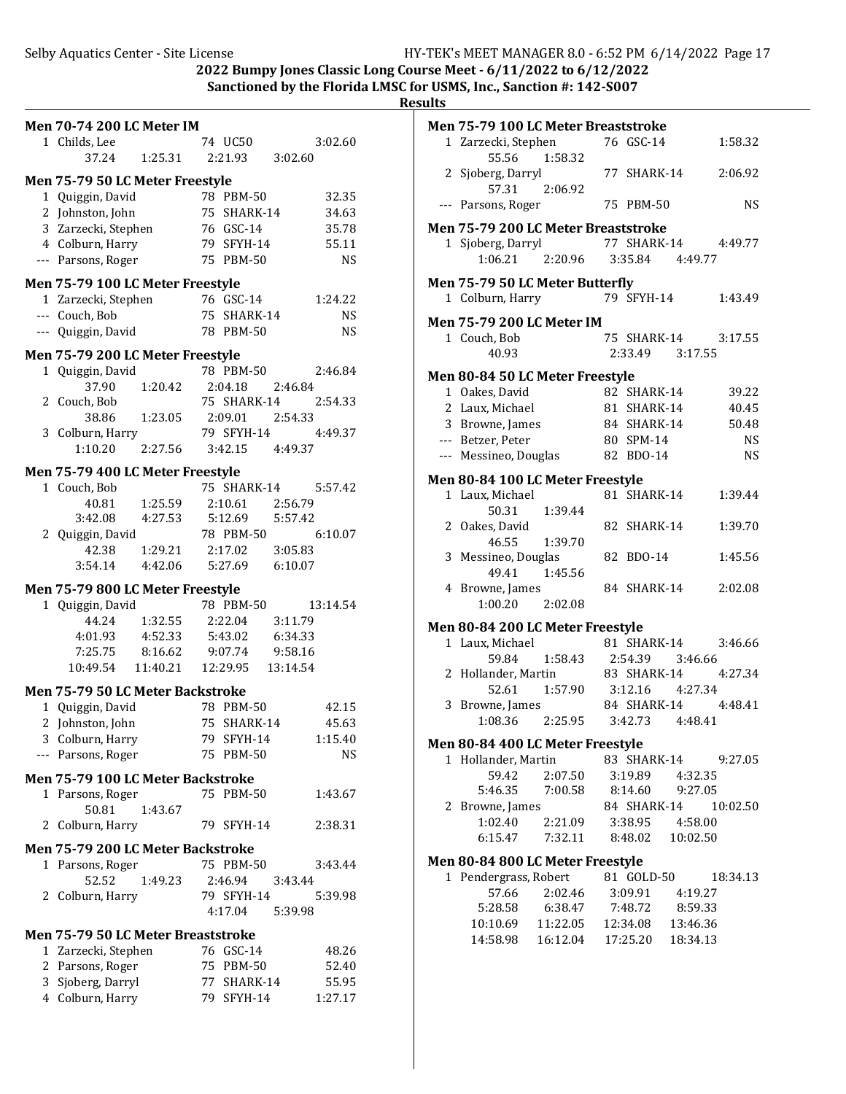2022 Bumpy Jones Classic Long Course Meet -  $6/11/2022$  to  $6/12/2022$ Sanctioned by the Florida LMSC for USMS, Inc., Sanction #: 142-S007

**Results**

|  |  |  |  | Men 70-74 200 LC Meter IM |
|--|--|--|--|---------------------------|
|--|--|--|--|---------------------------|

|   | MEN 70-74 ZUU LL METET IM              |                           |    |             |                   |           |
|---|----------------------------------------|---------------------------|----|-------------|-------------------|-----------|
|   | 1 Childs, Lee                          |                           |    | 74 UC50     |                   | 3:02.60   |
|   | 37.24                                  | 1:25.31                   |    | 2:21.93     | 3:02.60           |           |
|   | Men 75-79 50 LC Meter Freestyle        |                           |    |             |                   |           |
|   | 1 Quiggin, David                       |                           |    | 78 PBM-50   |                   | 32.35     |
|   | 2 Johnston, John                       |                           |    | 75 SHARK-14 |                   | 34.63     |
|   | 3 Zarzecki, Stephen                    |                           |    | 76 GSC-14   |                   | 35.78     |
|   | 4 Colburn, Harry                       |                           |    | 79 SFYH-14  |                   | 55.11     |
|   | --- Parsons, Roger                     |                           |    | 75 PBM-50   |                   | NS        |
|   |                                        |                           |    |             |                   |           |
|   | Men 75-79 100 LC Meter Freestyle       |                           |    |             |                   |           |
|   | 1 Zarzecki, Stephen                    |                           |    | 76 GSC-14   |                   | 1:24.22   |
|   | --- Couch, Bob                         |                           |    | 75 SHARK-14 |                   | <b>NS</b> |
|   | --- Quiggin, David                     |                           |    | 78 PBM-50   |                   | <b>NS</b> |
|   | Men 75-79 200 LC Meter Freestyle       |                           |    |             |                   |           |
|   | 1 Quiggin, David                       |                           |    | 78 PBM-50   |                   | 2:46.84   |
|   | 37.90                                  | 1:20.42                   |    | 2:04.18     | 2:46.84           |           |
| 2 | Couch, Bob                             |                           |    | 75 SHARK-14 |                   | 2:54.33   |
|   | 38.86                                  | 1:23.05 2:09.01           |    |             | 2:54.33           |           |
|   | 3 Colburn, Harry                       |                           |    | 79 SFYH-14  |                   | 4:49.37   |
|   | 1:10.20                                | 2:27.56 3:42.15 4:49.37   |    |             |                   |           |
|   |                                        |                           |    |             |                   |           |
|   | Men 75-79 400 LC Meter Freestyle       |                           |    |             |                   |           |
|   | 1 Couch, Bob                           |                           |    | 75 SHARK-14 |                   | 5:57.42   |
|   |                                        | 40.81 1:25.59             |    | 2:10.61     | 2:56.79           |           |
|   | 3:42.08 4:27.53                        |                           |    |             | 5:12.69   5:57.42 |           |
| 2 | Quiggin, David                         |                           |    | 78 PBM-50   |                   | 6:10.07   |
|   |                                        | 42.38   1:29.21   2:17.02 |    |             | 3:05.83           |           |
|   | 3:54.14  4:42.06  5:27.69  6:10.07     |                           |    |             |                   |           |
|   | Men 75-79 800 LC Meter Freestyle       |                           |    |             |                   |           |
|   | 1 Quiggin, David                       |                           |    | 78 PBM-50   |                   | 13:14.54  |
|   |                                        | 44.24 1:32.55             |    | 2:22.04     | 3:11.79           |           |
|   | 4:01.93  4:52.33  5:43.02              |                           |    |             | 6:34.33           |           |
|   | 7:25.75 8:16.62 9:07.74 9:58.16        |                           |    |             |                   |           |
|   | 10:49.54  11:40.21  12:29.95  13:14.54 |                           |    |             |                   |           |
|   | Men 75-79 50 LC Meter Backstroke       |                           |    |             |                   |           |
|   | 1 Quiggin, David                       |                           |    | 78 PBM-50   |                   | 42.15     |
|   | 2 Johnston, John                       |                           |    | 75 SHARK-14 |                   | 45.63     |
|   |                                        |                           | 79 | SFYH-14     |                   |           |
| 3 | Colburn, Harry                         |                           |    |             |                   | 1:15.40   |
|   | --- Parsons, Roger                     |                           |    | 75 PBM-50   |                   | NS        |
|   | Men 75-79 100 LC Meter Backstroke      |                           |    |             |                   |           |
|   | 1 Parsons, Roger                       |                           |    | 75 PBM-50   |                   | 1:43.67   |
|   | 50.81                                  | 1:43.67                   |    |             |                   |           |
| 2 | Colburn, Harry                         |                           |    | 79 SFYH-14  |                   | 2:38.31   |
|   | Men 75-79 200 LC Meter Backstroke      |                           |    |             |                   |           |
|   | 1 Parsons, Roger                       |                           |    | 75 PBM-50   |                   | 3:43.44   |
|   | 52.52                                  | 1:49.23                   |    |             | 2:46.94 3:43.44   |           |
|   | 2 Colburn, Harry                       |                           |    | 79 SFYH-14  |                   | 5:39.98   |
|   |                                        |                           |    |             | 4:17.04   5:39.98 |           |
|   |                                        |                           |    |             |                   |           |
|   | Men 75-79 50 LC Meter Breaststroke     |                           |    |             |                   |           |
|   | 1 Zarzecki, Stephen                    |                           |    | 76 GSC-14   |                   | 48.26     |
|   | 2 Parsons, Roger                       |                           |    | 75 PBM-50   |                   | 52.40     |

3 Sjoberg, Darryl 77 SHARK-14 55.95 4 Colburn, Harry 79 SFYH-14 1:27.17

|   | Men 75-79 100 LC Meter Breaststroke               |                               |                          |          |                     |
|---|---------------------------------------------------|-------------------------------|--------------------------|----------|---------------------|
|   | 1 Zarzecki, Stephen<br>55.56                      | 1:58.32                       | 76 GSC-14                |          | 1:58.32             |
|   | 2 Sjoberg, Darryl<br>57.31 2:06.92                |                               | 77 SHARK-14              |          | 2:06.92             |
|   | --- Parsons, Roger                                |                               | 75 PBM-50                |          | <b>NS</b>           |
|   | Men 75-79 200 LC Meter Breaststroke               |                               |                          |          |                     |
|   | 1 Sjoberg, Darryl<br>1:06.21                      | 2:20.96 3:35.84 4:49.77       | 77 SHARK-14 4:49.77      |          |                     |
|   | Men 75-79 50 LC Meter Butterfly                   |                               |                          |          |                     |
|   | 1 Colburn, Harry                                  |                               | 79 SFYH-14               |          | 1:43.49             |
|   | <b>Men 75-79 200 LC Meter IM</b>                  |                               |                          |          |                     |
|   | 1 Couch, Bob                                      |                               | 75 SHARK-14 3:17.55      |          |                     |
|   | 40.93                                             |                               | 2:33.49 3:17.55          |          |                     |
|   |                                                   |                               |                          |          |                     |
|   | Men 80-84 50 LC Meter Freestyle<br>1 Oakes, David |                               | 82 SHARK-14              |          | 39.22               |
|   | 2 Laux, Michael                                   |                               | 81 SHARK-14              |          | 40.45               |
|   |                                                   |                               |                          |          |                     |
|   | 3 Browne, James                                   |                               | 84 SHARK-14<br>80 SPM-14 |          | 50.48               |
|   | --- Betzer, Peter                                 |                               |                          |          | <b>NS</b>           |
|   | --- Messineo, Douglas                             |                               | 82 BDO-14                |          | <b>NS</b>           |
|   | Men 80-84 100 LC Meter Freestyle                  |                               |                          |          |                     |
|   | 1 Laux, Michael                                   |                               | 81 SHARK-14              |          | 1:39.44             |
|   |                                                   | 50.31 1:39.44                 |                          |          |                     |
|   | 2 Oakes, David                                    |                               | 82 SHARK-14              |          | 1:39.70             |
|   | 46.55                                             | 1:39.70                       |                          |          |                     |
|   | 3 Messineo, Douglas                               |                               | 82 BDO-14                |          | 1:45.56             |
|   | 49.41                                             | 1:45.56                       |                          |          |                     |
|   | 4 Browne, James                                   |                               | 84 SHARK-14              |          | 2:02.08             |
|   | 1:00.20                                           | 2:02.08                       |                          |          |                     |
|   | Men 80-84 200 LC Meter Freestyle                  |                               |                          |          |                     |
|   | 1 Laux, Michael                                   |                               | 81 SHARK-14              |          | 3:46.66             |
|   | 59.84                                             | 1:58.43 2:54.39 3:46.66       |                          |          |                     |
|   | 2 Hollander, Martin                               |                               | 83 SHARK-14 4:27.34      |          |                     |
|   | 52.61                                             | 1:57.90 3:12.16 4:27.34       |                          |          |                     |
|   | 3 Browne, James                                   |                               | 84 SHARK-14 4:48.41      |          |                     |
|   | 1:08.36                                           | $2:25.95$ $3:42.73$ $4:48.41$ |                          |          |                     |
|   |                                                   |                               |                          |          |                     |
|   | Men 80-84 400 LC Meter Freestyle                  |                               |                          |          |                     |
|   | 1 Hollander, Martin                               |                               |                          |          | 83 SHARK-14 9:27.05 |
|   | 59.42                                             | 2:07.50                       | 3:19.89                  | 4:32.35  |                     |
|   | 5:46.35                                           | 7:00.58 8:14.60               |                          | 9:27.05  |                     |
| 2 | Browne, James                                     |                               | 84 SHARK-14              |          | 10:02.50            |
|   | 1:02.40                                           | 2:21.09                       | 3:38.95                  | 4:58.00  |                     |
|   | 6:15.47 7:32.11                                   |                               | 8:48.02                  | 10:02.50 |                     |
|   | Men 80-84 800 LC Meter Freestyle                  |                               |                          |          |                     |
|   | 1 Pendergrass, Robert                             |                               | 81 GOLD-50               |          | 18:34.13            |
|   | 57.66                                             | 2:02.46                       | 3:09.91                  | 4:19.27  |                     |
|   |                                                   | 5:28.58 6:38.47 7:48.72       |                          | 8:59.33  |                     |
|   | 10:10.69  11:22.05                                |                               | 12:34.08                 | 13:46.36 |                     |
|   | 14:58.98  16:12.04  17:25.20                      |                               |                          | 18:34.13 |                     |
|   |                                                   |                               |                          |          |                     |
|   |                                                   |                               |                          |          |                     |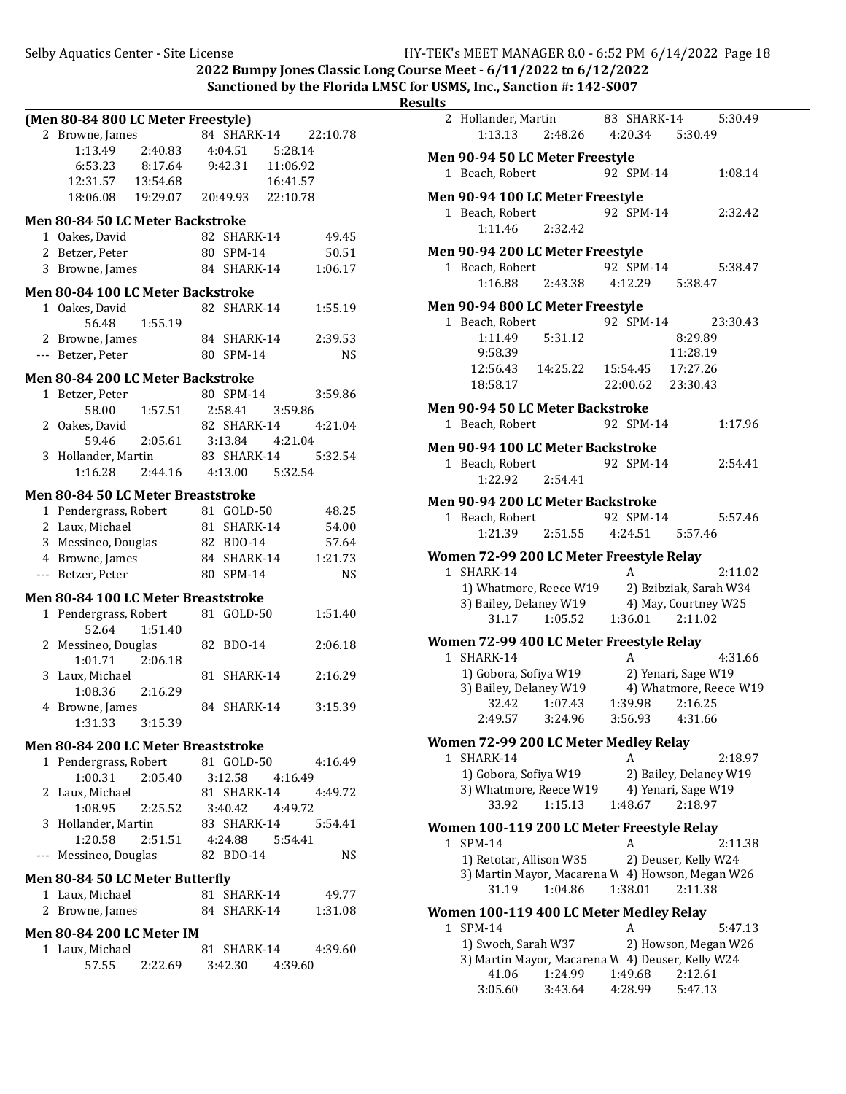|       | (Men 80-84 800 LC Meter Freestyle)     |                         |                 |          |                      |
|-------|----------------------------------------|-------------------------|-----------------|----------|----------------------|
|       | 2 Browne, James                        |                         |                 |          | 84 SHARK-14 22:10.78 |
|       | 1:13.49                                | 2:40.83 4:04.51 5:28.14 |                 |          |                      |
|       | 6:53.23 8:17.64 9:42.31                |                         |                 | 11:06.92 |                      |
|       | 12:31.57   13:54.68                    |                         |                 | 16:41.57 |                      |
|       | 18:06.08  19:29.07  20:49.93  22:10.78 |                         |                 |          |                      |
|       |                                        |                         |                 |          |                      |
|       | Men 80-84 50 LC Meter Backstroke       |                         |                 |          |                      |
|       | 1 Oakes, David                         |                         | 82 SHARK-14     |          | 49.45                |
|       | 2 Betzer, Peter                        |                         | 80 SPM-14       |          | 50.51                |
|       | 3 Browne, James                        |                         | 84 SHARK-14     |          | 1:06.17              |
|       | Men 80-84 100 LC Meter Backstroke      |                         |                 |          |                      |
|       | 1 Oakes, David                         |                         | 82 SHARK-14     |          | 1:55.19              |
|       | 56.48                                  | 1:55.19                 |                 |          |                      |
|       | 2 Browne, James                        |                         | 84 SHARK-14     |          | 2:39.53              |
|       | --- Betzer, Peter                      |                         | 80 SPM-14       |          | <b>NS</b>            |
|       |                                        |                         |                 |          |                      |
|       | Men 80-84 200 LC Meter Backstroke      |                         |                 |          |                      |
|       | 1 Betzer, Peter                        |                         | 80 SPM-14       |          | 3:59.86              |
|       | 58.00                                  | 1:57.51                 | 2:58.41 3:59.86 |          |                      |
|       | 2 Oakes, David                         |                         | 82 SHARK-14     |          | 4:21.04              |
|       | 59.46                                  | 2:05.61 3:13.84 4:21.04 |                 |          |                      |
|       | 3 Hollander, Martin                    |                         | 83 SHARK-14     |          | 5:32.54              |
|       | 1:16.28                                | 2:44.16                 | 4:13.00 5:32.54 |          |                      |
|       | Men 80-84 50 LC Meter Breaststroke     |                         |                 |          |                      |
|       | 1 Pendergrass, Robert 81 GOLD-50       |                         |                 |          | 48.25                |
|       | 2 Laux, Michael                        |                         | 81 SHARK-14     |          | 54.00                |
|       | 3 Messineo, Douglas                    |                         | 82 BDO-14       |          | 57.64                |
|       | 4 Browne, James                        |                         | 84 SHARK-14     |          | 1:21.73              |
|       | --- Betzer, Peter                      |                         | 80 SPM-14       |          | <b>NS</b>            |
|       |                                        |                         |                 |          |                      |
|       | Men 80-84 100 LC Meter Breaststroke    |                         |                 |          |                      |
|       | 1 Pendergrass, Robert<br>52.64         |                         | 81 GOLD-50      |          | 1:51.40              |
| 2     |                                        | 1:51.40                 | 82 BDO-14       |          | 2:06.18              |
|       | Messineo, Douglas<br>1:01.71           | 2:06.18                 |                 |          |                      |
|       | 3 Laux, Michael                        |                         | 81 SHARK-14     |          | 2:16.29              |
|       | 1:08.36                                | 2:16.29                 |                 |          |                      |
|       | 4 Browne, James                        |                         | 84 SHARK-14     |          | 3:15.39              |
|       | 1:31.33                                | 3:15.39                 |                 |          |                      |
|       |                                        |                         |                 |          |                      |
|       | Men 80-84 200 LC Meter Breaststroke    |                         |                 |          |                      |
|       | 1 Pendergrass, Robert 81 GOLD-50       |                         |                 |          | 4:16.49              |
|       | 1:00.31                                | 2:05.40 3:12.58 4:16.49 |                 |          |                      |
|       | 2 Laux, Michael                        |                         |                 |          | 81 SHARK-14 4:49.72  |
|       | 1:08.95                                |                         |                 |          |                      |
|       | 3 Hollander, Martin                    |                         |                 |          |                      |
|       | 1:20.58 2:51.51 4:24.88 5:54.41        |                         |                 |          |                      |
| $---$ | Messineo, Douglas                      |                         | 82 BDO-14       |          | NS                   |
|       | Men 80-84 50 LC Meter Butterfly        |                         |                 |          |                      |
|       | 1 Laux, Michael                        |                         | 81 SHARK-14     |          | 49.77                |
|       | 2 Browne, James                        |                         | 84 SHARK-14     |          | 1:31.08              |
|       |                                        |                         |                 |          |                      |
|       | <b>Men 80-84 200 LC Meter IM</b>       |                         |                 |          |                      |
|       | 1 Laux, Michael                        |                         | 81 SHARK-14     |          | 4:39.60              |
|       | 57.55                                  | 2:22.69 3:42.30 4:39.60 |                 |          |                      |
|       |                                        |                         |                 |          |                      |

| படு |                                                           |                    |                    |                                               |          |
|-----|-----------------------------------------------------------|--------------------|--------------------|-----------------------------------------------|----------|
|     | 2 Hollander, Martin 83 SHARK-14                           |                    |                    |                                               | 5:30.49  |
|     | 1:13.13  2:48.26  4:20.34  5:30.49                        |                    |                    |                                               |          |
|     | Men 90-94 50 LC Meter Freestyle                           |                    |                    |                                               |          |
|     | 1 Beach, Robert                                           |                    | 92 SPM-14          |                                               | 1:08.14  |
|     |                                                           |                    |                    |                                               |          |
|     | Men 90-94 100 LC Meter Freestyle                          |                    |                    |                                               |          |
|     | 1 Beach, Robert                                           |                    | 92 SPM-14          |                                               | 2:32.42  |
|     | 1:11.46                                                   | 2:32.42            |                    |                                               |          |
|     | Men 90-94 200 LC Meter Freestyle                          |                    |                    |                                               |          |
|     | 1 Beach, Robert                                           |                    | 92 SPM-14          |                                               | 5:38.47  |
|     | 1:16.88 2:43.38                                           |                    |                    | 4:12.29   5:38.47                             |          |
|     | Men 90-94 800 LC Meter Freestyle                          |                    |                    |                                               |          |
|     | 1 Beach, Robert                                           |                    | 92 SPM-14          |                                               | 23:30.43 |
|     | 1:11.49                                                   | 5:31.12            |                    | 8:29.89                                       |          |
|     | 9:58.39                                                   |                    |                    | 11:28.19                                      |          |
|     | 12:56.43  14:25.22  15:54.45  17:27.26                    |                    |                    |                                               |          |
|     | 18:58.17                                                  |                    |                    | 22:00.62 23:30.43                             |          |
|     | <b>Men 90-94 50 LC Meter Backstroke</b>                   |                    |                    |                                               |          |
|     | 1 Beach, Robert                                           |                    | 92 SPM-14          |                                               | 1:17.96  |
|     |                                                           |                    |                    |                                               |          |
|     | <b>Men 90-94 100 LC Meter Backstroke</b>                  |                    | 92 SPM-14          |                                               | 2:54.41  |
|     | 1 Beach, Robert<br>1:22.92                                | 2:54.41            |                    |                                               |          |
|     |                                                           |                    |                    |                                               |          |
|     | Men 90-94 200 LC Meter Backstroke                         |                    |                    |                                               |          |
|     | 1 Beach, Robert                                           |                    | 92 SPM-14          |                                               | 5:57.46  |
|     | 1:21.39 2:51.55                                           |                    | 4:24.51   5:57.46  |                                               |          |
|     | Women 72-99 200 LC Meter Freestyle Relay                  |                    |                    |                                               |          |
|     | 1 SHARK-14                                                |                    | A                  |                                               | 2:11.02  |
|     | 1) Whatmore, Reece W19 2) Bzibziak, Sarah W34             |                    |                    |                                               |          |
|     | 3) Bailey, Delaney W19 4) May, Courtney W25               |                    |                    |                                               |          |
|     | 31.17                                                     | 1:05.52            | 1:36.01            | 2:11.02                                       |          |
|     | Women 72-99 400 LC Meter Freestyle Relay                  |                    |                    |                                               |          |
|     | 1 SHARK-14                                                |                    | A                  |                                               | 4:31.66  |
|     | 1) Gobora, Sofiya W19                                     |                    |                    | 2) Yenari, Sage W19                           |          |
|     | 3) Bailey, Delaney W19                                    |                    |                    | 4) Whatmore, Reece W19                        |          |
|     | 32.42<br>2:49.57                                          | 1:07.43<br>3:24.96 | 1:39.98<br>3:56.93 | 2:16.25<br>4:31.66                            |          |
|     |                                                           |                    |                    |                                               |          |
|     | Women 72-99 200 LC Meter Medley Relay                     |                    |                    |                                               |          |
|     | 1 SHARK-14                                                |                    | A                  |                                               | 2:18.97  |
|     | 1) Gobora, Sofiya W19<br>3) Whatmore, Reece W19           |                    |                    | 2) Bailey, Delaney W19<br>4) Yenari, Sage W19 |          |
|     | 33.92                                                     | 1:15.13            | 1:48.67            | 2:18.97                                       |          |
|     |                                                           |                    |                    |                                               |          |
|     | Women 100-119 200 LC Meter Freestyle Relay                |                    |                    |                                               |          |
|     | 1 SPM-14                                                  |                    | A                  |                                               | 2:11.38  |
|     | 1) Retotar, Allison W35                                   |                    |                    | 2) Deuser, Kelly W24                          |          |
|     | 3) Martin Mayor, Macarena W 4) Howson, Megan W26<br>31.19 | 1:04.86            | 1:38.01            | 2:11.38                                       |          |
|     |                                                           |                    |                    |                                               |          |
|     | Women 100-119 400 LC Meter Medley Relay                   |                    |                    |                                               |          |
|     | 1 SPM-14                                                  |                    | A                  |                                               | 5:47.13  |
|     | 1) Swoch, Sarah W37                                       |                    |                    | 2) Howson, Megan W26                          |          |
|     | 3) Martin Mayor, Macarena W 4) Deuser, Kelly W24<br>41.06 | 1:24.99            | 1:49.68            | 2:12.61                                       |          |
|     | 3:05.60                                                   | 3:43.64            | 4:28.99            | 5:47.13                                       |          |
|     |                                                           |                    |                    |                                               |          |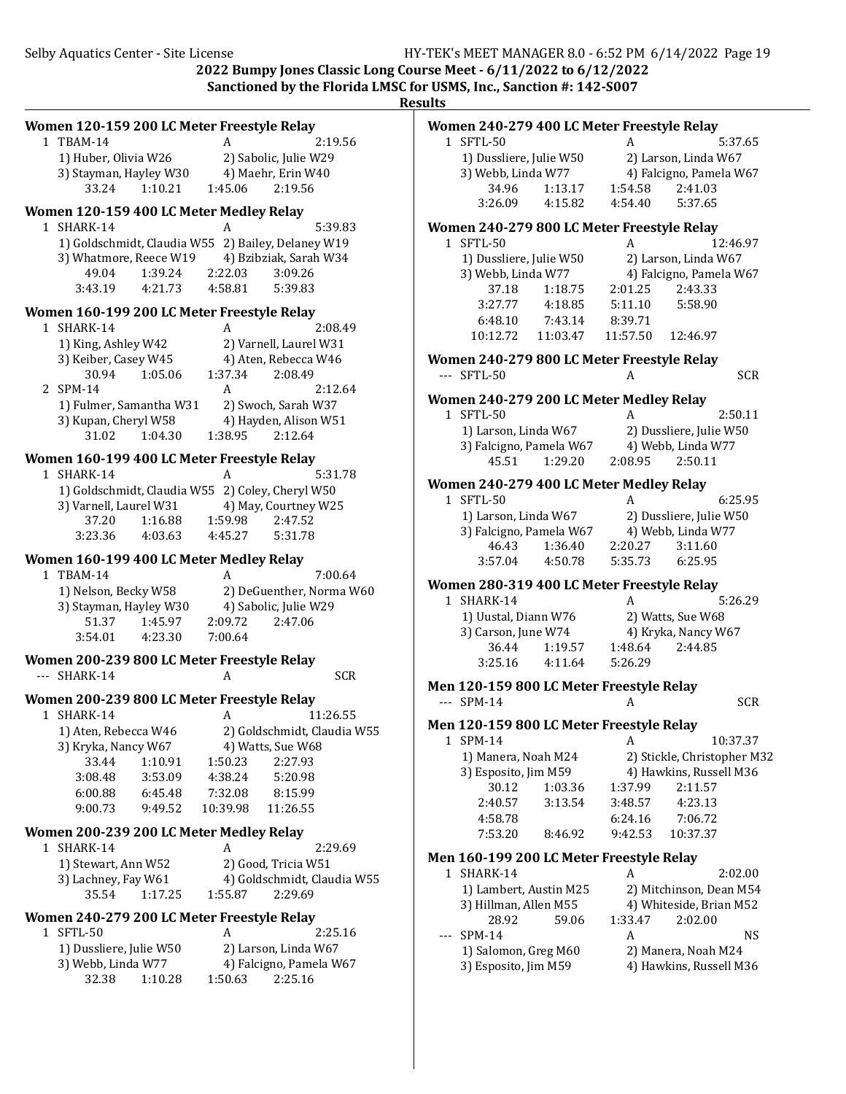| Women 120-159 200 LC Meter Freestyle Relay                                                      | Women 240-279 400 LC Meter Freestyle Relay                               |
|-------------------------------------------------------------------------------------------------|--------------------------------------------------------------------------|
| 1 TBAM-14<br>2:19.56<br>A                                                                       | 1 SFTL-50<br>A<br>5:37.65                                                |
| 1) Huber, Olivia W26<br>2) Sabolic, Julie W29                                                   | 1) Dussliere, Julie W50<br>2) Larson, Linda W67                          |
| 3) Stayman, Hayley W30<br>4) Maehr, Erin W40                                                    | 4) Falcigno, Pamela W67<br>3) Webb, Linda W77                            |
| 33.24<br>1:10.21<br>1:45.06<br>2:19.56                                                          | 34.96<br>1:13.17<br>1:54.58<br>2:41.03                                   |
|                                                                                                 | 3:26.09<br>4:15.82<br>4:54.40<br>5:37.65                                 |
| Women 120-159 400 LC Meter Medley Relay<br>A                                                    |                                                                          |
| 5:39.83<br>1 SHARK-14<br>1) Goldschmidt, Claudia W55 2) Bailey, Delaney W19                     | Women 240-279 800 LC Meter Freestyle Relay<br>1 SFTL-50<br>A<br>12:46.97 |
| 3) Whatmore, Reece W19<br>4) Bzibziak, Sarah W34                                                | 1) Dussliere, Julie W50<br>2) Larson, Linda W67                          |
| 1:39.24<br>2:22.03<br>3:09.26<br>49.04                                                          | 4) Falcigno, Pamela W67                                                  |
| 3:43.19<br>4:21.73<br>4:58.81<br>5:39.83                                                        | 3) Webb, Linda W77<br>37.18<br>2:01.25<br>1:18.75<br>2:43.33             |
|                                                                                                 | 3:27.77<br>4:18.85<br>5:11.10<br>5:58.90                                 |
| Women 160-199 200 LC Meter Freestyle Relay                                                      | 6:48.10<br>7:43.14<br>8:39.71                                            |
| 2:08.49<br>1 SHARK-14<br>A                                                                      | 10:12.72<br>11:03.47<br>11:57.50<br>12:46.97                             |
| 1) King, Ashley W42<br>2) Varnell, Laurel W31                                                   |                                                                          |
| 3) Keiber, Casey W45<br>4) Aten, Rebecca W46                                                    | Women 240-279 800 LC Meter Freestyle Relay                               |
| 30.94<br>1:05.06<br>1:37.34<br>2:08.49                                                          | <b>SCR</b><br>--- SFTL-50<br>A                                           |
| 2 SPM-14<br>2:12.64<br>A                                                                        | Women 240-279 200 LC Meter Medley Relay                                  |
| 1) Fulmer, Samantha W31<br>2) Swoch, Sarah W37                                                  | 1 SFTL-50<br>2:50.11<br>A                                                |
| 3) Kupan, Cheryl W58<br>4) Hayden, Alison W51                                                   | 1) Larson, Linda W67<br>2) Dussliere, Julie W50                          |
| 31.02<br>1:04.30<br>1:38.95<br>2:12.64                                                          | 3) Falcigno, Pamela W67<br>4) Webb, Linda W77                            |
| Women 160-199 400 LC Meter Freestyle Relay                                                      | 1:29.20<br>2:08.95<br>2:50.11<br>45.51                                   |
| 1 SHARK-14<br>5:31.78<br>A                                                                      |                                                                          |
| 1) Goldschmidt, Claudia W55 2) Coley, Cheryl W50                                                | Women 240-279 400 LC Meter Medley Relay                                  |
| 3) Varnell, Laurel W31<br>4) May, Courtney W25                                                  | 1 SFTL-50<br>6:25.95<br>A                                                |
| 1:59.98<br>37.20<br>1:16.88<br>2:47.52                                                          | 1) Larson, Linda W67<br>2) Dussliere, Julie W50                          |
| 3:23.36<br>4:03.63<br>4:45.27<br>5:31.78                                                        | 3) Falcigno, Pamela W67<br>4) Webb, Linda W77                            |
| Women 160-199 400 LC Meter Medley Relay                                                         | 46.43<br>1:36.40<br>2:20.27<br>3:11.60                                   |
| 1 TBAM-14<br>$\mathbf{A}$<br>7:00.64                                                            | 3:57.04<br>4:50.78<br>5:35.73<br>6:25.95                                 |
| 1) Nelson, Becky W58<br>2) DeGuenther, Norma W60                                                | Women 280-319 400 LC Meter Freestyle Relay                               |
| 3) Stayman, Hayley W30<br>4) Sabolic, Julie W29                                                 | 1 SHARK-14<br>5:26.29<br>A                                               |
| 1:45.97<br>2:09.72<br>51.37<br>2:47.06                                                          | 1) Uustal, Diann W76<br>2) Watts, Sue W68                                |
| 3:54.01<br>4:23.30<br>7:00.64                                                                   | 3) Carson, June W74<br>4) Kryka, Nancy W67                               |
|                                                                                                 | 36.44<br>1:19.57<br>1:48.64<br>2:44.85                                   |
| Women 200-239 800 LC Meter Freestyle Relay                                                      | 3:25.16<br>4:11.64<br>5:26.29                                            |
| <b>SCR</b><br>--- SHARK-14<br>A                                                                 | Men 120-159 800 LC Meter Freestyle Relay                                 |
| Women 200-239 800 LC Meter Freestyle Relay                                                      |                                                                          |
|                                                                                                 | $-5$ SPM-14<br>A                                                         |
| 1 SHARK-14<br>11:26.55<br>A                                                                     | <b>SCR</b>                                                               |
|                                                                                                 | Men 120-159 800 LC Meter Freestyle Relay                                 |
| 2) Goldschmidt, Claudia W55<br>1) Aten, Rebecca W46<br>3) Kryka, Nancy W67<br>4) Watts, Sue W68 | 1 SPM-14<br>10:37.37<br>A                                                |
| 33.44<br>1:10.91<br>1:50.23<br>2:27.93                                                          | 2) Stickle, Christopher M32<br>1) Manera, Noah M24                       |
| 3:53.09<br>3:08.48<br>4:38.24<br>5:20.98                                                        | 4) Hawkins, Russell M36<br>3) Esposito, Jim M59                          |
| 7:32.08<br>6:00.88<br>6:45.48<br>8:15.99                                                        | 1:37.99<br>30.12<br>1:03.36<br>2:11.57                                   |
| 9:00.73<br>9:49.52<br>10:39.98<br>11:26.55                                                      | 2:40.57<br>3:13.54<br>3:48.57<br>4:23.13                                 |
|                                                                                                 | 4:58.78<br>6:24.16<br>7:06.72                                            |
| Women 200-239 200 LC Meter Medley Relay                                                         | 7:53.20<br>9:42.53<br>10:37.37<br>8:46.92                                |
| 1 SHARK-14<br>2:29.69<br>A                                                                      | Men 160-199 200 LC Meter Freestyle Relay                                 |
| 1) Stewart, Ann W52<br>2) Good, Tricia W51                                                      | 1 SHARK-14<br>2:02.00<br>A                                               |
| 4) Goldschmidt, Claudia W55<br>3) Lachney, Fay W61<br>2:29.69                                   | 1) Lambert, Austin M25<br>2) Mitchinson, Dean M54                        |
| 35.54<br>1:17.25<br>1:55.87                                                                     | 3) Hillman, Allen M55<br>4) Whiteside, Brian M52                         |
| Women 240-279 200 LC Meter Freestyle Relay                                                      | 28.92<br>59.06<br>1:33.47<br>2:02.00                                     |
| 1 SFTL-50<br>A<br>2:25.16                                                                       | --- SPM-14<br>A<br><b>NS</b>                                             |
| 1) Dussliere, Julie W50<br>2) Larson, Linda W67                                                 | 1) Salomon, Greg M60<br>2) Manera, Noah M24                              |
| 3) Webb, Linda W77<br>4) Falcigno, Pamela W67                                                   | 3) Esposito, Jim M59<br>4) Hawkins, Russell M36                          |
| 32.38<br>1:10.28<br>1:50.63<br>2:25.16                                                          |                                                                          |
|                                                                                                 |                                                                          |
|                                                                                                 |                                                                          |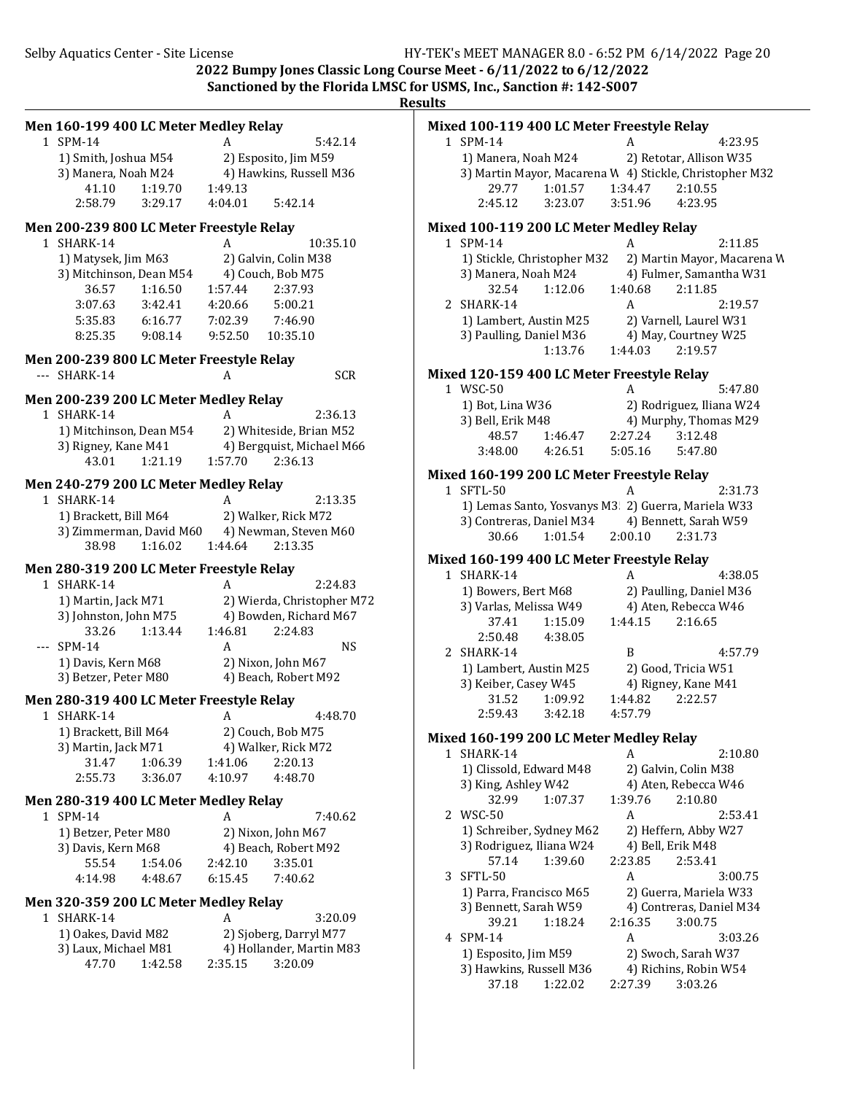| Men 160-199 400 LC Meter Medley Relay                                                 | Mixed 100-119 400 LC Meter Freestyle Relay                                                             |
|---------------------------------------------------------------------------------------|--------------------------------------------------------------------------------------------------------|
| 1 SPM-14<br>5:42.14<br>A                                                              | 1 SPM-14<br>4:23.95<br>A                                                                               |
| 1) Smith, Joshua M54<br>2) Esposito, Jim M59                                          | 1) Manera, Noah M24<br>2) Retotar, Allison W35                                                         |
| 3) Manera, Noah M24<br>4) Hawkins, Russell M36                                        | 3) Martin Mayor, Macarena W 4) Stickle, Christopher M32                                                |
| 1:19.70<br>41.10<br>1:49.13                                                           | 29.77<br>1:01.57<br>1:34.47<br>2:10.55                                                                 |
| 2:58.79<br>5:42.14<br>3:29.17<br>4:04.01                                              | 4:23.95<br>2:45.12<br>3:23.07<br>3:51.96                                                               |
| Men 200-239 800 LC Meter Freestyle Relay                                              | Mixed 100-119 200 LC Meter Medley Relay                                                                |
| 1 SHARK-14<br>10:35.10<br>A                                                           | 1 SPM-14<br>2:11.85<br>A                                                                               |
| 1) Matysek, Jim M63<br>2) Galvin, Colin M38                                           | 1) Stickle, Christopher M32<br>2) Martin Mayor, Macarena W                                             |
| 3) Mitchinson, Dean M54<br>4) Couch, Bob M75                                          | 4) Fulmer, Samantha W31<br>3) Manera, Noah M24                                                         |
| 1:16.50<br>2:37.93<br>36.57<br>1:57.44                                                | 32.54<br>1:12.06<br>1:40.68<br>2:11.85                                                                 |
| 3:07.63<br>3:42.41<br>4:20.66<br>5:00.21                                              | 2 SHARK-14<br>2:19.57<br>A                                                                             |
| 5:35.83<br>6:16.77<br>7:02.39<br>7:46.90<br>9:52.50<br>8:25.35<br>9:08.14<br>10:35.10 | 1) Lambert, Austin M25<br>2) Varnell, Laurel W31<br>4) May, Courtney W25<br>3) Paulling, Daniel M36    |
|                                                                                       | 1:13.76<br>1:44.03<br>2:19.57                                                                          |
| Men 200-239 800 LC Meter Freestyle Relay                                              |                                                                                                        |
| --- SHARK-14<br><b>SCR</b><br>A                                                       | Mixed 120-159 400 LC Meter Freestyle Relay                                                             |
| Men 200-239 200 LC Meter Medley Relay                                                 | 1 WSC-50<br>5:47.80<br>A                                                                               |
| 1 SHARK-14<br>A<br>2:36.13                                                            | 1) Bot, Lina W36<br>2) Rodriguez, Iliana W24<br>3) Bell, Erik M48<br>4) Murphy, Thomas M29             |
| 1) Mitchinson, Dean M54<br>2) Whiteside, Brian M52                                    | 48.57<br>1:46.47<br>2:27.24<br>3:12.48                                                                 |
| 3) Rigney, Kane M41<br>4) Bergquist, Michael M66                                      | 4:26.51<br>5:05.16<br>5:47.80<br>3:48.00                                                               |
| 43.01<br>1:21.19<br>1:57.70<br>2:36.13                                                |                                                                                                        |
| Men 240-279 200 LC Meter Medley Relay                                                 | Mixed 160-199 200 LC Meter Freestyle Relay<br>1 SFTL-50<br>A<br>2:31.73                                |
| 1 SHARK-14<br>A<br>2:13.35                                                            | 1) Lemas Santo, Yosvanys M3 2) Guerra, Mariela W33                                                     |
| 1) Brackett, Bill M64<br>2) Walker, Rick M72                                          | 3) Contreras, Daniel M34<br>4) Bennett, Sarah W59                                                      |
| 3) Zimmerman, David M60<br>4) Newman, Steven M60                                      | 2:00.10<br>30.66<br>1:01.54<br>2:31.73                                                                 |
| 38.98<br>1:16.02<br>1:44.64<br>2:13.35                                                |                                                                                                        |
| Men 280-319 200 LC Meter Freestyle Relay                                              | Mixed 160-199 400 LC Meter Freestyle Relay<br>1 SHARK-14<br>A                                          |
| 1 SHARK-14<br>2:24.83<br>A                                                            | 4:38.05<br>1) Bowers, Bert M68<br>2) Paulling, Daniel M36                                              |
| 1) Martin, Jack M71<br>2) Wierda, Christopher M72                                     | 4) Aten, Rebecca W46<br>3) Varlas, Melissa W49                                                         |
| 3) Johnston, John M75<br>4) Bowden, Richard M67                                       | 1:15.09<br>1:44.15<br>2:16.65<br>37.41                                                                 |
| 1:13.44<br>1:46.81<br>2:24.83<br>33.26                                                | 2:50.48<br>4:38.05                                                                                     |
| $-$ SPM-14<br><b>NS</b><br>A                                                          | 2 SHARK-14<br>B<br>4:57.79                                                                             |
| 2) Nixon, John M67<br>1) Davis, Kern M68                                              | 1) Lambert, Austin M25<br>2) Good, Tricia W51                                                          |
| 3) Betzer, Peter M80<br>4) Beach, Robert M92                                          | 3) Keiber, Casey W45<br>4) Rigney, Kane M41                                                            |
| Men 280-319 400 LC Meter Freestyle Relay                                              | 31.52<br>1:09.92<br>1:44.82<br>2:22.57                                                                 |
| 4:48.70<br>1 SHARK-14<br>A                                                            | 2:59.43<br>3:42.18<br>4:57.79                                                                          |
| 1) Brackett, Bill M64<br>2) Couch, Bob M75                                            | Mixed 160-199 200 LC Meter Medley Relay                                                                |
| 4) Walker, Rick M72<br>3) Martin, Jack M71                                            | 1 SHARK-14<br>A<br>2:10.80                                                                             |
| 1:06.39<br>31.47<br>1:41.06<br>2:20.13                                                | 1) Clissold, Edward M48<br>2) Galvin, Colin M38                                                        |
| 2:55.73<br>3:36.07<br>4:10.97<br>4:48.70                                              | 3) King, Ashley W42<br>4) Aten, Rebecca W46                                                            |
| Men 280-319 400 LC Meter Medley Relay                                                 | 32.99<br>1:07.37<br>1:39.76<br>2:10.80                                                                 |
| 1 SPM-14<br>7:40.62<br>A                                                              | 2 WSC-50<br>A<br>2:53.41                                                                               |
| 1) Betzer, Peter M80<br>2) Nixon, John M67                                            | 1) Schreiber, Sydney M62<br>2) Heffern, Abby W27                                                       |
| 3) Davis, Kern M68<br>4) Beach, Robert M92                                            | 3) Rodriguez, Iliana W24<br>4) Bell, Erik M48                                                          |
| 55.54<br>1:54.06<br>2:42.10<br>3:35.01                                                | 57.14<br>1:39.60<br>2:23.85<br>2:53.41                                                                 |
| 4:14.98<br>4:48.67<br>6:15.45<br>7:40.62                                              | 3 SFTL-50<br>3:00.75<br>A                                                                              |
| Men 320-359 200 LC Meter Medley Relay                                                 | 1) Parra, Francisco M65<br>2) Guerra, Mariela W33<br>4) Contreras, Daniel M34<br>3) Bennett, Sarah W59 |
| 1 SHARK-14<br>3:20.09<br>A                                                            | 39.21<br>1:18.24<br>2:16.35<br>3:00.75                                                                 |
| 1) Oakes, David M82<br>2) Sjoberg, Darryl M77                                         | 4 SPM-14<br>A<br>3:03.26                                                                               |
| 3) Laux, Michael M81<br>4) Hollander, Martin M83                                      | 2) Swoch, Sarah W37<br>1) Esposito, Jim M59                                                            |
| 3:20.09<br>47.70<br>1:42.58<br>2:35.15                                                | 3) Hawkins, Russell M36<br>4) Richins, Robin W54                                                       |
|                                                                                       | 1:22.02<br>37.18<br>2:27.39<br>3:03.26                                                                 |
|                                                                                       |                                                                                                        |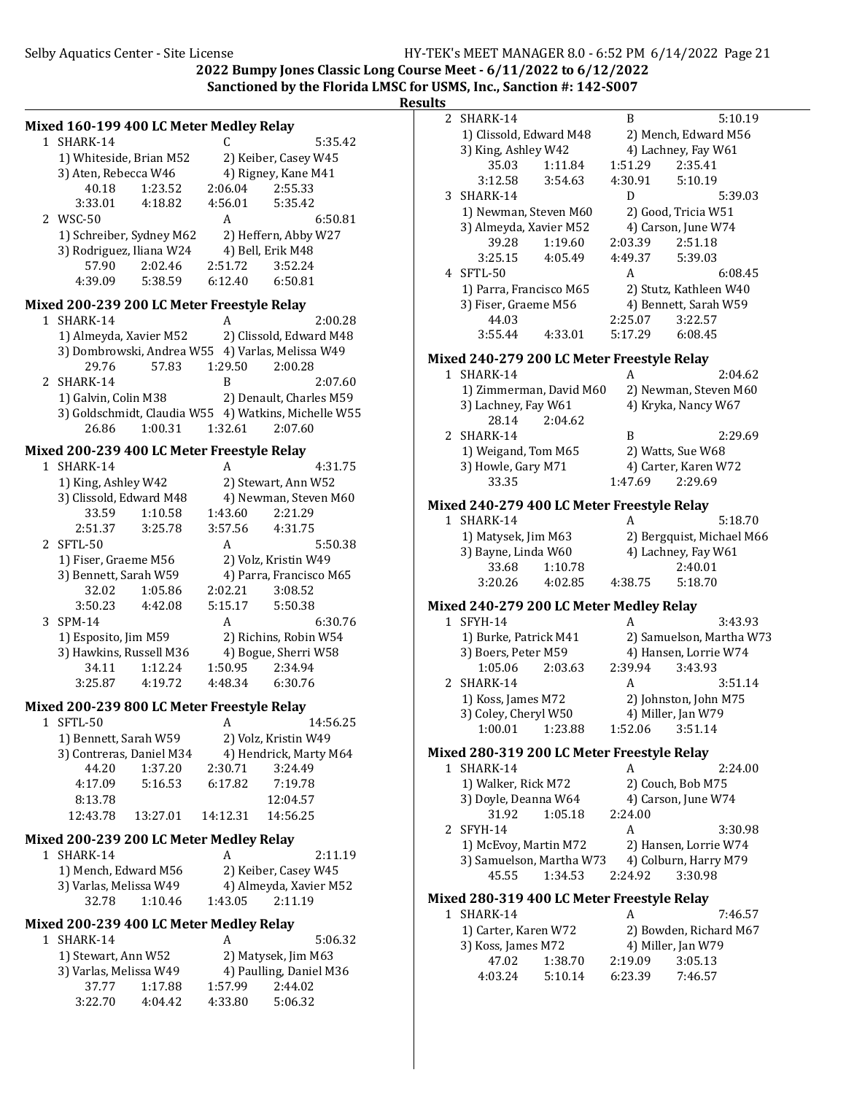**2022 Bumpy Jones Classic Long Course Meet - 6/11/2022 to 6/12/2022** Sanctioned by the Florida LMSC for USMS, Inc., Sanction #: 142-S007

**Results**

| Mixed 160-199 400 LC Meter Medley Relay<br>1 SHARK-14 |          | C               | 5:35.42                                              |  |
|-------------------------------------------------------|----------|-----------------|------------------------------------------------------|--|
| 1) Whiteside, Brian M52                               |          |                 | 2) Keiber, Casey W45                                 |  |
| 3) Aten, Rebecca W46                                  |          |                 | 4) Rigney, Kane M41                                  |  |
| 40.18                                                 | 1:23.52  | 2:06.04         | 2:55.33                                              |  |
|                                                       |          | 4:56.01         |                                                      |  |
| 3:33.01                                               | 4:18.82  |                 | 5:35.42                                              |  |
| 2 WSC-50                                              |          | A               | 6:50.81                                              |  |
| 1) Schreiber, Sydney M62                              |          |                 | 2) Heffern, Abby W27                                 |  |
| 3) Rodriguez, Iliana W24                              |          |                 | 4) Bell, Erik M48                                    |  |
| 57.90                                                 | 2:02.46  | 2:51.72         | 3:52.24                                              |  |
| 4:39.09                                               | 5:38.59  | 6:12.40         | 6:50.81                                              |  |
| Mixed 200-239 200 LC Meter Freestyle Relay            |          |                 |                                                      |  |
| 1 SHARK-14                                            |          | A               | 2:00.28                                              |  |
| 1) Almeyda, Xavier M52                                |          |                 | 2) Clissold, Edward M48                              |  |
|                                                       |          |                 | 3) Dombrowski, Andrea W55 4) Varlas, Melissa W49     |  |
| 29.76                                                 | 57.83    | 1:29.50         | 2:00.28                                              |  |
| 2 SHARK-14                                            |          | B               |                                                      |  |
|                                                       |          |                 | 2:07.60                                              |  |
| 1) Galvin, Colin M38                                  |          |                 | 2) Denault, Charles M59                              |  |
|                                                       |          |                 | 3) Goldschmidt, Claudia W55 4) Watkins, Michelle W55 |  |
| 26.86                                                 | 1:00.31  | 1:32.61         | 2:07.60                                              |  |
| Mixed 200-239 400 LC Meter Freestyle Relay            |          |                 |                                                      |  |
| 1 SHARK-14                                            |          | A               | 4:31.75                                              |  |
| 1) King, Ashley W42                                   |          |                 | 2) Stewart, Ann W52                                  |  |
| 3) Clissold, Edward M48                               |          |                 | 4) Newman, Steven M60                                |  |
| 33.59                                                 | 1:10.58  | 1:43.60         | 2:21.29                                              |  |
| 2:51.37                                               | 3:25.78  | 3:57.56         | 4:31.75                                              |  |
| 2 SFTL-50                                             |          | A               |                                                      |  |
|                                                       |          |                 | 5:50.38                                              |  |
| 1) Fiser, Graeme M56                                  |          |                 | 2) Volz, Kristin W49                                 |  |
| 3) Bennett, Sarah W59                                 |          |                 | 4) Parra, Francisco M65                              |  |
| 32.02                                                 | 1:05.86  | 2:02.21         | 3:08.52                                              |  |
| 3:50.23                                               | 4:42.08  | 5:15.17         | 5:50.38                                              |  |
| 3 SPM-14                                              |          | A               | 6:30.76                                              |  |
| 1) Esposito, Jim M59                                  |          |                 | 2) Richins, Robin W54                                |  |
| 3) Hawkins, Russell M36                               |          |                 | 4) Bogue, Sherri W58                                 |  |
| 34.11                                                 | 1:12.24  | 1:50.95         | 2:34.94                                              |  |
| 3:25.87                                               | 4:19.72  | 4:48.34 6:30.76 |                                                      |  |
| Mixed 200-239 800 LC Meter Freestyle Relay            |          |                 |                                                      |  |
|                                                       |          |                 |                                                      |  |
| 1 SFTL-50                                             |          | A               | 14:56.25                                             |  |
| 1) Bennett, Sarah W59                                 |          |                 | 2) Volz, Kristin W49                                 |  |
| 3) Contreras, Daniel M34                              |          |                 | 4) Hendrick, Marty M64                               |  |
| 44.20                                                 | 1:37.20  | 2:30.71         | 3:24.49                                              |  |
| 4:17.09                                               | 5:16.53  | 6:17.82         | 7:19.78                                              |  |
| 8:13.78                                               |          |                 | 12:04.57                                             |  |
| 12:43.78                                              | 13:27.01 | 14:12.31        | 14:56.25                                             |  |
| Mixed 200-239 200 LC Meter Medley Relay               |          |                 |                                                      |  |
| 1 SHARK-14                                            |          | A               | 2:11.19                                              |  |
|                                                       |          |                 |                                                      |  |
| 1) Mench, Edward M56                                  |          |                 | 2) Keiber, Casey W45                                 |  |
| 3) Varlas, Melissa W49                                |          |                 | 4) Almeyda, Xavier M52                               |  |
| 32.78                                                 | 1:10.46  | 1:43.05         | 2:11.19                                              |  |
| Mixed 200-239 400 LC Meter Medley Relay               |          |                 |                                                      |  |
| 1 SHARK-14                                            |          | A               | 5:06.32                                              |  |
| 1) Stewart, Ann W52                                   |          |                 | 2) Matysek, Jim M63                                  |  |
| 3) Varlas, Melissa W49                                |          |                 | 4) Paulling, Daniel M36                              |  |
| 37.77                                                 | 1:17.88  | 1:57.99         | 2:44.02                                              |  |
| 3:22.70                                               | 4:04.42  | 4:33.80         | 5:06.32                                              |  |
|                                                       |          |                 |                                                      |  |

2 SHARK-14 B 5:10.19 1) Clissold, Edward M48 2) Mench, Edward M56 3) King, Ashley W42 4) Lachney, Fay W61 35.03 1:11.84 1:51.29 2:35.41 3:12.58 3:54.63 4:30.91 5:10.19 3 SHARK-14 D 5:39.03 1) Newman, Steven M60 2) Good, Tricia W51 3) Almeyda, Xavier M52 4) Carson, June W74<br>39.28 1:19.60 2:03.39 2:51.18  $1:19.60$ 3:25.15 4:05.49 4:49.37 5:39.03 4 SFTL-50 A 6:08.45 1) Parra, Francisco M65 2) Stutz, Kathleen W40 3) Fiser, Graeme M56 4) Bennett, Sarah W59<br>44.03 2:25.07 3:22.57 44.03 2:25.07 3:55.44 4:33.01 5:17.29 6:08.45 **Mixed 240-279 200 LC Meter Freestyle Relay** 1 SHARK-14 A 2:04.62 1) Zimmerman, David M60 2) Newman, Steven M60 3) Lachney, Fay W61 4) Kryka, Nancy W67 28.14 2:04.62 2 SHARK-14 B 2:29.69 1) Weigand, Tom M65 2) Watts, Sue W68 3) Howle, Gary M71 4) Carter, Karen W72 33.35 1:47.69 2:29.69 **Mixed 240-279 400 LC Meter Freestyle Relay** 1 SHARK-14 A 5:18.70 1) Matysek, Jim M63 2) Bergquist, Michael M66 3) Bayne, Linda W60 4) Lachney, Fay W61 33.68 1:10.78 2:40.01 3:20.26 4:02.85 4:38.75 5:18.70 **Mixed 240-279 200 LC Meter Medley Relay** 1 SFYH-14 A 3:43.93 1) Burke, Patrick M41 2) Samuelson, Martha W73 3) Boers, Peter M59 4) Hansen, Lorrie W74<br>1:05.06 2:03.63 2:39.94 3:43.93 2:03.63 2 SHARK-14 A 3:51.14 1) Koss, James M72 2) Johnston, John M75 3) Coley, Cheryl W50 4) Miller, Jan W79 1:00.01 1:23.88 1:52.06 3:51.14 **Mixed 280-319 200 LC Meter Freestyle Relay** 1 SHARK-14 A 2:24.00 1) Walker, Rick M72 2) Couch, Bob M75 3) Doyle, Deanna W64 4) Carson, June W74<br>31.92 1.05.18 2:24.00 31.92 1:05.18 2:24.00 2 SFYH-14 A 3:30.98 1) McEvoy, Martin M72 2) Hansen, Lorrie W74 3) Samuelson, Martha W73 4) Colburn, Harry M79 45.55 1:34.53 2:24.92 3:30.98 **Mixed 280-319 400 LC Meter Freestyle Relay** 1 SHARK-14 A 7:46.57 1) Carter, Karen W72 2) Bowden, Richard M67 3) Koss, James M72 4) Miller, Jan W79 47.02 1:38.70 2:19.09 3:05.13 4:03.24 5:10.14 6:23.39 7:46.57